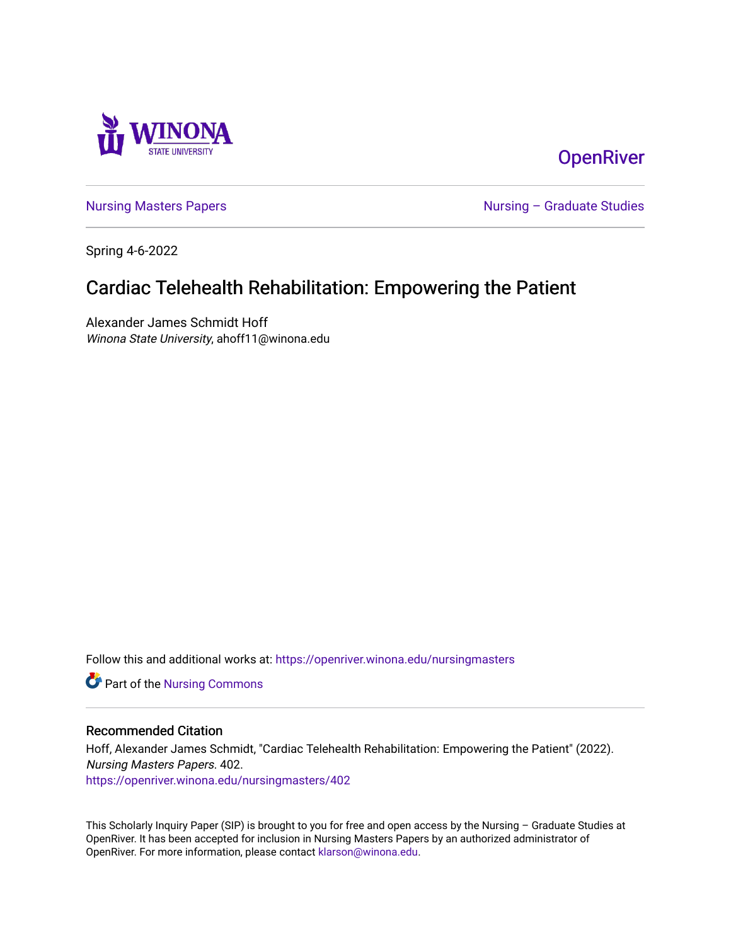

# **OpenRiver**

[Nursing Masters Papers](https://openriver.winona.edu/nursingmasters) **Nursing – Graduate Studies** 

Spring 4-6-2022

# Cardiac Telehealth Rehabilitation: Empowering the Patient

Alexander James Schmidt Hoff Winona State University, ahoff11@winona.edu

Follow this and additional works at: [https://openriver.winona.edu/nursingmasters](https://openriver.winona.edu/nursingmasters?utm_source=openriver.winona.edu%2Fnursingmasters%2F402&utm_medium=PDF&utm_campaign=PDFCoverPages) 

Part of the [Nursing Commons](http://network.bepress.com/hgg/discipline/718?utm_source=openriver.winona.edu%2Fnursingmasters%2F402&utm_medium=PDF&utm_campaign=PDFCoverPages) 

#### Recommended Citation

Hoff, Alexander James Schmidt, "Cardiac Telehealth Rehabilitation: Empowering the Patient" (2022). Nursing Masters Papers. 402.

[https://openriver.winona.edu/nursingmasters/402](https://openriver.winona.edu/nursingmasters/402?utm_source=openriver.winona.edu%2Fnursingmasters%2F402&utm_medium=PDF&utm_campaign=PDFCoverPages) 

This Scholarly Inquiry Paper (SIP) is brought to you for free and open access by the Nursing – Graduate Studies at OpenRiver. It has been accepted for inclusion in Nursing Masters Papers by an authorized administrator of OpenRiver. For more information, please contact [klarson@winona.edu](mailto:klarson@winona.edu).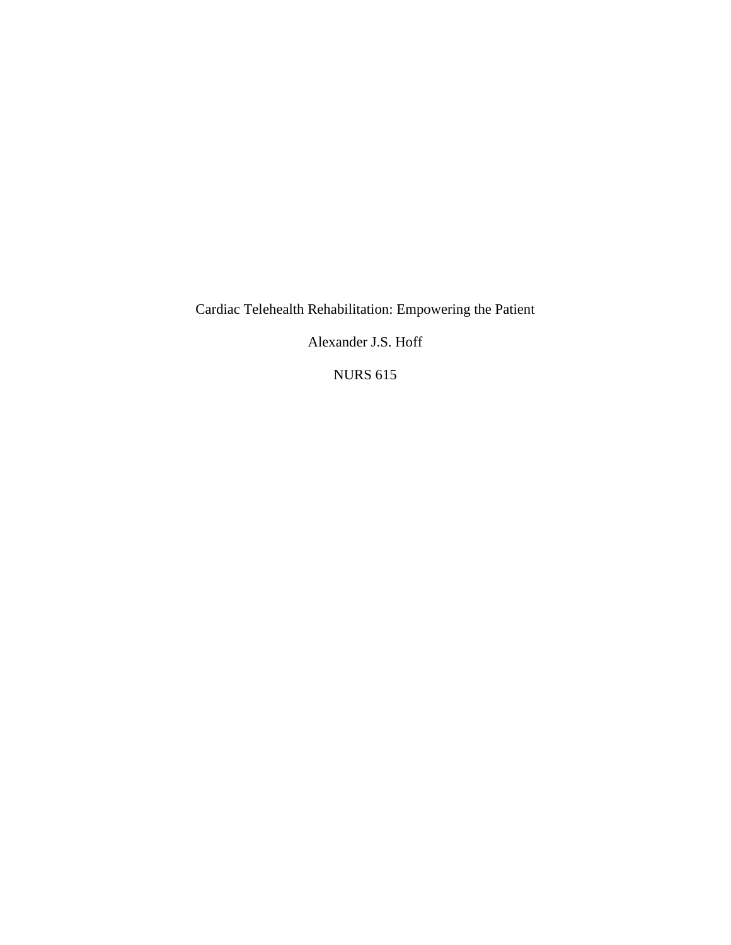Cardiac Telehealth Rehabilitation: Empowering the Patient

Alexander J.S. Hoff

NURS 615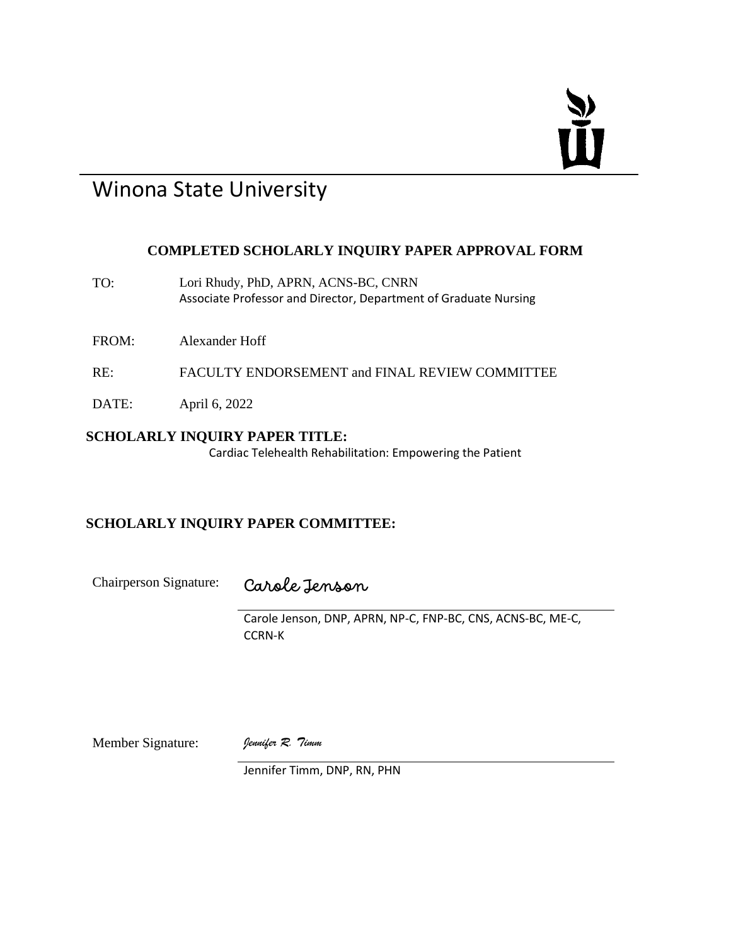# Ť

# Winona State University

## **COMPLETED SCHOLARLY INQUIRY PAPER APPROVAL FORM**

TO: Lori Rhudy, PhD, APRN, ACNS-BC, CNRN Associate Professor and Director, Department of Graduate Nursing

FROM: Alexander Hoff

- RE: FACULTY ENDORSEMENT and FINAL REVIEW COMMITTEE
- DATE: April 6, 2022

## **SCHOLARLY INQUIRY PAPER TITLE:**

Cardiac Telehealth Rehabilitation: Empowering the Patient

## **SCHOLARLY INQUIRY PAPER COMMITTEE:**

Chairperson Signature: Carole Jenson

Carole Jenson, DNP, APRN, NP-C, FNP-BC, CNS, ACNS-BC, ME-C, CCRN-K

Member Signature: *Jennifer R. Timm*

Jennifer Timm, DNP, RN, PHN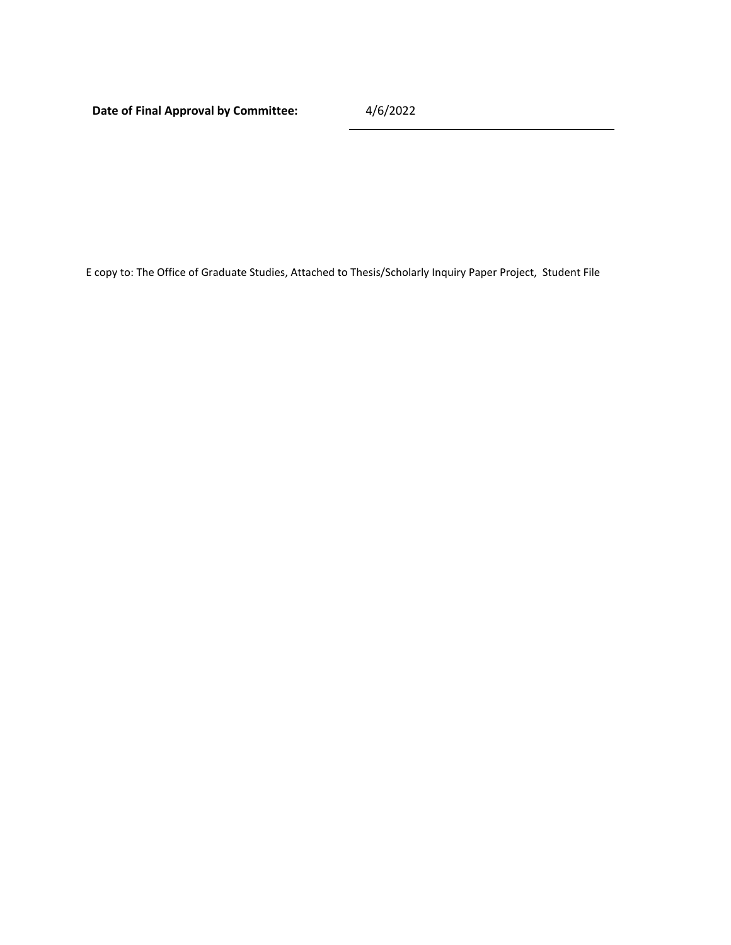**Date of Final Approval by Committee:** 4/6/2022

E copy to: The Office of Graduate Studies, Attached to Thesis/Scholarly Inquiry Paper Project, Student File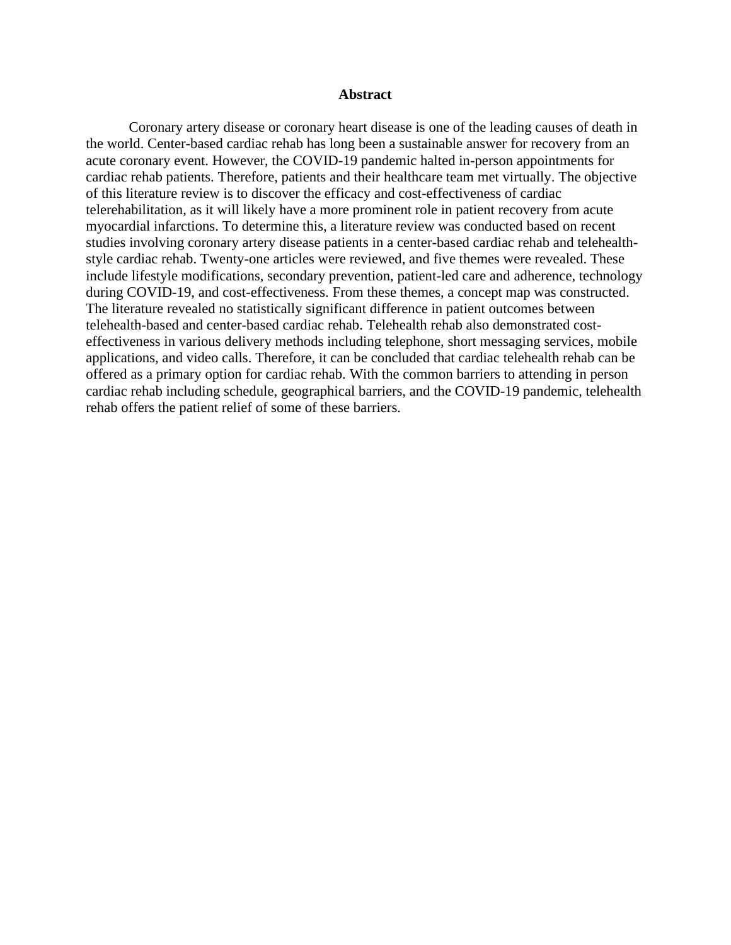#### **Abstract**

Coronary artery disease or coronary heart disease is one of the leading causes of death in the world. Center-based cardiac rehab has long been a sustainable answer for recovery from an acute coronary event. However, the COVID-19 pandemic halted in-person appointments for cardiac rehab patients. Therefore, patients and their healthcare team met virtually. The objective of this literature review is to discover the efficacy and cost-effectiveness of cardiac telerehabilitation, as it will likely have a more prominent role in patient recovery from acute myocardial infarctions. To determine this, a literature review was conducted based on recent studies involving coronary artery disease patients in a center-based cardiac rehab and telehealthstyle cardiac rehab. Twenty-one articles were reviewed, and five themes were revealed. These include lifestyle modifications, secondary prevention, patient-led care and adherence, technology during COVID-19, and cost-effectiveness. From these themes, a concept map was constructed. The literature revealed no statistically significant difference in patient outcomes between telehealth-based and center-based cardiac rehab. Telehealth rehab also demonstrated costeffectiveness in various delivery methods including telephone, short messaging services, mobile applications, and video calls. Therefore, it can be concluded that cardiac telehealth rehab can be offered as a primary option for cardiac rehab. With the common barriers to attending in person cardiac rehab including schedule, geographical barriers, and the COVID-19 pandemic, telehealth rehab offers the patient relief of some of these barriers.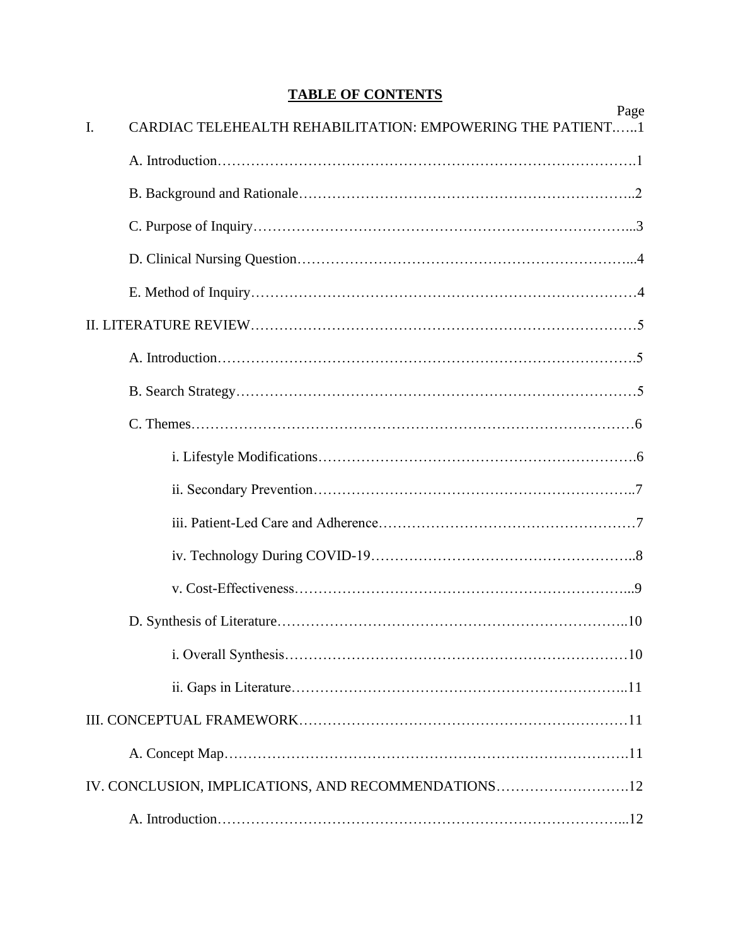# **TABLE OF CONTENTS**

|                | Page                                                       |
|----------------|------------------------------------------------------------|
| $\mathbf{I}$ . | CARDIAC TELEHEALTH REHABILITATION: EMPOWERING THE PATIENT1 |
|                |                                                            |
|                |                                                            |
|                |                                                            |
|                |                                                            |
|                |                                                            |
|                |                                                            |
|                |                                                            |
|                |                                                            |
|                |                                                            |
|                |                                                            |
|                |                                                            |
|                |                                                            |
|                |                                                            |
|                |                                                            |
|                |                                                            |
|                |                                                            |
|                |                                                            |
|                |                                                            |
|                |                                                            |
|                | IV. CONCLUSION, IMPLICATIONS, AND RECOMMENDATIONS12        |
|                |                                                            |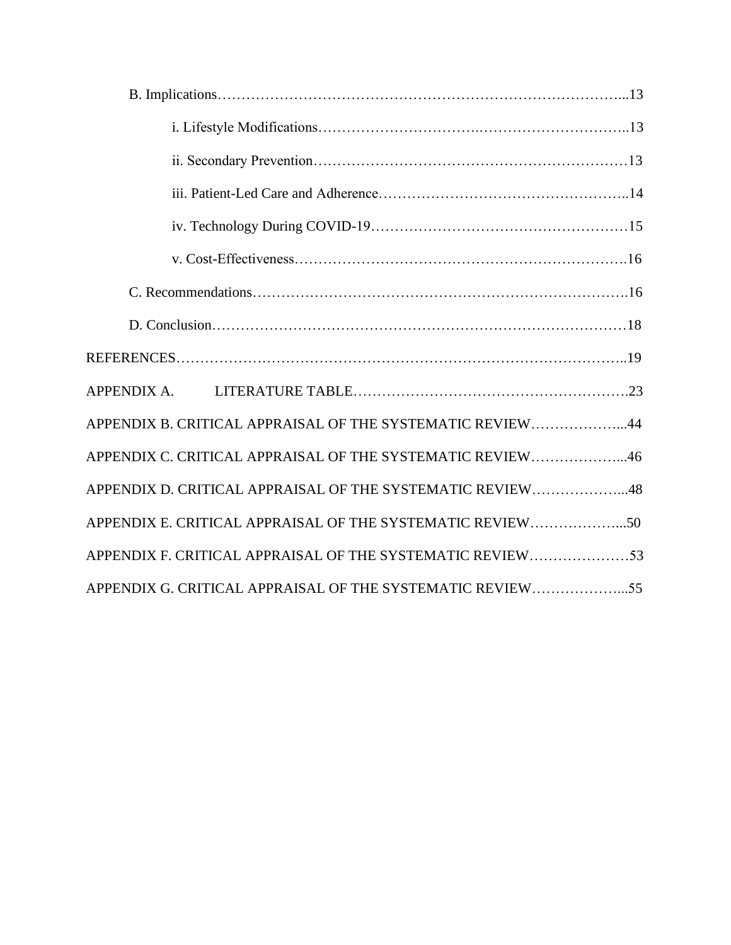| <b>APPENDIX A.</b>                                        |  |
|-----------------------------------------------------------|--|
| APPENDIX B. CRITICAL APPRAISAL OF THE SYSTEMATIC REVIEW44 |  |
| APPENDIX C. CRITICAL APPRAISAL OF THE SYSTEMATIC REVIEW46 |  |
| APPENDIX D. CRITICAL APPRAISAL OF THE SYSTEMATIC REVIEW48 |  |
| APPENDIX E. CRITICAL APPRAISAL OF THE SYSTEMATIC REVIEW50 |  |
| APPENDIX F. CRITICAL APPRAISAL OF THE SYSTEMATIC REVIEW53 |  |
| APPENDIX G. CRITICAL APPRAISAL OF THE SYSTEMATIC REVIEW55 |  |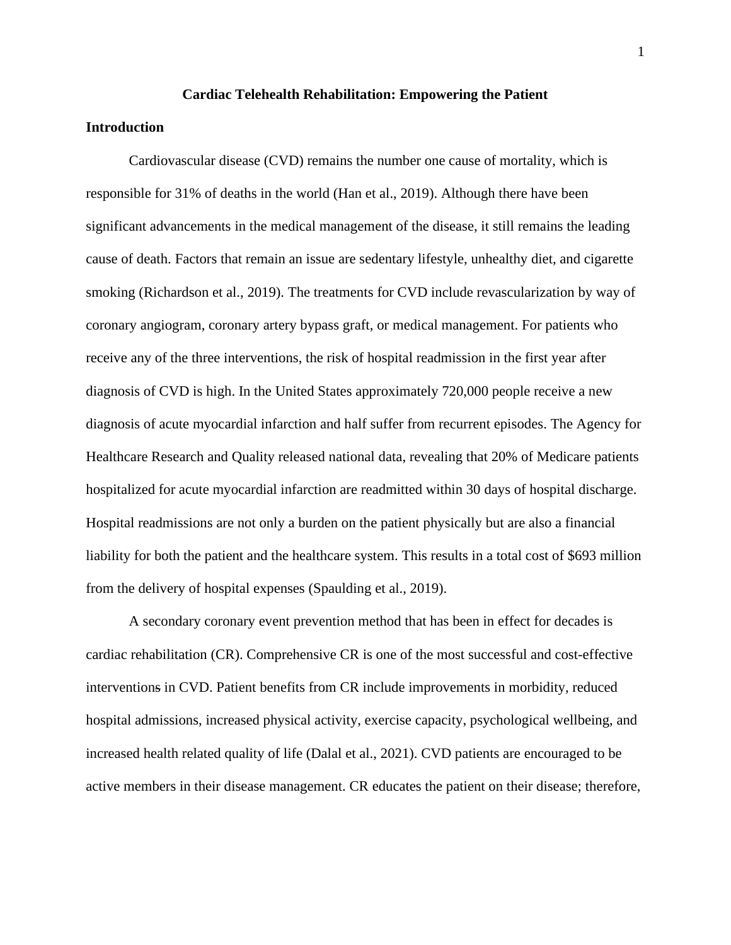#### **Cardiac Telehealth Rehabilitation: Empowering the Patient**

#### **Introduction**

Cardiovascular disease (CVD) remains the number one cause of mortality, which is responsible for 31% of deaths in the world (Han et al., 2019). Although there have been significant advancements in the medical management of the disease, it still remains the leading cause of death. Factors that remain an issue are sedentary lifestyle, unhealthy diet, and cigarette smoking (Richardson et al., 2019). The treatments for CVD include revascularization by way of coronary angiogram, coronary artery bypass graft, or medical management. For patients who receive any of the three interventions, the risk of hospital readmission in the first year after diagnosis of CVD is high. In the United States approximately 720,000 people receive a new diagnosis of acute myocardial infarction and half suffer from recurrent episodes. The Agency for Healthcare Research and Quality released national data, revealing that 20% of Medicare patients hospitalized for acute myocardial infarction are readmitted within 30 days of hospital discharge. Hospital readmissions are not only a burden on the patient physically but are also a financial liability for both the patient and the healthcare system. This results in a total cost of \$693 million from the delivery of hospital expenses (Spaulding et al., 2019).

A secondary coronary event prevention method that has been in effect for decades is cardiac rehabilitation (CR). Comprehensive CR is one of the most successful and cost-effective interventions in CVD. Patient benefits from CR include improvements in morbidity, reduced hospital admissions, increased physical activity, exercise capacity, psychological wellbeing, and increased health related quality of life (Dalal et al., 2021). CVD patients are encouraged to be active members in their disease management. CR educates the patient on their disease; therefore,

1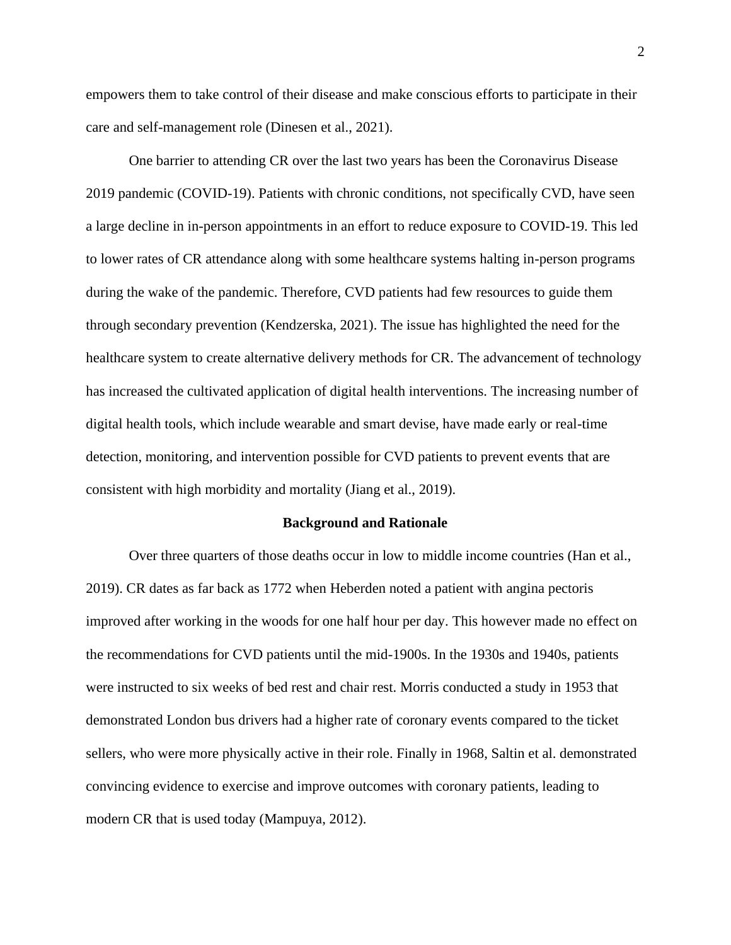empowers them to take control of their disease and make conscious efforts to participate in their care and self-management role (Dinesen et al., 2021).

One barrier to attending CR over the last two years has been the Coronavirus Disease 2019 pandemic (COVID-19). Patients with chronic conditions, not specifically CVD, have seen a large decline in in-person appointments in an effort to reduce exposure to COVID-19. This led to lower rates of CR attendance along with some healthcare systems halting in-person programs during the wake of the pandemic. Therefore, CVD patients had few resources to guide them through secondary prevention (Kendzerska, 2021). The issue has highlighted the need for the healthcare system to create alternative delivery methods for CR. The advancement of technology has increased the cultivated application of digital health interventions. The increasing number of digital health tools, which include wearable and smart devise, have made early or real-time detection, monitoring, and intervention possible for CVD patients to prevent events that are consistent with high morbidity and mortality (Jiang et al., 2019).

#### **Background and Rationale**

Over three quarters of those deaths occur in low to middle income countries (Han et al., 2019). CR dates as far back as 1772 when Heberden noted a patient with angina pectoris improved after working in the woods for one half hour per day. This however made no effect on the recommendations for CVD patients until the mid-1900s. In the 1930s and 1940s, patients were instructed to six weeks of bed rest and chair rest. Morris conducted a study in 1953 that demonstrated London bus drivers had a higher rate of coronary events compared to the ticket sellers, who were more physically active in their role. Finally in 1968, Saltin et al. demonstrated convincing evidence to exercise and improve outcomes with coronary patients, leading to modern CR that is used today (Mampuya, 2012).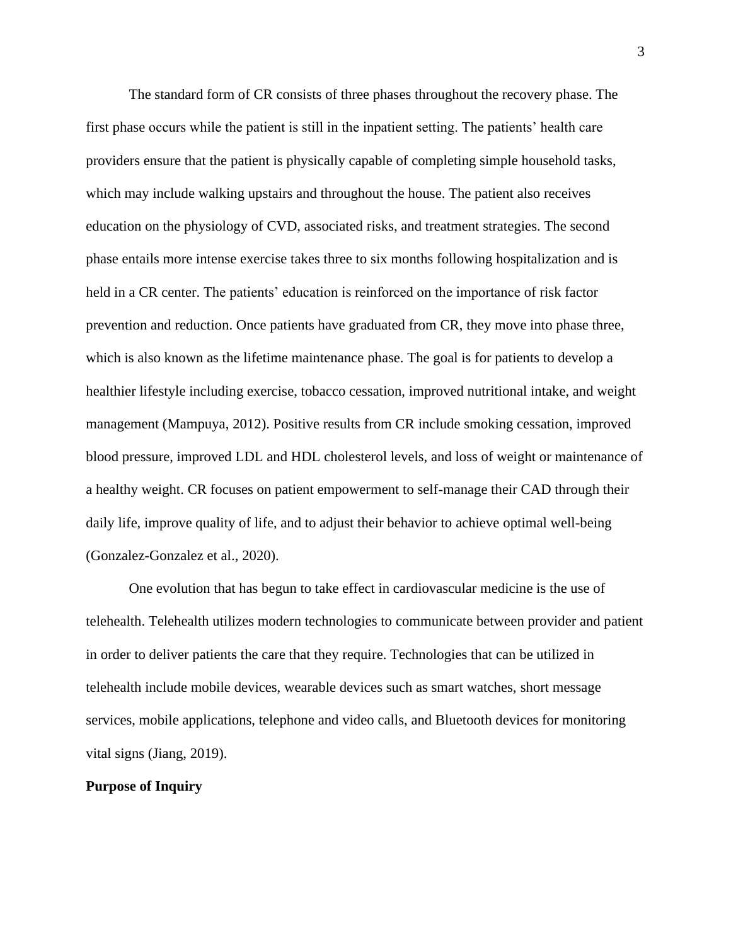The standard form of CR consists of three phases throughout the recovery phase. The first phase occurs while the patient is still in the inpatient setting. The patients' health care providers ensure that the patient is physically capable of completing simple household tasks, which may include walking upstairs and throughout the house. The patient also receives education on the physiology of CVD, associated risks, and treatment strategies. The second phase entails more intense exercise takes three to six months following hospitalization and is held in a CR center. The patients' education is reinforced on the importance of risk factor prevention and reduction. Once patients have graduated from CR, they move into phase three, which is also known as the lifetime maintenance phase. The goal is for patients to develop a healthier lifestyle including exercise, tobacco cessation, improved nutritional intake, and weight management (Mampuya, 2012). Positive results from CR include smoking cessation, improved blood pressure, improved LDL and HDL cholesterol levels, and loss of weight or maintenance of a healthy weight. CR focuses on patient empowerment to self-manage their CAD through their daily life, improve quality of life, and to adjust their behavior to achieve optimal well-being (Gonzalez-Gonzalez et al., 2020).

One evolution that has begun to take effect in cardiovascular medicine is the use of telehealth. Telehealth utilizes modern technologies to communicate between provider and patient in order to deliver patients the care that they require. Technologies that can be utilized in telehealth include mobile devices, wearable devices such as smart watches, short message services, mobile applications, telephone and video calls, and Bluetooth devices for monitoring vital signs (Jiang, 2019).

#### **Purpose of Inquiry**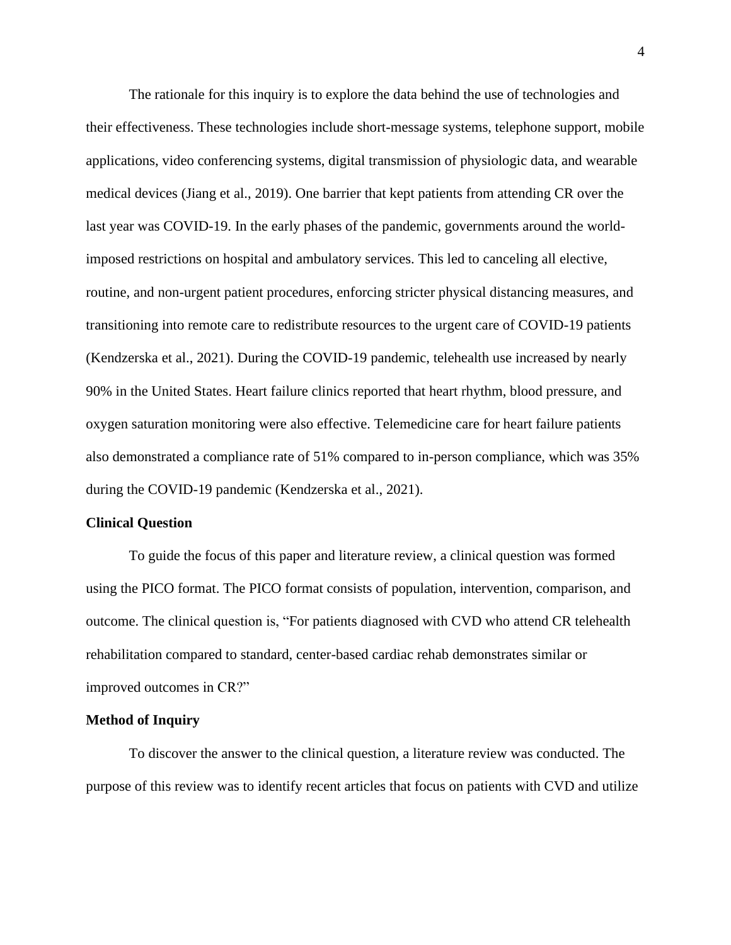The rationale for this inquiry is to explore the data behind the use of technologies and their effectiveness. These technologies include short-message systems, telephone support, mobile applications, video conferencing systems, digital transmission of physiologic data, and wearable medical devices (Jiang et al., 2019). One barrier that kept patients from attending CR over the last year was COVID-19. In the early phases of the pandemic, governments around the worldimposed restrictions on hospital and ambulatory services. This led to canceling all elective, routine, and non-urgent patient procedures, enforcing stricter physical distancing measures, and transitioning into remote care to redistribute resources to the urgent care of COVID-19 patients (Kendzerska et al., 2021). During the COVID-19 pandemic, telehealth use increased by nearly 90% in the United States. Heart failure clinics reported that heart rhythm, blood pressure, and oxygen saturation monitoring were also effective. Telemedicine care for heart failure patients also demonstrated a compliance rate of 51% compared to in-person compliance, which was 35% during the COVID-19 pandemic (Kendzerska et al., 2021).

#### **Clinical Question**

To guide the focus of this paper and literature review, a clinical question was formed using the PICO format. The PICO format consists of population, intervention, comparison, and outcome. The clinical question is, "For patients diagnosed with CVD who attend CR telehealth rehabilitation compared to standard, center-based cardiac rehab demonstrates similar or improved outcomes in CR?"

#### **Method of Inquiry**

To discover the answer to the clinical question, a literature review was conducted. The purpose of this review was to identify recent articles that focus on patients with CVD and utilize

4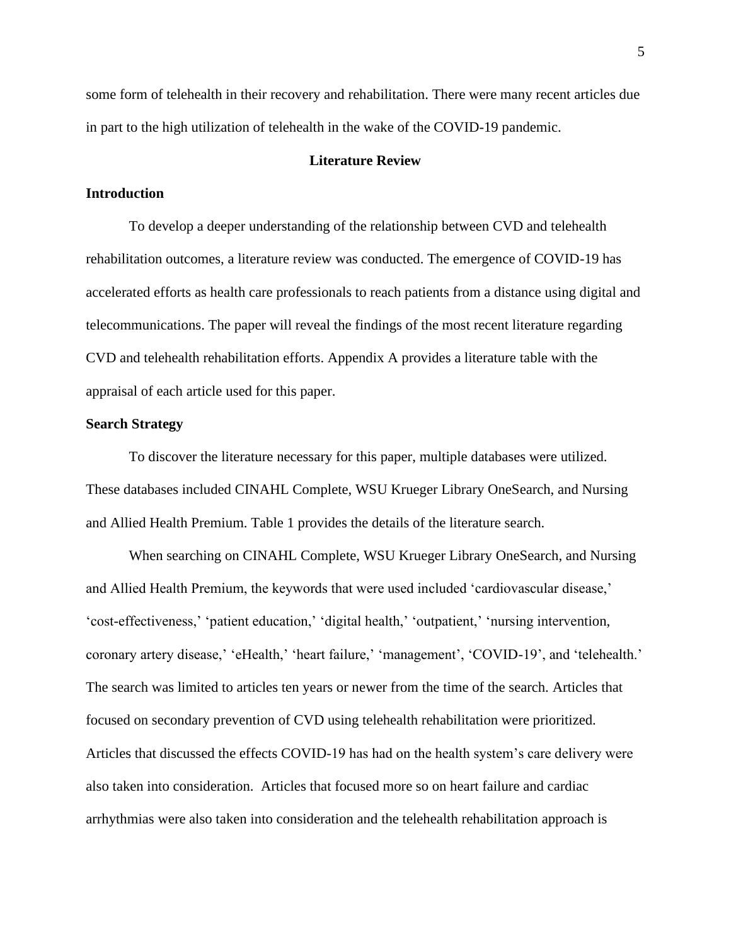some form of telehealth in their recovery and rehabilitation. There were many recent articles due in part to the high utilization of telehealth in the wake of the COVID-19 pandemic.

#### **Literature Review**

#### **Introduction**

To develop a deeper understanding of the relationship between CVD and telehealth rehabilitation outcomes, a literature review was conducted. The emergence of COVID-19 has accelerated efforts as health care professionals to reach patients from a distance using digital and telecommunications. The paper will reveal the findings of the most recent literature regarding CVD and telehealth rehabilitation efforts. Appendix A provides a literature table with the appraisal of each article used for this paper.

#### **Search Strategy**

To discover the literature necessary for this paper, multiple databases were utilized. These databases included CINAHL Complete, WSU Krueger Library OneSearch, and Nursing and Allied Health Premium. Table 1 provides the details of the literature search.

When searching on CINAHL Complete, WSU Krueger Library OneSearch, and Nursing and Allied Health Premium, the keywords that were used included 'cardiovascular disease,' 'cost-effectiveness,' 'patient education,' 'digital health,' 'outpatient,' 'nursing intervention, coronary artery disease,' 'eHealth,' 'heart failure,' 'management', 'COVID-19', and 'telehealth.' The search was limited to articles ten years or newer from the time of the search. Articles that focused on secondary prevention of CVD using telehealth rehabilitation were prioritized. Articles that discussed the effects COVID-19 has had on the health system's care delivery were also taken into consideration. Articles that focused more so on heart failure and cardiac arrhythmias were also taken into consideration and the telehealth rehabilitation approach is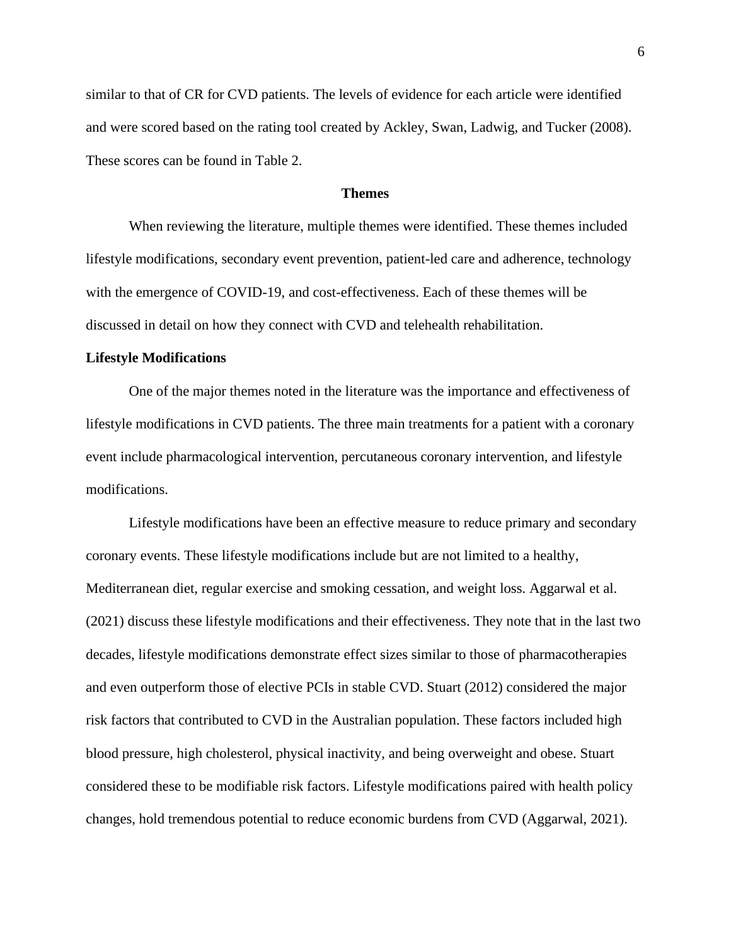similar to that of CR for CVD patients. The levels of evidence for each article were identified and were scored based on the rating tool created by Ackley, Swan, Ladwig, and Tucker (2008). These scores can be found in Table 2.

#### **Themes**

When reviewing the literature, multiple themes were identified. These themes included lifestyle modifications, secondary event prevention, patient-led care and adherence, technology with the emergence of COVID-19, and cost-effectiveness. Each of these themes will be discussed in detail on how they connect with CVD and telehealth rehabilitation.

#### **Lifestyle Modifications**

One of the major themes noted in the literature was the importance and effectiveness of lifestyle modifications in CVD patients. The three main treatments for a patient with a coronary event include pharmacological intervention, percutaneous coronary intervention, and lifestyle modifications.

Lifestyle modifications have been an effective measure to reduce primary and secondary coronary events. These lifestyle modifications include but are not limited to a healthy, Mediterranean diet, regular exercise and smoking cessation, and weight loss. Aggarwal et al. (2021) discuss these lifestyle modifications and their effectiveness. They note that in the last two decades, lifestyle modifications demonstrate effect sizes similar to those of pharmacotherapies and even outperform those of elective PCIs in stable CVD. Stuart (2012) considered the major risk factors that contributed to CVD in the Australian population. These factors included high blood pressure, high cholesterol, physical inactivity, and being overweight and obese. Stuart considered these to be modifiable risk factors. Lifestyle modifications paired with health policy changes, hold tremendous potential to reduce economic burdens from CVD (Aggarwal, 2021).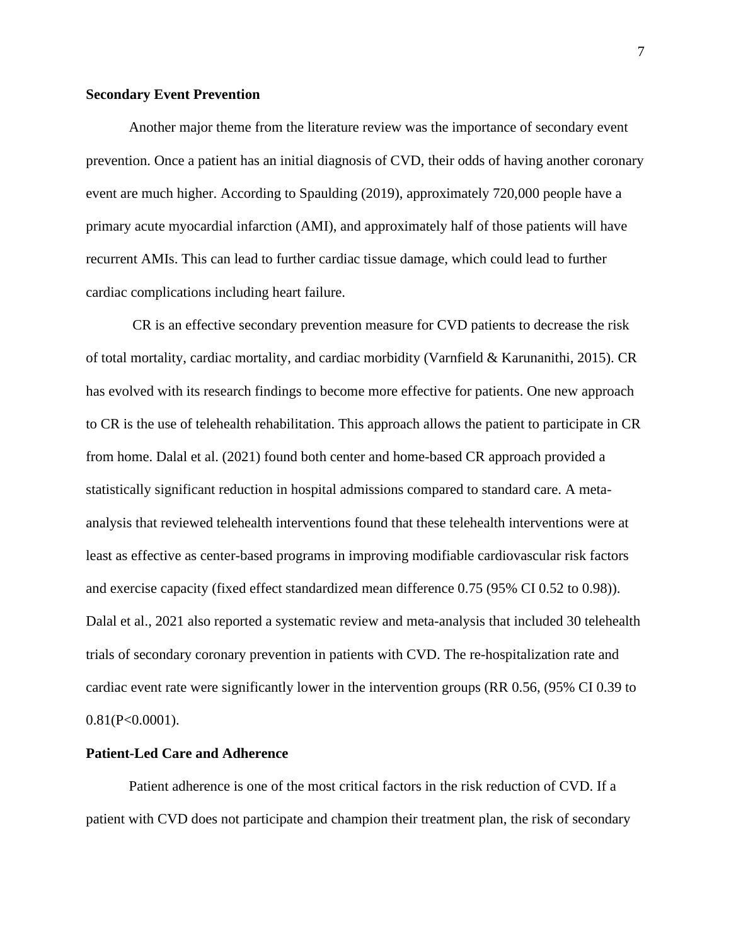#### **Secondary Event Prevention**

Another major theme from the literature review was the importance of secondary event prevention. Once a patient has an initial diagnosis of CVD, their odds of having another coronary event are much higher. According to Spaulding (2019), approximately 720,000 people have a primary acute myocardial infarction (AMI), and approximately half of those patients will have recurrent AMIs. This can lead to further cardiac tissue damage, which could lead to further cardiac complications including heart failure.

CR is an effective secondary prevention measure for CVD patients to decrease the risk of total mortality, cardiac mortality, and cardiac morbidity (Varnfield & Karunanithi, 2015). CR has evolved with its research findings to become more effective for patients. One new approach to CR is the use of telehealth rehabilitation. This approach allows the patient to participate in CR from home. Dalal et al. (2021) found both center and home-based CR approach provided a statistically significant reduction in hospital admissions compared to standard care. A metaanalysis that reviewed telehealth interventions found that these telehealth interventions were at least as effective as center-based programs in improving modifiable cardiovascular risk factors and exercise capacity (fixed effect standardized mean difference 0.75 (95% CI 0.52 to 0.98)). Dalal et al., 2021 also reported a systematic review and meta-analysis that included 30 telehealth trials of secondary coronary prevention in patients with CVD. The re-hospitalization rate and cardiac event rate were significantly lower in the intervention groups (RR 0.56, (95% CI 0.39 to  $0.81(P<0.0001)$ .

#### **Patient-Led Care and Adherence**

Patient adherence is one of the most critical factors in the risk reduction of CVD. If a patient with CVD does not participate and champion their treatment plan, the risk of secondary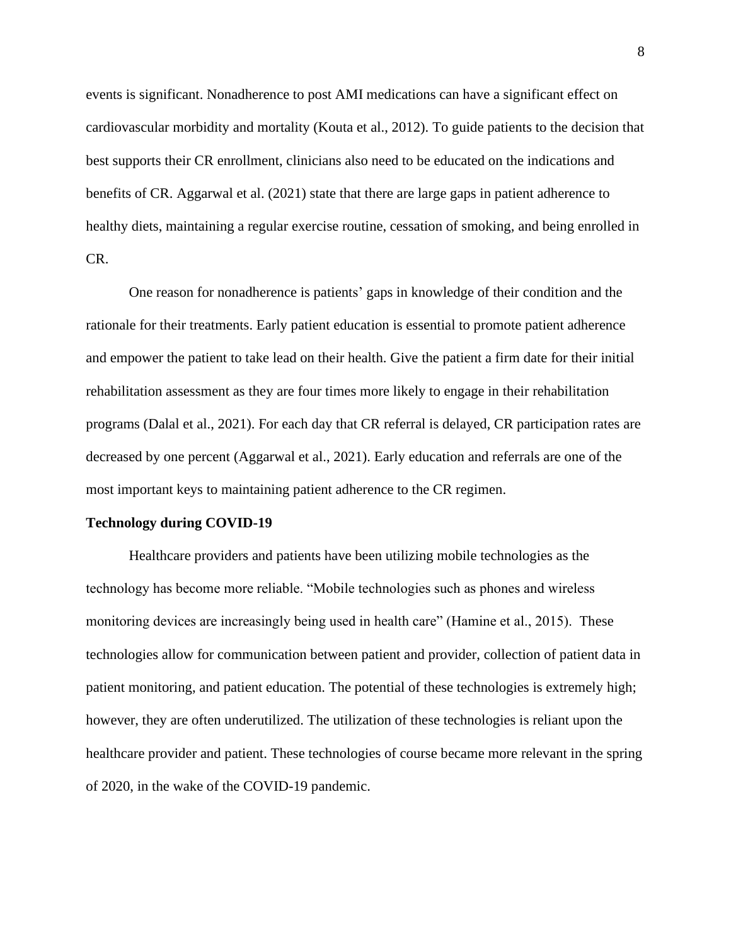events is significant. Nonadherence to post AMI medications can have a significant effect on cardiovascular morbidity and mortality (Kouta et al., 2012). To guide patients to the decision that best supports their CR enrollment, clinicians also need to be educated on the indications and benefits of CR. Aggarwal et al. (2021) state that there are large gaps in patient adherence to healthy diets, maintaining a regular exercise routine, cessation of smoking, and being enrolled in CR.

One reason for nonadherence is patients' gaps in knowledge of their condition and the rationale for their treatments. Early patient education is essential to promote patient adherence and empower the patient to take lead on their health. Give the patient a firm date for their initial rehabilitation assessment as they are four times more likely to engage in their rehabilitation programs (Dalal et al., 2021). For each day that CR referral is delayed, CR participation rates are decreased by one percent (Aggarwal et al., 2021). Early education and referrals are one of the most important keys to maintaining patient adherence to the CR regimen.

#### **Technology during COVID-19**

Healthcare providers and patients have been utilizing mobile technologies as the technology has become more reliable. "Mobile technologies such as phones and wireless monitoring devices are increasingly being used in health care" (Hamine et al., 2015). These technologies allow for communication between patient and provider, collection of patient data in patient monitoring, and patient education. The potential of these technologies is extremely high; however, they are often underutilized. The utilization of these technologies is reliant upon the healthcare provider and patient. These technologies of course became more relevant in the spring of 2020, in the wake of the COVID-19 pandemic.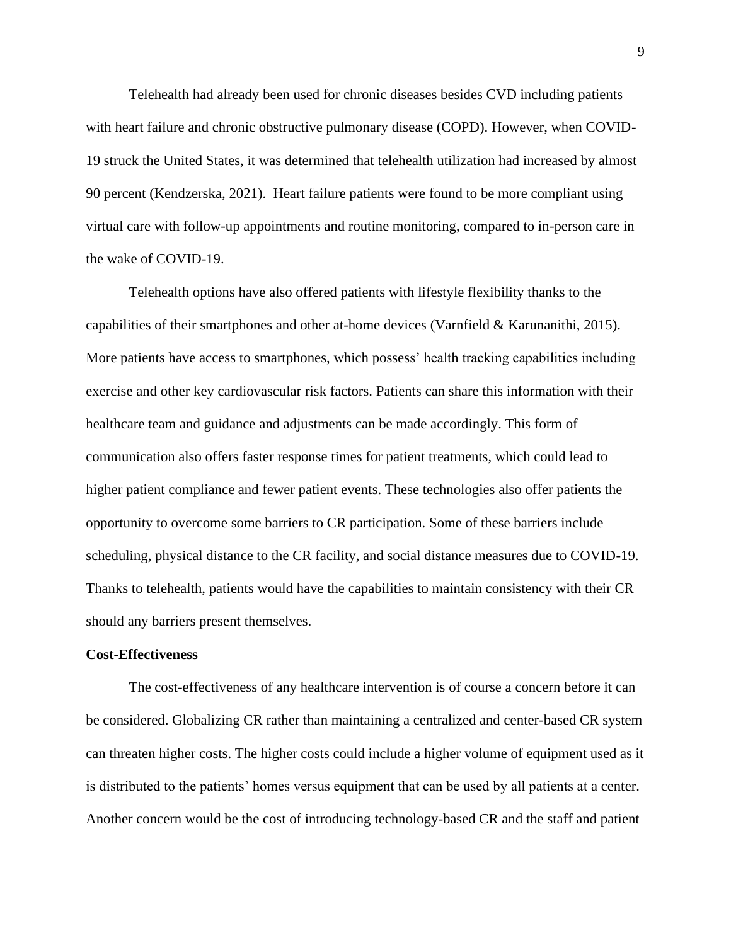Telehealth had already been used for chronic diseases besides CVD including patients with heart failure and chronic obstructive pulmonary disease (COPD). However, when COVID-19 struck the United States, it was determined that telehealth utilization had increased by almost 90 percent (Kendzerska, 2021). Heart failure patients were found to be more compliant using virtual care with follow-up appointments and routine monitoring, compared to in-person care in the wake of COVID-19.

Telehealth options have also offered patients with lifestyle flexibility thanks to the capabilities of their smartphones and other at-home devices (Varnfield & Karunanithi, 2015). More patients have access to smartphones, which possess' health tracking capabilities including exercise and other key cardiovascular risk factors. Patients can share this information with their healthcare team and guidance and adjustments can be made accordingly. This form of communication also offers faster response times for patient treatments, which could lead to higher patient compliance and fewer patient events. These technologies also offer patients the opportunity to overcome some barriers to CR participation. Some of these barriers include scheduling, physical distance to the CR facility, and social distance measures due to COVID-19. Thanks to telehealth, patients would have the capabilities to maintain consistency with their CR should any barriers present themselves.

#### **Cost-Effectiveness**

The cost-effectiveness of any healthcare intervention is of course a concern before it can be considered. Globalizing CR rather than maintaining a centralized and center-based CR system can threaten higher costs. The higher costs could include a higher volume of equipment used as it is distributed to the patients' homes versus equipment that can be used by all patients at a center. Another concern would be the cost of introducing technology-based CR and the staff and patient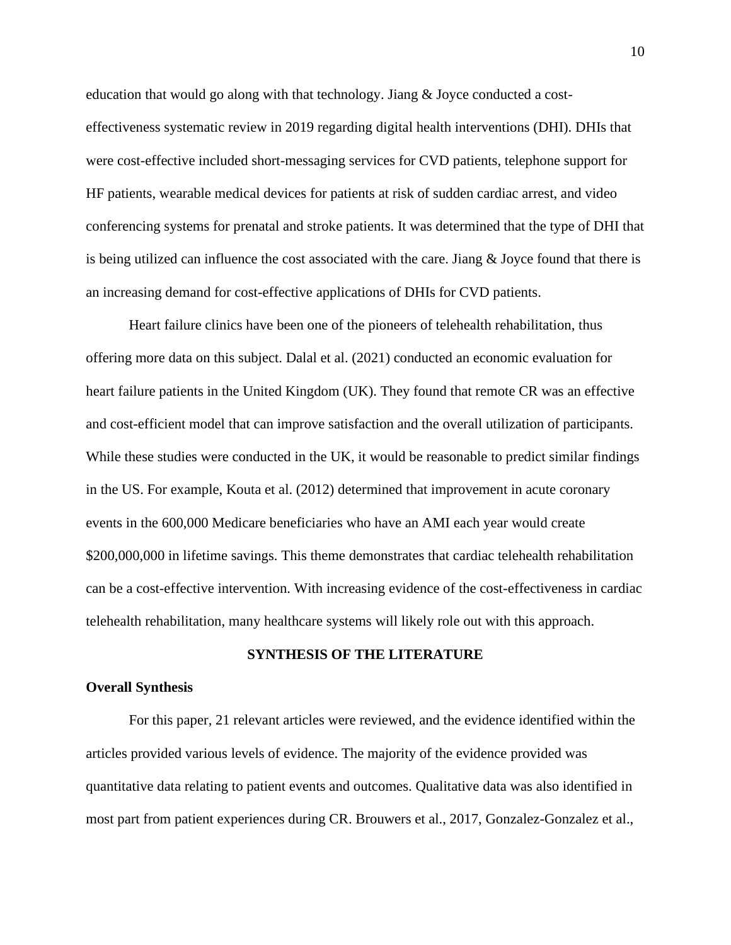education that would go along with that technology. Jiang & Joyce conducted a costeffectiveness systematic review in 2019 regarding digital health interventions (DHI). DHIs that were cost-effective included short-messaging services for CVD patients, telephone support for HF patients, wearable medical devices for patients at risk of sudden cardiac arrest, and video conferencing systems for prenatal and stroke patients. It was determined that the type of DHI that is being utilized can influence the cost associated with the care. Jiang & Joyce found that there is an increasing demand for cost-effective applications of DHIs for CVD patients.

Heart failure clinics have been one of the pioneers of telehealth rehabilitation, thus offering more data on this subject. Dalal et al. (2021) conducted an economic evaluation for heart failure patients in the United Kingdom (UK). They found that remote CR was an effective and cost-efficient model that can improve satisfaction and the overall utilization of participants. While these studies were conducted in the UK, it would be reasonable to predict similar findings in the US. For example, Kouta et al. (2012) determined that improvement in acute coronary events in the 600,000 Medicare beneficiaries who have an AMI each year would create \$200,000,000 in lifetime savings. This theme demonstrates that cardiac telehealth rehabilitation can be a cost-effective intervention. With increasing evidence of the cost-effectiveness in cardiac telehealth rehabilitation, many healthcare systems will likely role out with this approach.

#### **SYNTHESIS OF THE LITERATURE**

#### **Overall Synthesis**

For this paper, 21 relevant articles were reviewed, and the evidence identified within the articles provided various levels of evidence. The majority of the evidence provided was quantitative data relating to patient events and outcomes. Qualitative data was also identified in most part from patient experiences during CR. Brouwers et al., 2017, Gonzalez-Gonzalez et al.,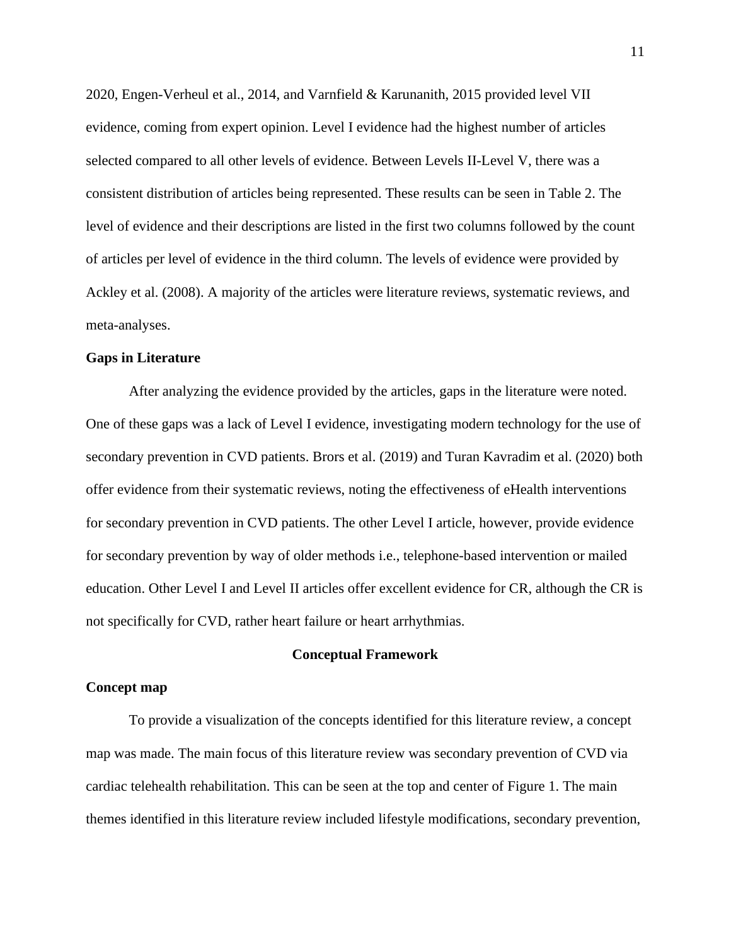2020, Engen-Verheul et al., 2014, and Varnfield & Karunanith, 2015 provided level VII evidence, coming from expert opinion. Level I evidence had the highest number of articles selected compared to all other levels of evidence. Between Levels II-Level V, there was a consistent distribution of articles being represented. These results can be seen in Table 2. The level of evidence and their descriptions are listed in the first two columns followed by the count of articles per level of evidence in the third column. The levels of evidence were provided by Ackley et al. (2008). A majority of the articles were literature reviews, systematic reviews, and meta-analyses.

#### **Gaps in Literature**

After analyzing the evidence provided by the articles, gaps in the literature were noted. One of these gaps was a lack of Level I evidence, investigating modern technology for the use of secondary prevention in CVD patients. Brors et al. (2019) and Turan Kavradim et al. (2020) both offer evidence from their systematic reviews, noting the effectiveness of eHealth interventions for secondary prevention in CVD patients. The other Level I article, however, provide evidence for secondary prevention by way of older methods i.e., telephone-based intervention or mailed education. Other Level I and Level II articles offer excellent evidence for CR, although the CR is not specifically for CVD, rather heart failure or heart arrhythmias.

#### **Conceptual Framework**

#### **Concept map**

To provide a visualization of the concepts identified for this literature review, a concept map was made. The main focus of this literature review was secondary prevention of CVD via cardiac telehealth rehabilitation. This can be seen at the top and center of Figure 1. The main themes identified in this literature review included lifestyle modifications, secondary prevention,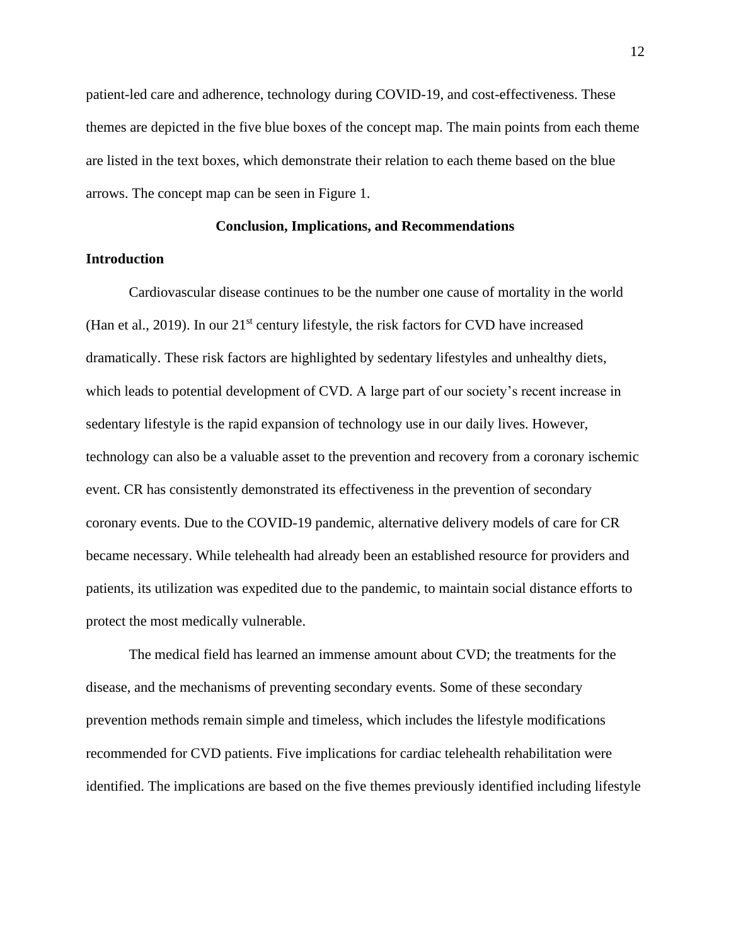patient-led care and adherence, technology during COVID-19, and cost-effectiveness. These themes are depicted in the five blue boxes of the concept map. The main points from each theme are listed in the text boxes, which demonstrate their relation to each theme based on the blue arrows. The concept map can be seen in Figure 1.

#### **Conclusion, Implications, and Recommendations**

#### **Introduction**

Cardiovascular disease continues to be the number one cause of mortality in the world (Han et al., 2019). In our  $21<sup>st</sup>$  century lifestyle, the risk factors for CVD have increased dramatically. These risk factors are highlighted by sedentary lifestyles and unhealthy diets, which leads to potential development of CVD. A large part of our society's recent increase in sedentary lifestyle is the rapid expansion of technology use in our daily lives. However, technology can also be a valuable asset to the prevention and recovery from a coronary ischemic event. CR has consistently demonstrated its effectiveness in the prevention of secondary coronary events. Due to the COVID-19 pandemic, alternative delivery models of care for CR became necessary. While telehealth had already been an established resource for providers and patients, its utilization was expedited due to the pandemic, to maintain social distance efforts to protect the most medically vulnerable.

The medical field has learned an immense amount about CVD; the treatments for the disease, and the mechanisms of preventing secondary events. Some of these secondary prevention methods remain simple and timeless, which includes the lifestyle modifications recommended for CVD patients. Five implications for cardiac telehealth rehabilitation were identified. The implications are based on the five themes previously identified including lifestyle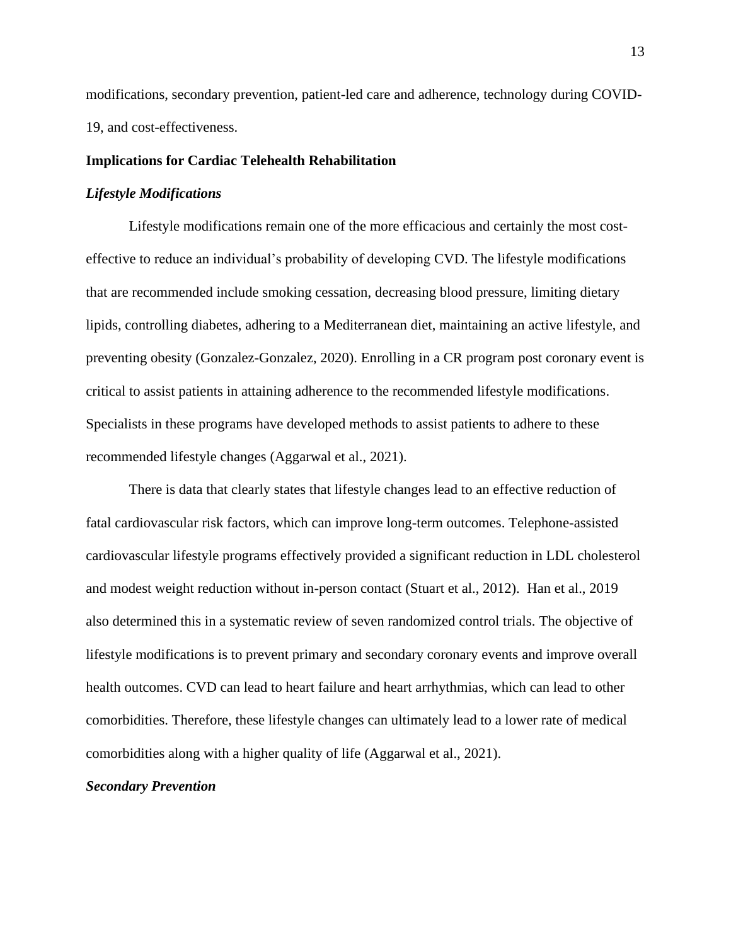modifications, secondary prevention, patient-led care and adherence, technology during COVID-19, and cost-effectiveness.

#### **Implications for Cardiac Telehealth Rehabilitation**

#### *Lifestyle Modifications*

Lifestyle modifications remain one of the more efficacious and certainly the most costeffective to reduce an individual's probability of developing CVD. The lifestyle modifications that are recommended include smoking cessation, decreasing blood pressure, limiting dietary lipids, controlling diabetes, adhering to a Mediterranean diet, maintaining an active lifestyle, and preventing obesity (Gonzalez-Gonzalez, 2020). Enrolling in a CR program post coronary event is critical to assist patients in attaining adherence to the recommended lifestyle modifications. Specialists in these programs have developed methods to assist patients to adhere to these recommended lifestyle changes (Aggarwal et al., 2021).

There is data that clearly states that lifestyle changes lead to an effective reduction of fatal cardiovascular risk factors, which can improve long-term outcomes. Telephone-assisted cardiovascular lifestyle programs effectively provided a significant reduction in LDL cholesterol and modest weight reduction without in-person contact (Stuart et al., 2012). Han et al., 2019 also determined this in a systematic review of seven randomized control trials. The objective of lifestyle modifications is to prevent primary and secondary coronary events and improve overall health outcomes. CVD can lead to heart failure and heart arrhythmias, which can lead to other comorbidities. Therefore, these lifestyle changes can ultimately lead to a lower rate of medical comorbidities along with a higher quality of life (Aggarwal et al., 2021).

#### *Secondary Prevention*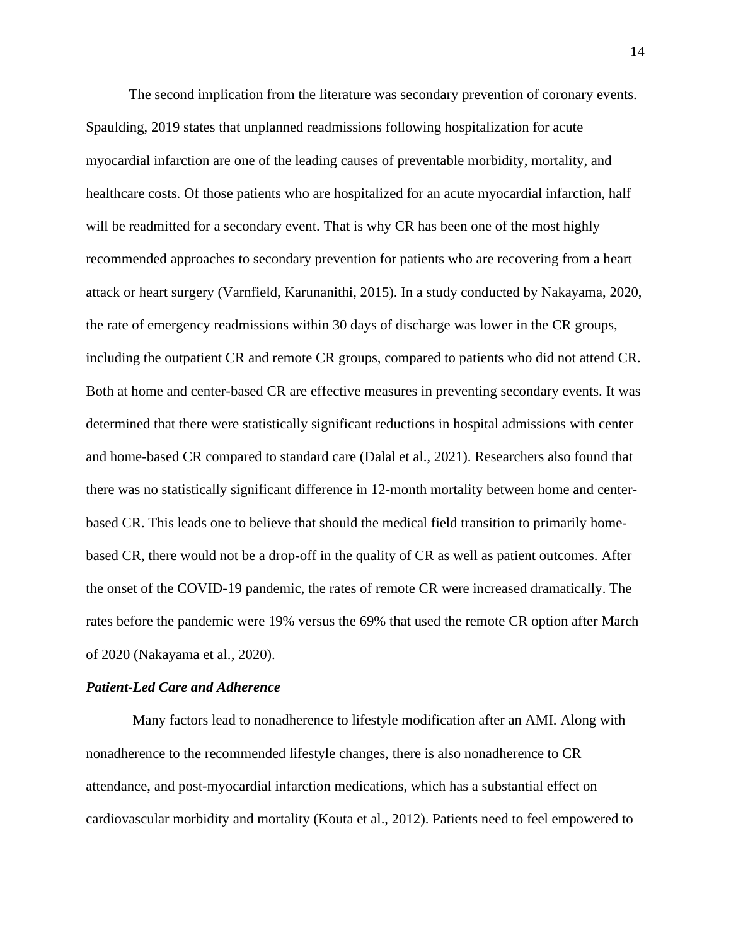The second implication from the literature was secondary prevention of coronary events. Spaulding, 2019 states that unplanned readmissions following hospitalization for acute myocardial infarction are one of the leading causes of preventable morbidity, mortality, and healthcare costs. Of those patients who are hospitalized for an acute myocardial infarction, half will be readmitted for a secondary event. That is why CR has been one of the most highly recommended approaches to secondary prevention for patients who are recovering from a heart attack or heart surgery (Varnfield, Karunanithi, 2015). In a study conducted by Nakayama, 2020, the rate of emergency readmissions within 30 days of discharge was lower in the CR groups, including the outpatient CR and remote CR groups, compared to patients who did not attend CR. Both at home and center-based CR are effective measures in preventing secondary events. It was determined that there were statistically significant reductions in hospital admissions with center and home-based CR compared to standard care (Dalal et al., 2021). Researchers also found that there was no statistically significant difference in 12-month mortality between home and centerbased CR. This leads one to believe that should the medical field transition to primarily homebased CR, there would not be a drop-off in the quality of CR as well as patient outcomes. After the onset of the COVID-19 pandemic, the rates of remote CR were increased dramatically. The rates before the pandemic were 19% versus the 69% that used the remote CR option after March of 2020 (Nakayama et al., 2020).

#### *Patient-Led Care and Adherence*

Many factors lead to nonadherence to lifestyle modification after an AMI. Along with nonadherence to the recommended lifestyle changes, there is also nonadherence to CR attendance, and post-myocardial infarction medications, which has a substantial effect on cardiovascular morbidity and mortality (Kouta et al., 2012). Patients need to feel empowered to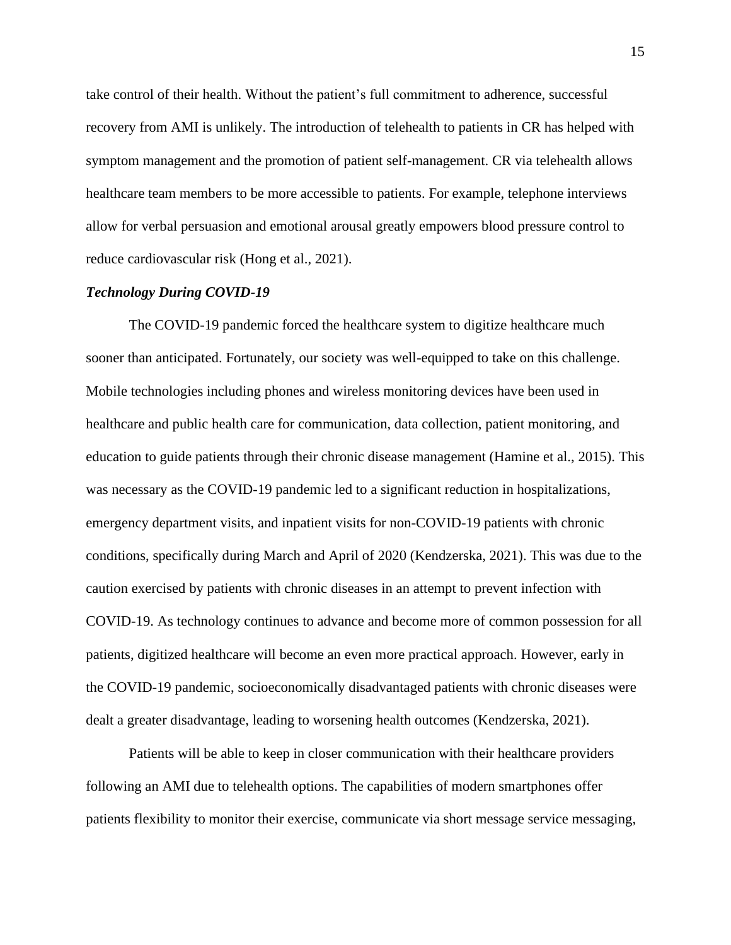take control of their health. Without the patient's full commitment to adherence, successful recovery from AMI is unlikely. The introduction of telehealth to patients in CR has helped with symptom management and the promotion of patient self-management. CR via telehealth allows healthcare team members to be more accessible to patients. For example, telephone interviews allow for verbal persuasion and emotional arousal greatly empowers blood pressure control to reduce cardiovascular risk (Hong et al., 2021).

#### *Technology During COVID-19*

The COVID-19 pandemic forced the healthcare system to digitize healthcare much sooner than anticipated. Fortunately, our society was well-equipped to take on this challenge. Mobile technologies including phones and wireless monitoring devices have been used in healthcare and public health care for communication, data collection, patient monitoring, and education to guide patients through their chronic disease management (Hamine et al., 2015). This was necessary as the COVID-19 pandemic led to a significant reduction in hospitalizations, emergency department visits, and inpatient visits for non-COVID-19 patients with chronic conditions, specifically during March and April of 2020 (Kendzerska, 2021). This was due to the caution exercised by patients with chronic diseases in an attempt to prevent infection with COVID-19. As technology continues to advance and become more of common possession for all patients, digitized healthcare will become an even more practical approach. However, early in the COVID-19 pandemic, socioeconomically disadvantaged patients with chronic diseases were dealt a greater disadvantage, leading to worsening health outcomes (Kendzerska, 2021).

Patients will be able to keep in closer communication with their healthcare providers following an AMI due to telehealth options. The capabilities of modern smartphones offer patients flexibility to monitor their exercise, communicate via short message service messaging,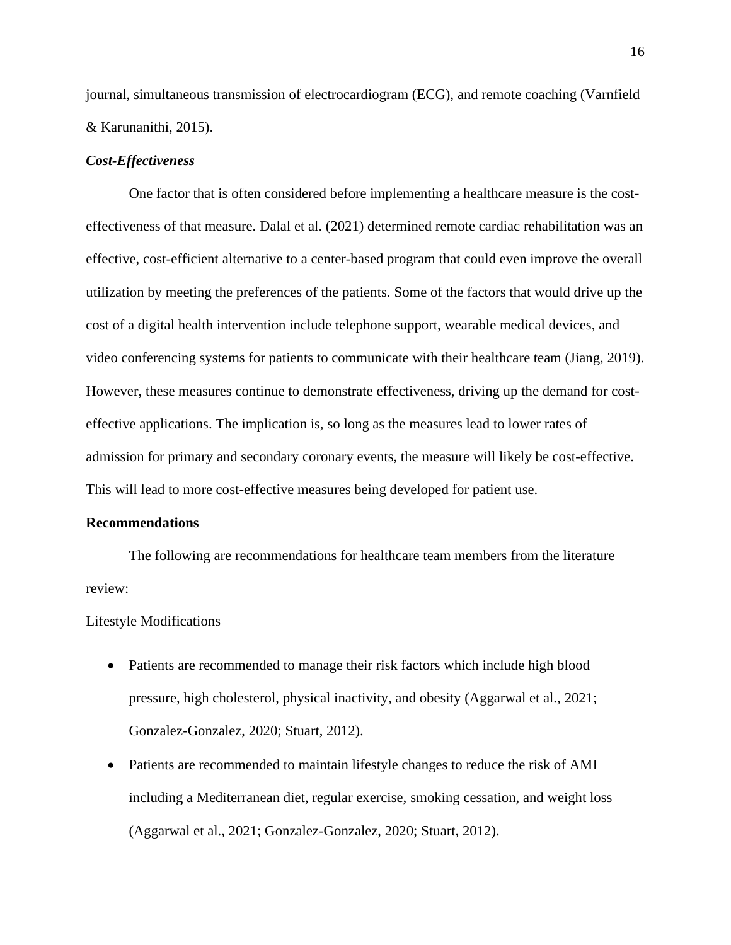journal, simultaneous transmission of electrocardiogram (ECG), and remote coaching (Varnfield & Karunanithi, 2015).

#### *Cost-Effectiveness*

One factor that is often considered before implementing a healthcare measure is the costeffectiveness of that measure. Dalal et al. (2021) determined remote cardiac rehabilitation was an effective, cost-efficient alternative to a center-based program that could even improve the overall utilization by meeting the preferences of the patients. Some of the factors that would drive up the cost of a digital health intervention include telephone support, wearable medical devices, and video conferencing systems for patients to communicate with their healthcare team (Jiang, 2019). However, these measures continue to demonstrate effectiveness, driving up the demand for costeffective applications. The implication is, so long as the measures lead to lower rates of admission for primary and secondary coronary events, the measure will likely be cost-effective. This will lead to more cost-effective measures being developed for patient use.

#### **Recommendations**

The following are recommendations for healthcare team members from the literature review:

Lifestyle Modifications

- Patients are recommended to manage their risk factors which include high blood pressure, high cholesterol, physical inactivity, and obesity (Aggarwal et al., 2021; Gonzalez-Gonzalez, 2020; Stuart, 2012).
- Patients are recommended to maintain lifestyle changes to reduce the risk of AMI including a Mediterranean diet, regular exercise, smoking cessation, and weight loss (Aggarwal et al., 2021; Gonzalez-Gonzalez, 2020; Stuart, 2012).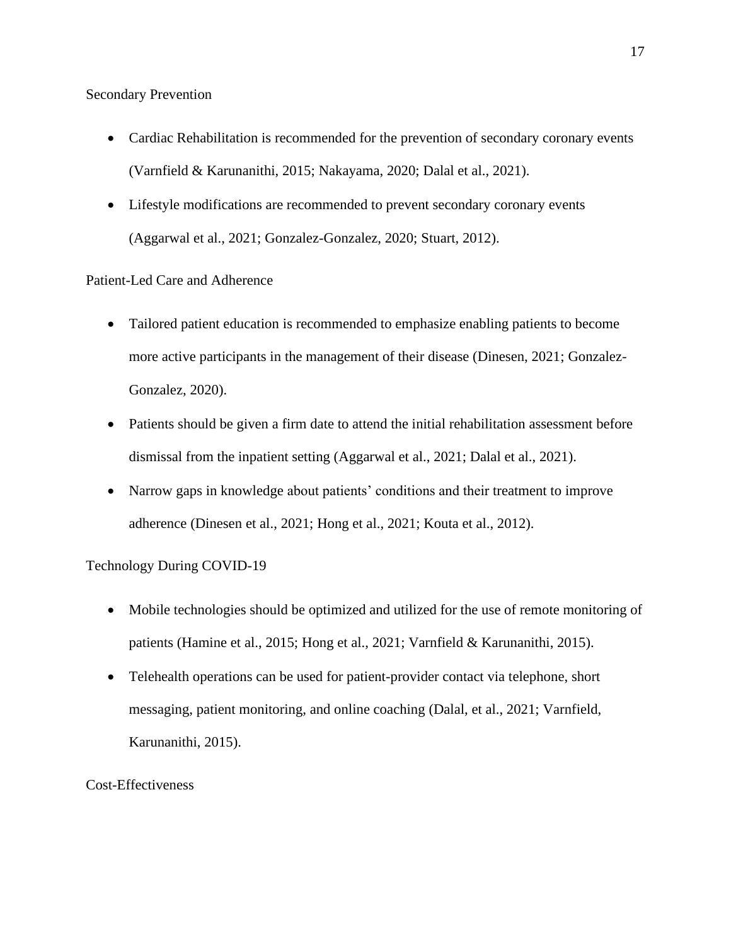Secondary Prevention

- Cardiac Rehabilitation is recommended for the prevention of secondary coronary events (Varnfield & Karunanithi, 2015; Nakayama, 2020; Dalal et al., 2021).
- Lifestyle modifications are recommended to prevent secondary coronary events (Aggarwal et al., 2021; Gonzalez-Gonzalez, 2020; Stuart, 2012).

#### Patient-Led Care and Adherence

- Tailored patient education is recommended to emphasize enabling patients to become more active participants in the management of their disease (Dinesen, 2021; Gonzalez-Gonzalez, 2020).
- Patients should be given a firm date to attend the initial rehabilitation assessment before dismissal from the inpatient setting (Aggarwal et al., 2021; Dalal et al., 2021).
- Narrow gaps in knowledge about patients' conditions and their treatment to improve adherence (Dinesen et al., 2021; Hong et al., 2021; Kouta et al., 2012).

## Technology During COVID-19

- Mobile technologies should be optimized and utilized for the use of remote monitoring of patients (Hamine et al., 2015; Hong et al., 2021; Varnfield & Karunanithi, 2015).
- Telehealth operations can be used for patient-provider contact via telephone, short messaging, patient monitoring, and online coaching (Dalal, et al., 2021; Varnfield, Karunanithi, 2015).

Cost-Effectiveness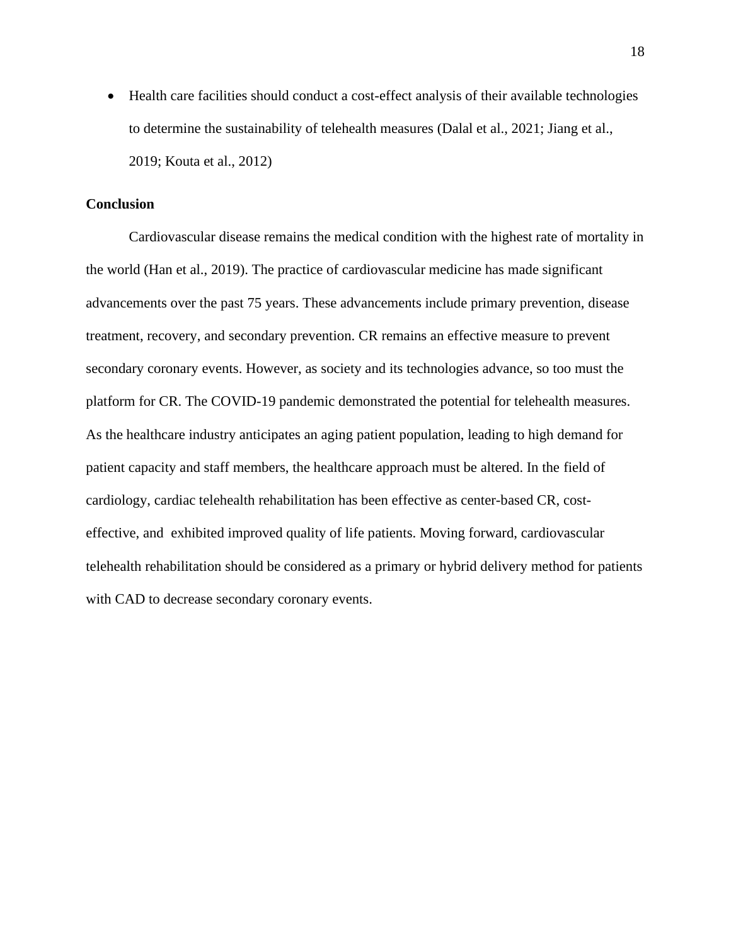• Health care facilities should conduct a cost-effect analysis of their available technologies to determine the sustainability of telehealth measures (Dalal et al., 2021; Jiang et al., 2019; Kouta et al., 2012)

#### **Conclusion**

Cardiovascular disease remains the medical condition with the highest rate of mortality in the world (Han et al., 2019). The practice of cardiovascular medicine has made significant advancements over the past 75 years. These advancements include primary prevention, disease treatment, recovery, and secondary prevention. CR remains an effective measure to prevent secondary coronary events. However, as society and its technologies advance, so too must the platform for CR. The COVID-19 pandemic demonstrated the potential for telehealth measures. As the healthcare industry anticipates an aging patient population, leading to high demand for patient capacity and staff members, the healthcare approach must be altered. In the field of cardiology, cardiac telehealth rehabilitation has been effective as center-based CR, costeffective, and exhibited improved quality of life patients. Moving forward, cardiovascular telehealth rehabilitation should be considered as a primary or hybrid delivery method for patients with CAD to decrease secondary coronary events.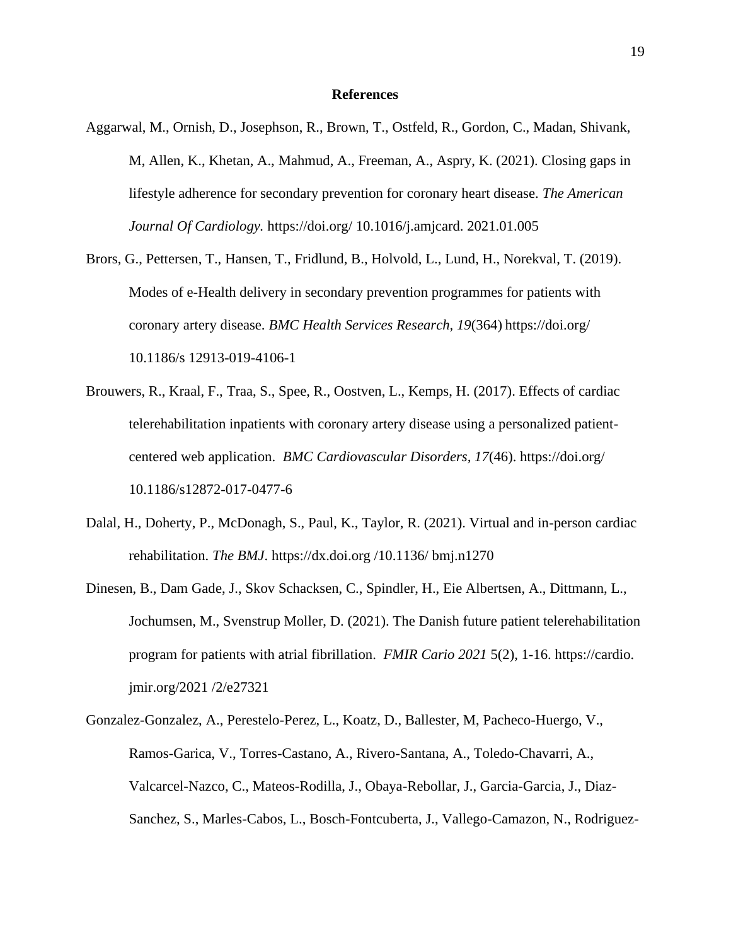#### **References**

- Aggarwal, M., Ornish, D., Josephson, R., Brown, T., Ostfeld, R., Gordon, C., Madan, Shivank, M, Allen, K., Khetan, A., Mahmud, A., Freeman, A., Aspry, K. (2021). Closing gaps in lifestyle adherence for secondary prevention for coronary heart disease. *The American Journal Of Cardiology.* https://doi.org/ 10.1016/j.amjcard. 2021.01.005
- Brors, G., Pettersen, T., Hansen, T., Fridlund, B., Holvold, L., Lund, H., Norekval, T. (2019). Modes of e-Health delivery in secondary prevention programmes for patients with coronary artery disease. *BMC Health Services Research, 19*(364) https://doi.org/ 10.1186/s 12913-019-4106-1
- Brouwers, R., Kraal, F., Traa, S., Spee, R., Oostven, L., Kemps, H. (2017). Effects of cardiac telerehabilitation inpatients with coronary artery disease using a personalized patientcentered web application. *BMC Cardiovascular Disorders, 17*(46). https://doi.org/ 10.1186/s12872-017-0477-6
- Dalal, H., Doherty, P., McDonagh, S., Paul, K., Taylor, R. (2021). Virtual and in-person cardiac rehabilitation. *The BMJ*. https://dx.doi.org /10.1136/ bmj.n1270
- Dinesen, B., Dam Gade, J., Skov Schacksen, C., Spindler, H., Eie Albertsen, A., Dittmann, L., Jochumsen, M., Svenstrup Moller, D. (2021). The Danish future patient telerehabilitation program for patients with atrial fibrillation. *FMIR Cario 2021* 5(2), 1-16. https://cardio. jmir.org/2021 /2/e27321
- Gonzalez-Gonzalez, A., Perestelo-Perez, L., Koatz, D., Ballester, M, Pacheco-Huergo, V., Ramos-Garica, V., Torres-Castano, A., Rivero-Santana, A., Toledo-Chavarri, A., Valcarcel-Nazco, C., Mateos-Rodilla, J., Obaya-Rebollar, J., Garcia-Garcia, J., Diaz-Sanchez, S., Marles-Cabos, L., Bosch-Fontcuberta, J., Vallego-Camazon, N., Rodriguez-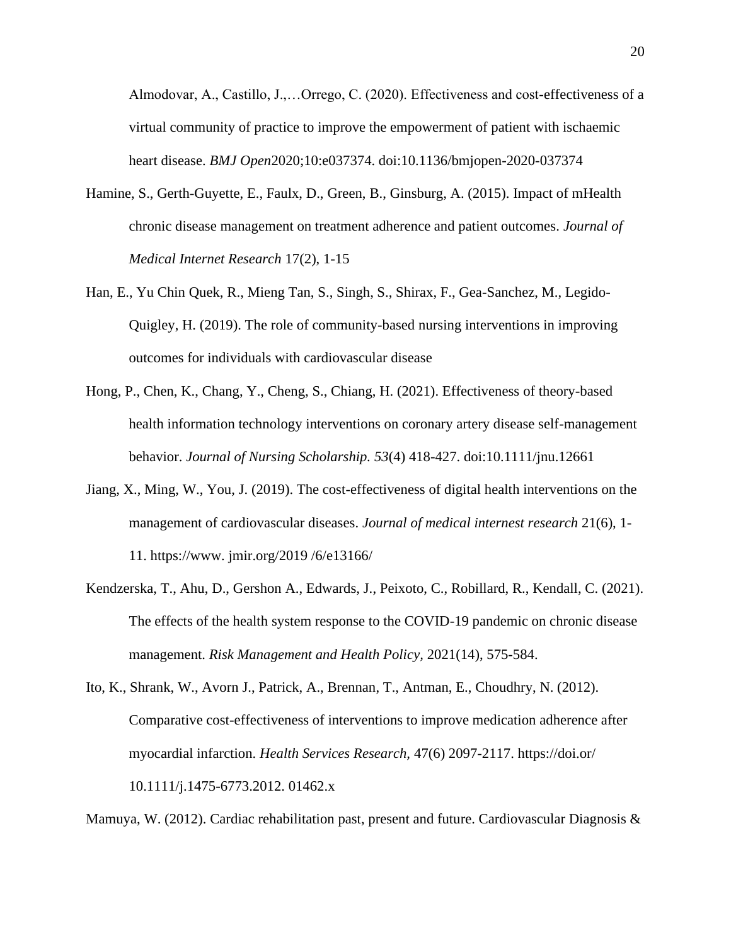Almodovar, A., Castillo, J.,…Orrego, C. (2020). Effectiveness and cost-effectiveness of a virtual community of practice to improve the empowerment of patient with ischaemic heart disease. *BMJ Open*2020;10:e037374. doi:10.1136/bmjopen-2020-037374

- Hamine, S., Gerth-Guyette, E., Faulx, D., Green, B., Ginsburg, A. (2015). Impact of mHealth chronic disease management on treatment adherence and patient outcomes. *Journal of Medical Internet Research* 17(2), 1-15
- Han, E., Yu Chin Quek, R., Mieng Tan, S., Singh, S., Shirax, F., Gea-Sanchez, M., Legido-Quigley, H. (2019). The role of community-based nursing interventions in improving outcomes for individuals with cardiovascular disease
- Hong, P., Chen, K., Chang, Y., Cheng, S., Chiang, H. (2021). Effectiveness of theory-based health information technology interventions on coronary artery disease self-management behavior. *Journal of Nursing Scholarship. 53*(4) 418-427. doi:10.1111/jnu.12661
- Jiang, X., Ming, W., You, J. (2019). The cost-effectiveness of digital health interventions on the management of cardiovascular diseases. *Journal of medical internest research* 21(6), 1- 11. https://www. jmir.org/2019 /6/e13166/
- Kendzerska, T., Ahu, D., Gershon A., Edwards, J., Peixoto, C., Robillard, R., Kendall, C. (2021). The effects of the health system response to the COVID-19 pandemic on chronic disease management. *Risk Management and Health Policy,* 2021(14), 575-584.

Ito, K., Shrank, W., Avorn J., Patrick, A., Brennan, T., Antman, E., Choudhry, N. (2012). Comparative cost-effectiveness of interventions to improve medication adherence after myocardial infarction. *Health Services Research,* 47(6) 2097-2117. https://doi.or/ 10.1111/j.1475-6773.2012. 01462.x

Mamuya, W. (2012). Cardiac rehabilitation past, present and future. Cardiovascular Diagnosis &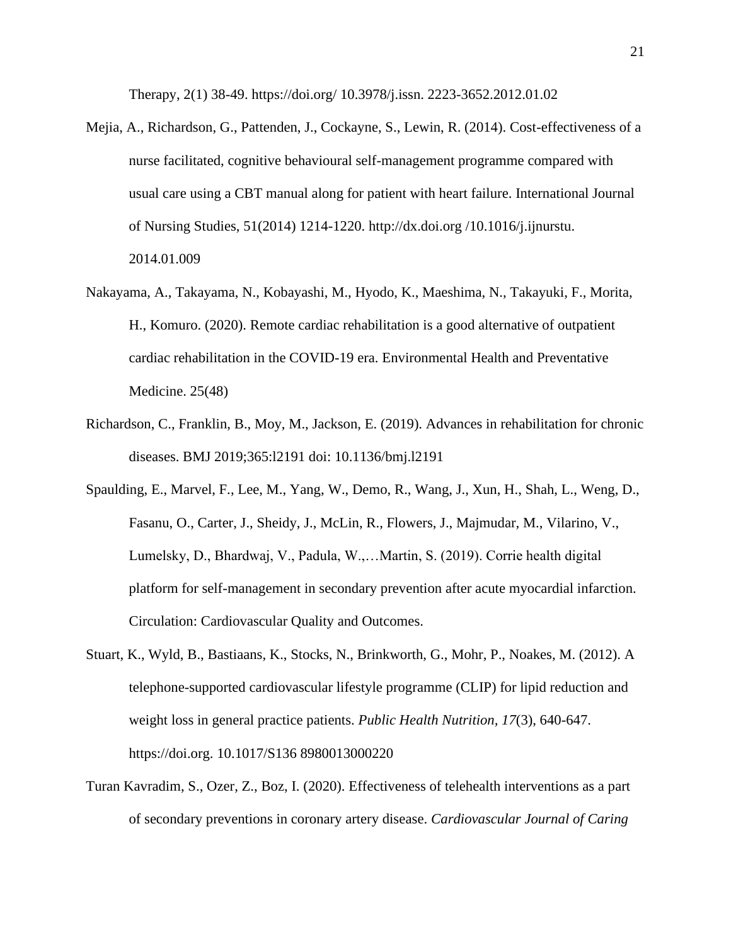Therapy, 2(1) 38-49. https://doi.org/ 10.3978/j.issn. 2223-3652.2012.01.02

- Mejia, A., Richardson, G., Pattenden, J., Cockayne, S., Lewin, R. (2014). Cost-effectiveness of a nurse facilitated, cognitive behavioural self-management programme compared with usual care using a CBT manual along for patient with heart failure. International Journal of Nursing Studies, 51(2014) 1214-1220. http://dx.doi.org /10.1016/j.ijnurstu. 2014.01.009
- Nakayama, A., Takayama, N., Kobayashi, M., Hyodo, K., Maeshima, N., Takayuki, F., Morita, H., Komuro. (2020). Remote cardiac rehabilitation is a good alternative of outpatient cardiac rehabilitation in the COVID-19 era. Environmental Health and Preventative Medicine. 25(48)
- Richardson, C., Franklin, B., Moy, M., Jackson, E. (2019). Advances in rehabilitation for chronic diseases. BMJ 2019;365:l2191 doi: 10.1136/bmj.l2191
- Spaulding, E., Marvel, F., Lee, M., Yang, W., Demo, R., Wang, J., Xun, H., Shah, L., Weng, D., Fasanu, O., Carter, J., Sheidy, J., McLin, R., Flowers, J., Majmudar, M., Vilarino, V., Lumelsky, D., Bhardwaj, V., Padula, W.,…Martin, S. (2019). Corrie health digital platform for self-management in secondary prevention after acute myocardial infarction. Circulation: Cardiovascular Quality and Outcomes.
- Stuart, K., Wyld, B., Bastiaans, K., Stocks, N., Brinkworth, G., Mohr, P., Noakes, M. (2012). A telephone-supported cardiovascular lifestyle programme (CLIP) for lipid reduction and weight loss in general practice patients. *Public Health Nutrition, 17*(3), 640-647. https://doi.org. 10.1017/S136 8980013000220
- Turan Kavradim, S., Ozer, Z., Boz, I. (2020). Effectiveness of telehealth interventions as a part of secondary preventions in coronary artery disease. *Cardiovascular Journal of Caring*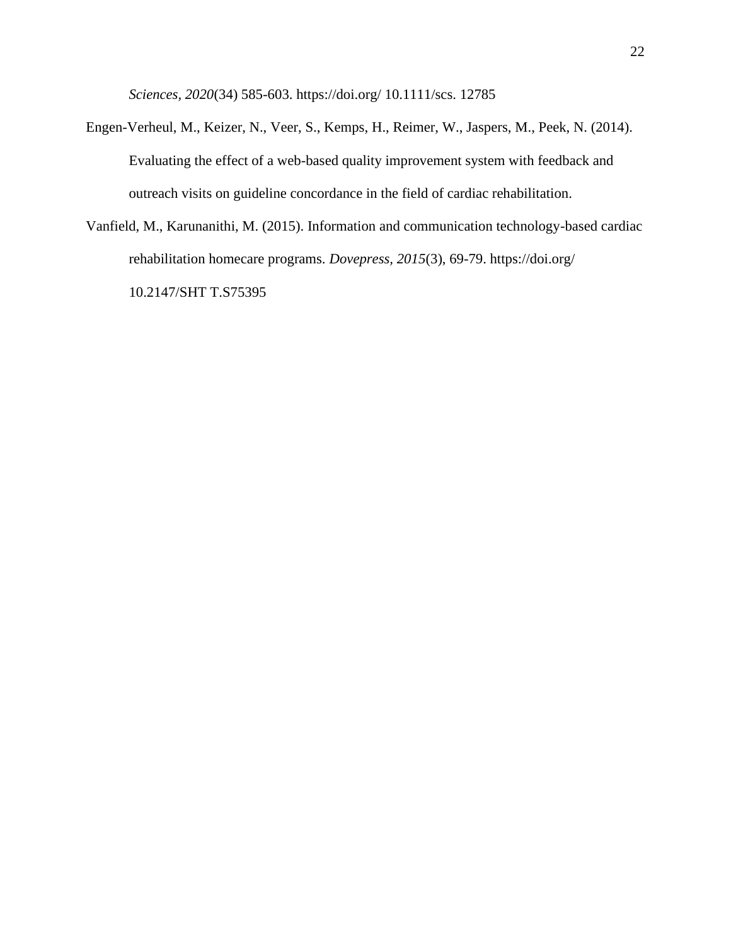*Sciences, 2020*(34) 585-603. https://doi.org/ 10.1111/scs. 12785

- Engen-Verheul, M., Keizer, N., Veer, S., Kemps, H., Reimer, W., Jaspers, M., Peek, N. (2014). Evaluating the effect of a web-based quality improvement system with feedback and outreach visits on guideline concordance in the field of cardiac rehabilitation.
- Vanfield, M., Karunanithi, M. (2015). Information and communication technology-based cardiac rehabilitation homecare programs. *Dovepress, 2015*(3), 69-79. https://doi.org/ 10.2147/SHT T.S75395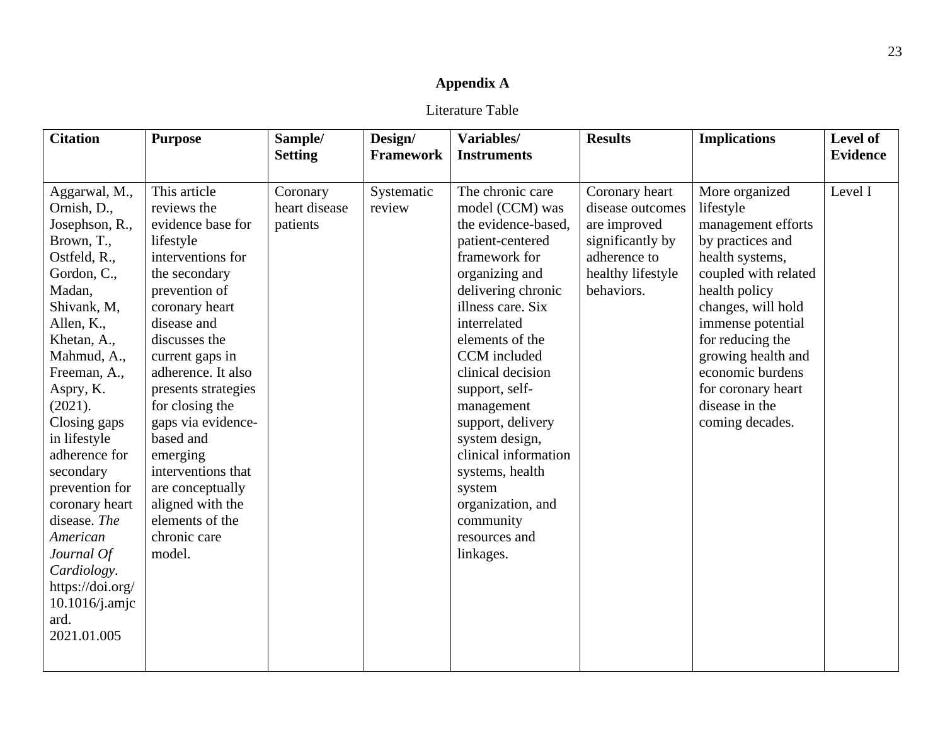# **Appendix A**

Literature Table

| <b>Citation</b>                                                                                                                                                                                                                                                                                                                                                                                                                  | <b>Purpose</b>                                                                                                                                                                                                                                                                                                                                                                                                      | Sample/<br><b>Setting</b>             | Design/<br><b>Framework</b> | Variables/<br><b>Instruments</b>                                                                                                                                                                                                                                                                                                                                                                                                 | <b>Results</b>                                                                                                            | <b>Implications</b>                                                                                                                                                                                                                                                                                   | Level of<br><b>Evidence</b> |
|----------------------------------------------------------------------------------------------------------------------------------------------------------------------------------------------------------------------------------------------------------------------------------------------------------------------------------------------------------------------------------------------------------------------------------|---------------------------------------------------------------------------------------------------------------------------------------------------------------------------------------------------------------------------------------------------------------------------------------------------------------------------------------------------------------------------------------------------------------------|---------------------------------------|-----------------------------|----------------------------------------------------------------------------------------------------------------------------------------------------------------------------------------------------------------------------------------------------------------------------------------------------------------------------------------------------------------------------------------------------------------------------------|---------------------------------------------------------------------------------------------------------------------------|-------------------------------------------------------------------------------------------------------------------------------------------------------------------------------------------------------------------------------------------------------------------------------------------------------|-----------------------------|
| Aggarwal, M.,<br>Ornish, D.,<br>Josephson, R.,<br>Brown, T.,<br>Ostfeld, R.,<br>Gordon, C.,<br>Madan,<br>Shivank, M,<br>Allen, K.,<br>Khetan, A.,<br>Mahmud, A.,<br>Freeman, A.,<br>Aspry, K.<br>(2021).<br>Closing gaps<br>in lifestyle<br>adherence for<br>secondary<br>prevention for<br>coronary heart<br>disease. The<br>American<br>Journal Of<br>Cardiology.<br>https://doi.org/<br>10.1016/j.amjc<br>ard.<br>2021.01.005 | This article<br>reviews the<br>evidence base for<br>lifestyle<br>interventions for<br>the secondary<br>prevention of<br>coronary heart<br>disease and<br>discusses the<br>current gaps in<br>adherence. It also<br>presents strategies<br>for closing the<br>gaps via evidence-<br>based and<br>emerging<br>interventions that<br>are conceptually<br>aligned with the<br>elements of the<br>chronic care<br>model. | Coronary<br>heart disease<br>patients | Systematic<br>review        | The chronic care<br>model (CCM) was<br>the evidence-based.<br>patient-centered<br>framework for<br>organizing and<br>delivering chronic<br>illness care. Six<br>interrelated<br>elements of the<br>CCM included<br>clinical decision<br>support, self-<br>management<br>support, delivery<br>system design,<br>clinical information<br>systems, health<br>system<br>organization, and<br>community<br>resources and<br>linkages. | Coronary heart<br>disease outcomes<br>are improved<br>significantly by<br>adherence to<br>healthy lifestyle<br>behaviors. | More organized<br>lifestyle<br>management efforts<br>by practices and<br>health systems,<br>coupled with related<br>health policy<br>changes, will hold<br>immense potential<br>for reducing the<br>growing health and<br>economic burdens<br>for coronary heart<br>disease in the<br>coming decades. | Level I                     |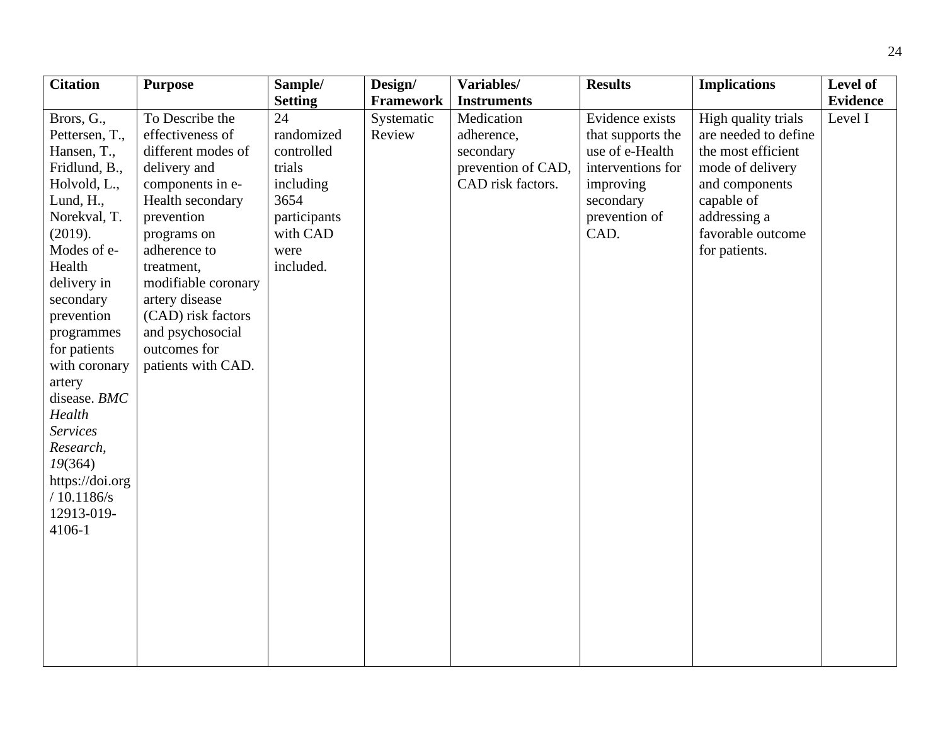| <b>Citation</b> | <b>Purpose</b>      | Sample/        | Design/          | Variables/         | <b>Results</b>    | <b>Implications</b>  | <b>Level of</b> |
|-----------------|---------------------|----------------|------------------|--------------------|-------------------|----------------------|-----------------|
|                 |                     | <b>Setting</b> | <b>Framework</b> | <b>Instruments</b> |                   |                      | <b>Evidence</b> |
| Brors, G.,      | To Describe the     | 24             | Systematic       | Medication         | Evidence exists   | High quality trials  | Level I         |
| Pettersen, T.,  | effectiveness of    | randomized     | Review           | adherence,         | that supports the | are needed to define |                 |
| Hansen, T.,     | different modes of  | controlled     |                  | secondary          | use of e-Health   | the most efficient   |                 |
| Fridlund, B.,   | delivery and        | trials         |                  | prevention of CAD, | interventions for | mode of delivery     |                 |
| Holvold, L.,    | components in e-    | including      |                  | CAD risk factors.  | improving         | and components       |                 |
| Lund, H.,       | Health secondary    | 3654           |                  |                    | secondary         | capable of           |                 |
| Norekval, T.    | prevention          | participants   |                  |                    | prevention of     | addressing a         |                 |
| (2019).         | programs on         | with CAD       |                  |                    | CAD.              | favorable outcome    |                 |
| Modes of e-     | adherence to        | were           |                  |                    |                   | for patients.        |                 |
| Health          | treatment,          | included.      |                  |                    |                   |                      |                 |
| delivery in     | modifiable coronary |                |                  |                    |                   |                      |                 |
| secondary       | artery disease      |                |                  |                    |                   |                      |                 |
| prevention      | (CAD) risk factors  |                |                  |                    |                   |                      |                 |
| programmes      | and psychosocial    |                |                  |                    |                   |                      |                 |
| for patients    | outcomes for        |                |                  |                    |                   |                      |                 |
| with coronary   | patients with CAD.  |                |                  |                    |                   |                      |                 |
| artery          |                     |                |                  |                    |                   |                      |                 |
| disease. BMC    |                     |                |                  |                    |                   |                      |                 |
| Health          |                     |                |                  |                    |                   |                      |                 |
| <b>Services</b> |                     |                |                  |                    |                   |                      |                 |
| Research,       |                     |                |                  |                    |                   |                      |                 |
| 19(364)         |                     |                |                  |                    |                   |                      |                 |
| https://doi.org |                     |                |                  |                    |                   |                      |                 |
| /10.1186/s      |                     |                |                  |                    |                   |                      |                 |
| 12913-019-      |                     |                |                  |                    |                   |                      |                 |
| 4106-1          |                     |                |                  |                    |                   |                      |                 |
|                 |                     |                |                  |                    |                   |                      |                 |
|                 |                     |                |                  |                    |                   |                      |                 |
|                 |                     |                |                  |                    |                   |                      |                 |
|                 |                     |                |                  |                    |                   |                      |                 |
|                 |                     |                |                  |                    |                   |                      |                 |
|                 |                     |                |                  |                    |                   |                      |                 |
|                 |                     |                |                  |                    |                   |                      |                 |
|                 |                     |                |                  |                    |                   |                      |                 |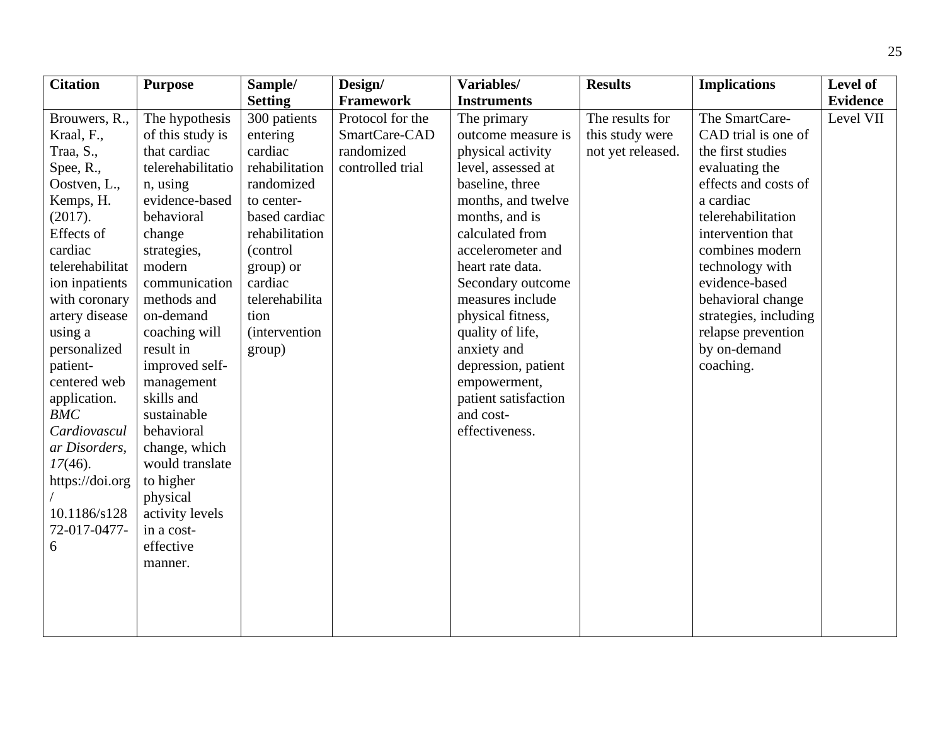| <b>Citation</b>            | <b>Purpose</b>    | Sample/               | Design/          | Variables/           | <b>Results</b>    | <b>Implications</b>   | Level of        |
|----------------------------|-------------------|-----------------------|------------------|----------------------|-------------------|-----------------------|-----------------|
|                            |                   | <b>Setting</b>        | <b>Framework</b> | <b>Instruments</b>   |                   |                       | <b>Evidence</b> |
| Brouwers, R.,              | The hypothesis    | 300 patients          | Protocol for the | The primary          | The results for   | The SmartCare-        | Level VII       |
| Kraal, F.,                 | of this study is  | entering              | SmartCare-CAD    | outcome measure is   | this study were   | CAD trial is one of   |                 |
| Traa, S.,                  | that cardiac      | cardiac               | randomized       | physical activity    | not yet released. | the first studies     |                 |
| $\text{Spec}, \text{R}$ ., | telerehabilitatio | rehabilitation        | controlled trial | level, assessed at   |                   | evaluating the        |                 |
| Oostven, L.,               | n, using          | randomized            |                  | baseline, three      |                   | effects and costs of  |                 |
| Kemps, H.                  | evidence-based    | to center-            |                  | months, and twelve   |                   | a cardiac             |                 |
| (2017).                    | behavioral        | based cardiac         |                  | months, and is       |                   | telerehabilitation    |                 |
| Effects of                 | change            | rehabilitation        |                  | calculated from      |                   | intervention that     |                 |
| cardiac                    | strategies,       | (control              |                  | accelerometer and    |                   | combines modern       |                 |
| telerehabilitat            | modern            | group) or             |                  | heart rate data.     |                   | technology with       |                 |
| ion inpatients             | communication     | cardiac               |                  | Secondary outcome    |                   | evidence-based        |                 |
| with coronary              | methods and       | telerehabilita        |                  | measures include     |                   | behavioral change     |                 |
| artery disease             | on-demand         | tion                  |                  | physical fitness,    |                   | strategies, including |                 |
| using a                    | coaching will     | <i>(intervention)</i> |                  | quality of life,     |                   | relapse prevention    |                 |
| personalized               | result in         | group)                |                  | anxiety and          |                   | by on-demand          |                 |
| patient-                   | improved self-    |                       |                  | depression, patient  |                   | coaching.             |                 |
| centered web               | management        |                       |                  | empowerment,         |                   |                       |                 |
| application.               | skills and        |                       |                  | patient satisfaction |                   |                       |                 |
| <b>BMC</b>                 | sustainable       |                       |                  | and cost-            |                   |                       |                 |
| Cardiovascul               | behavioral        |                       |                  | effectiveness.       |                   |                       |                 |
| ar Disorders,              | change, which     |                       |                  |                      |                   |                       |                 |
| $17(46)$ .                 | would translate   |                       |                  |                      |                   |                       |                 |
| https://doi.org            | to higher         |                       |                  |                      |                   |                       |                 |
|                            | physical          |                       |                  |                      |                   |                       |                 |
| 10.1186/s128               | activity levels   |                       |                  |                      |                   |                       |                 |
| 72-017-0477-               | in a cost-        |                       |                  |                      |                   |                       |                 |
| 6                          | effective         |                       |                  |                      |                   |                       |                 |
|                            | manner.           |                       |                  |                      |                   |                       |                 |
|                            |                   |                       |                  |                      |                   |                       |                 |
|                            |                   |                       |                  |                      |                   |                       |                 |
|                            |                   |                       |                  |                      |                   |                       |                 |
|                            |                   |                       |                  |                      |                   |                       |                 |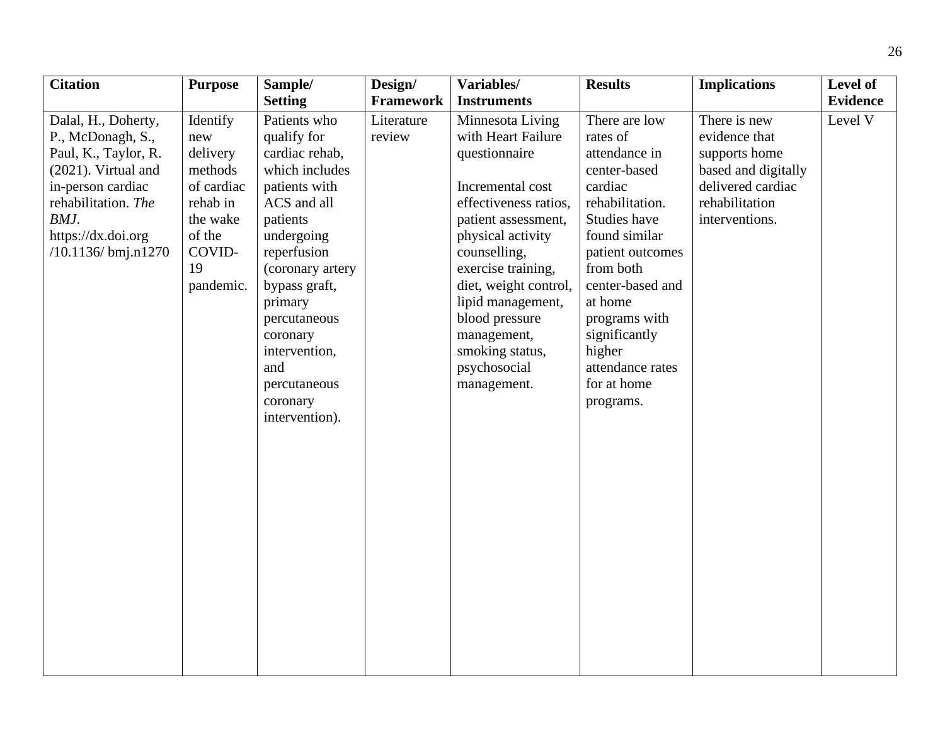| <b>Citation</b>               | <b>Purpose</b> | Sample/          | Design/          | Variables/            | <b>Results</b>   | <b>Implications</b> | Level of        |
|-------------------------------|----------------|------------------|------------------|-----------------------|------------------|---------------------|-----------------|
|                               |                | <b>Setting</b>   | <b>Framework</b> | <b>Instruments</b>    |                  |                     | <b>Evidence</b> |
| Dalal, H., Doherty,           | Identify       | Patients who     | Literature       | Minnesota Living      | There are low    | There is new        | Level V         |
| P., McDonagh, S.,             | new            | qualify for      | review           | with Heart Failure    | rates of         | evidence that       |                 |
| Paul, K., Taylor, R.          | delivery       | cardiac rehab,   |                  | questionnaire         | attendance in    | supports home       |                 |
| (2021). Virtual and           | methods        | which includes   |                  |                       | center-based     | based and digitally |                 |
| in-person cardiac             | of cardiac     | patients with    |                  | Incremental cost      | cardiac          | delivered cardiac   |                 |
| rehabilitation. The           | rehab in       | ACS and all      |                  | effectiveness ratios, | rehabilitation.  | rehabilitation      |                 |
| BMJ.                          | the wake       | patients         |                  | patient assessment,   | Studies have     | interventions.      |                 |
| https://dx.doi.org            | of the         | undergoing       |                  | physical activity     | found similar    |                     |                 |
| $/10.1136 / \text{bmi}.n1270$ | COVID-         | reperfusion      |                  | counselling,          | patient outcomes |                     |                 |
|                               | 19             | (coronary artery |                  | exercise training,    | from both        |                     |                 |
|                               | pandemic.      | bypass graft,    |                  | diet, weight control, | center-based and |                     |                 |
|                               |                | primary          |                  | lipid management,     | at home          |                     |                 |
|                               |                | percutaneous     |                  | blood pressure        | programs with    |                     |                 |
|                               |                | coronary         |                  | management,           | significantly    |                     |                 |
|                               |                | intervention,    |                  | smoking status,       | higher           |                     |                 |
|                               |                | and              |                  | psychosocial          | attendance rates |                     |                 |
|                               |                | percutaneous     |                  | management.           | for at home      |                     |                 |
|                               |                | coronary         |                  |                       | programs.        |                     |                 |
|                               |                | intervention).   |                  |                       |                  |                     |                 |
|                               |                |                  |                  |                       |                  |                     |                 |
|                               |                |                  |                  |                       |                  |                     |                 |
|                               |                |                  |                  |                       |                  |                     |                 |
|                               |                |                  |                  |                       |                  |                     |                 |
|                               |                |                  |                  |                       |                  |                     |                 |
|                               |                |                  |                  |                       |                  |                     |                 |
|                               |                |                  |                  |                       |                  |                     |                 |
|                               |                |                  |                  |                       |                  |                     |                 |
|                               |                |                  |                  |                       |                  |                     |                 |
|                               |                |                  |                  |                       |                  |                     |                 |
|                               |                |                  |                  |                       |                  |                     |                 |
|                               |                |                  |                  |                       |                  |                     |                 |
|                               |                |                  |                  |                       |                  |                     |                 |
|                               |                |                  |                  |                       |                  |                     |                 |
|                               |                |                  |                  |                       |                  |                     |                 |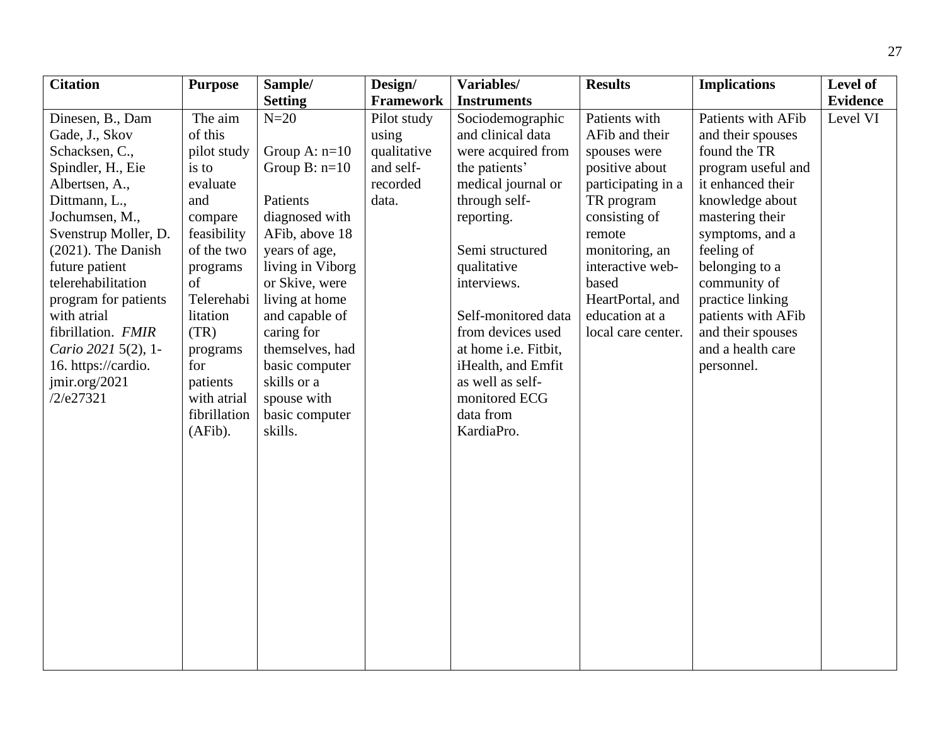| <b>Citation</b>      | <b>Purpose</b> | Sample/          | Design/     | Variables/           | <b>Results</b>     | <b>Implications</b> | Level of        |
|----------------------|----------------|------------------|-------------|----------------------|--------------------|---------------------|-----------------|
|                      |                | <b>Setting</b>   | Framework   | <b>Instruments</b>   |                    |                     | <b>Evidence</b> |
| Dinesen, B., Dam     | The aim        | $N=20$           | Pilot study | Sociodemographic     | Patients with      | Patients with AFib  | Level VI        |
| Gade, J., Skov       | of this        |                  | using       | and clinical data    | AFib and their     | and their spouses   |                 |
| Schacksen, C.,       | pilot study    | Group A: $n=10$  | qualitative | were acquired from   | spouses were       | found the TR        |                 |
| Spindler, H., Eie    | is to          | Group $B: n=10$  | and self-   | the patients'        | positive about     | program useful and  |                 |
| Albertsen, A.,       | evaluate       |                  | recorded    | medical journal or   | participating in a | it enhanced their   |                 |
| Dittmann, L.,        | and            | Patients         | data.       | through self-        | TR program         | knowledge about     |                 |
| Jochumsen, M.,       | compare        | diagnosed with   |             | reporting.           | consisting of      | mastering their     |                 |
| Svenstrup Moller, D. | feasibility    | AFib, above 18   |             |                      | remote             | symptoms, and a     |                 |
| (2021). The Danish   | of the two     | years of age,    |             | Semi structured      | monitoring, an     | feeling of          |                 |
| future patient       | programs       | living in Viborg |             | qualitative          | interactive web-   | belonging to a      |                 |
| telerehabilitation   | of             | or Skive, were   |             | interviews.          | based              | community of        |                 |
| program for patients | Telerehabi     | living at home   |             |                      | HeartPortal, and   | practice linking    |                 |
| with atrial          | litation       | and capable of   |             | Self-monitored data  | education at a     | patients with AFib  |                 |
| fibrillation. FMIR   | (TR)           | caring for       |             | from devices used    | local care center. | and their spouses   |                 |
| Cario 2021 5(2), 1-  | programs       | themselves, had  |             | at home i.e. Fitbit, |                    | and a health care   |                 |
| 16. https://cardio.  | for            | basic computer   |             | iHealth, and Emfit   |                    | personnel.          |                 |
| jmir.org/2021        | patients       | skills or a      |             | as well as self-     |                    |                     |                 |
| /2/e27321            | with atrial    | spouse with      |             | monitored ECG        |                    |                     |                 |
|                      | fibrillation   | basic computer   |             | data from            |                    |                     |                 |
|                      | (AFib).        | skills.          |             | KardiaPro.           |                    |                     |                 |
|                      |                |                  |             |                      |                    |                     |                 |
|                      |                |                  |             |                      |                    |                     |                 |
|                      |                |                  |             |                      |                    |                     |                 |
|                      |                |                  |             |                      |                    |                     |                 |
|                      |                |                  |             |                      |                    |                     |                 |
|                      |                |                  |             |                      |                    |                     |                 |
|                      |                |                  |             |                      |                    |                     |                 |
|                      |                |                  |             |                      |                    |                     |                 |
|                      |                |                  |             |                      |                    |                     |                 |
|                      |                |                  |             |                      |                    |                     |                 |
|                      |                |                  |             |                      |                    |                     |                 |
|                      |                |                  |             |                      |                    |                     |                 |
|                      |                |                  |             |                      |                    |                     |                 |
|                      |                |                  |             |                      |                    |                     |                 |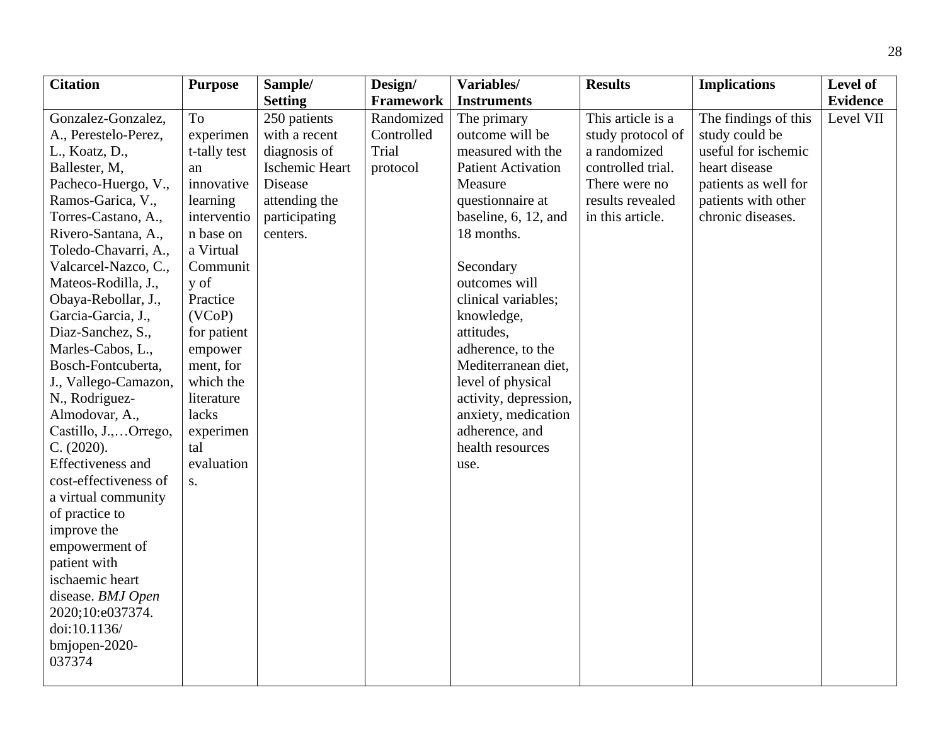| <b>Citation</b>          | <b>Purpose</b> | Sample/               | Design/          | Variables/                | <b>Results</b>    | <b>Implications</b>  | Level of        |
|--------------------------|----------------|-----------------------|------------------|---------------------------|-------------------|----------------------|-----------------|
|                          |                | <b>Setting</b>        | <b>Framework</b> | <b>Instruments</b>        |                   |                      | <b>Evidence</b> |
| Gonzalez-Gonzalez,       | <b>To</b>      | 250 patients          | Randomized       | The primary               | This article is a | The findings of this | Level VII       |
| A., Perestelo-Perez,     | experimen      | with a recent         | Controlled       | outcome will be           | study protocol of | study could be       |                 |
| L., Koatz, D.,           | t-tally test   | diagnosis of          | Trial            | measured with the         | a randomized      | useful for ischemic  |                 |
| Ballester, M,            | an             | <b>Ischemic Heart</b> | protocol         | <b>Patient Activation</b> | controlled trial. | heart disease        |                 |
| Pacheco-Huergo, V.,      | innovative     | Disease               |                  | Measure                   | There were no     | patients as well for |                 |
| Ramos-Garica, V.,        | learning       | attending the         |                  | questionnaire at          | results revealed  | patients with other  |                 |
| Torres-Castano, A.,      | interventio    | participating         |                  | baseline, 6, 12, and      | in this article.  | chronic diseases.    |                 |
| Rivero-Santana, A.,      | n base on      | centers.              |                  | 18 months.                |                   |                      |                 |
| Toledo-Chavarri, A.,     | a Virtual      |                       |                  |                           |                   |                      |                 |
| Valcarcel-Nazco, C.,     | Communit       |                       |                  | Secondary                 |                   |                      |                 |
| Mateos-Rodilla, J.,      | y of           |                       |                  | outcomes will             |                   |                      |                 |
| Obaya-Rebollar, J.,      | Practice       |                       |                  | clinical variables;       |                   |                      |                 |
| Garcia-Garcia, J.,       | (VCoP)         |                       |                  | knowledge,                |                   |                      |                 |
| Diaz-Sanchez, S.,        | for patient    |                       |                  | attitudes,                |                   |                      |                 |
| Marles-Cabos, L.,        | empower        |                       |                  | adherence, to the         |                   |                      |                 |
| Bosch-Fontcuberta,       | ment, for      |                       |                  | Mediterranean diet,       |                   |                      |                 |
| J., Vallego-Camazon,     | which the      |                       |                  | level of physical         |                   |                      |                 |
| N., Rodriguez-           | literature     |                       |                  | activity, depression,     |                   |                      |                 |
| Almodovar, A.,           | lacks          |                       |                  | anxiety, medication       |                   |                      |                 |
| Castillo, J.,Orrego,     | experimen      |                       |                  | adherence, and            |                   |                      |                 |
| C. (2020).               | tal            |                       |                  | health resources          |                   |                      |                 |
| <b>Effectiveness</b> and | evaluation     |                       |                  | use.                      |                   |                      |                 |
| cost-effectiveness of    | S.             |                       |                  |                           |                   |                      |                 |
| a virtual community      |                |                       |                  |                           |                   |                      |                 |
| of practice to           |                |                       |                  |                           |                   |                      |                 |
| improve the              |                |                       |                  |                           |                   |                      |                 |
| empowerment of           |                |                       |                  |                           |                   |                      |                 |
| patient with             |                |                       |                  |                           |                   |                      |                 |
| ischaemic heart          |                |                       |                  |                           |                   |                      |                 |
| disease. BMJ Open        |                |                       |                  |                           |                   |                      |                 |
| 2020;10:e037374.         |                |                       |                  |                           |                   |                      |                 |
| doi:10.1136/             |                |                       |                  |                           |                   |                      |                 |
| bmjopen-2020-            |                |                       |                  |                           |                   |                      |                 |
| 037374                   |                |                       |                  |                           |                   |                      |                 |
|                          |                |                       |                  |                           |                   |                      |                 |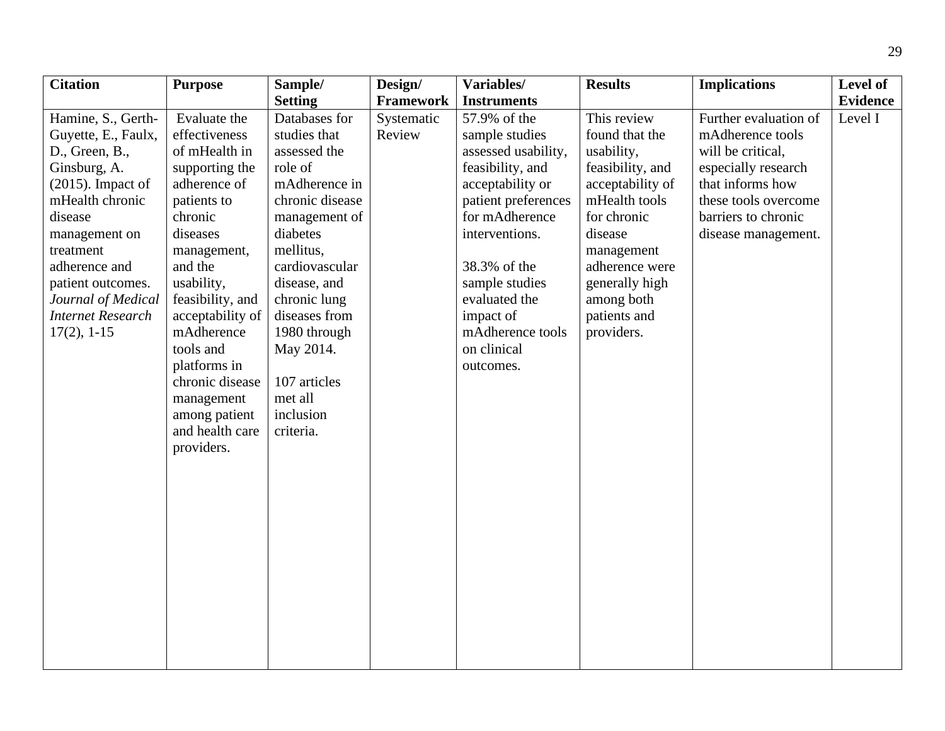| <b>Citation</b>          | <b>Purpose</b>   | Sample/         | Design/    | Variables/          | <b>Results</b>   | <b>Implications</b>   | Level of        |
|--------------------------|------------------|-----------------|------------|---------------------|------------------|-----------------------|-----------------|
|                          |                  | <b>Setting</b>  | Framework  | <b>Instruments</b>  |                  |                       | <b>Evidence</b> |
| Hamine, S., Gerth-       | Evaluate the     | Databases for   | Systematic | 57.9% of the        | This review      | Further evaluation of | Level I         |
| Guyette, E., Faulx,      | effectiveness    | studies that    | Review     | sample studies      | found that the   | mAdherence tools      |                 |
| D., Green, B.,           | of mHealth in    | assessed the    |            | assessed usability, | usability,       | will be critical,     |                 |
| Ginsburg, A.             | supporting the   | role of         |            | feasibility, and    | feasibility, and | especially research   |                 |
| $(2015)$ . Impact of     | adherence of     | mAdherence in   |            | acceptability or    | acceptability of | that informs how      |                 |
| mHealth chronic          | patients to      | chronic disease |            | patient preferences | mHealth tools    | these tools overcome  |                 |
| disease                  | chronic          | management of   |            | for mAdherence      | for chronic      | barriers to chronic   |                 |
| management on            | diseases         | diabetes        |            | interventions.      | disease          | disease management.   |                 |
| treatment                | management,      | mellitus,       |            |                     | management       |                       |                 |
| adherence and            | and the          | cardiovascular  |            | 38.3% of the        | adherence were   |                       |                 |
| patient outcomes.        | usability,       | disease, and    |            | sample studies      | generally high   |                       |                 |
| Journal of Medical       | feasibility, and | chronic lung    |            | evaluated the       | among both       |                       |                 |
| <b>Internet Research</b> | acceptability of | diseases from   |            | impact of           | patients and     |                       |                 |
| $17(2), 1-15$            | mAdherence       | 1980 through    |            | mAdherence tools    | providers.       |                       |                 |
|                          | tools and        | May 2014.       |            | on clinical         |                  |                       |                 |
|                          | platforms in     |                 |            | outcomes.           |                  |                       |                 |
|                          | chronic disease  | 107 articles    |            |                     |                  |                       |                 |
|                          | management       | met all         |            |                     |                  |                       |                 |
|                          | among patient    | inclusion       |            |                     |                  |                       |                 |
|                          | and health care  | criteria.       |            |                     |                  |                       |                 |
|                          | providers.       |                 |            |                     |                  |                       |                 |
|                          |                  |                 |            |                     |                  |                       |                 |
|                          |                  |                 |            |                     |                  |                       |                 |
|                          |                  |                 |            |                     |                  |                       |                 |
|                          |                  |                 |            |                     |                  |                       |                 |
|                          |                  |                 |            |                     |                  |                       |                 |
|                          |                  |                 |            |                     |                  |                       |                 |
|                          |                  |                 |            |                     |                  |                       |                 |
|                          |                  |                 |            |                     |                  |                       |                 |
|                          |                  |                 |            |                     |                  |                       |                 |
|                          |                  |                 |            |                     |                  |                       |                 |
|                          |                  |                 |            |                     |                  |                       |                 |
|                          |                  |                 |            |                     |                  |                       |                 |
|                          |                  |                 |            |                     |                  |                       |                 |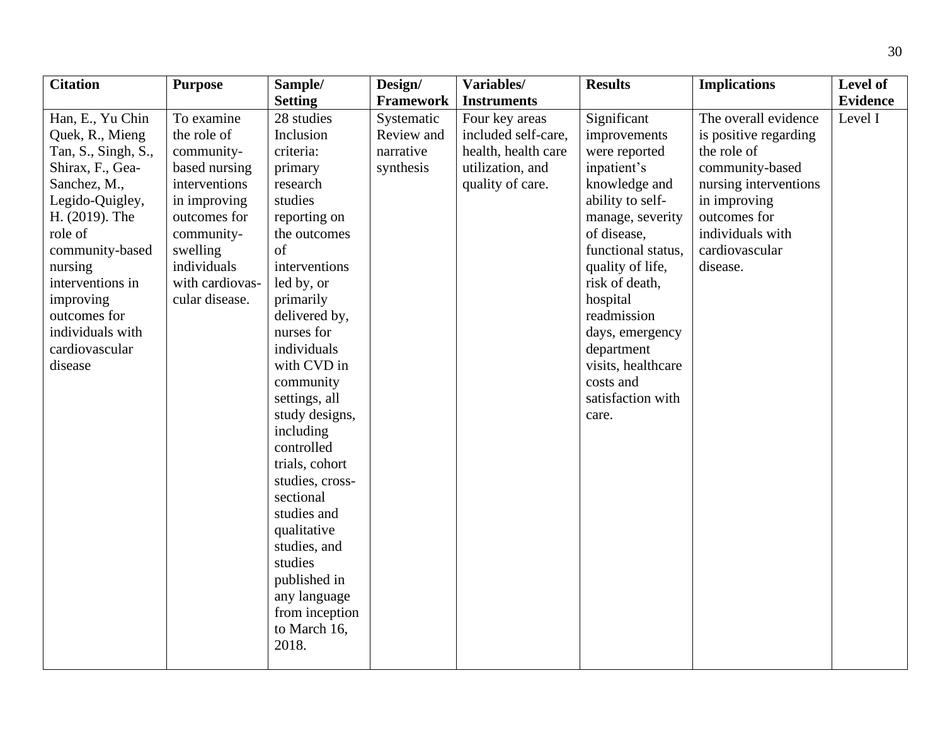| <b>Citation</b>     | <b>Purpose</b>  | Sample/         | Design/    | Variables/          | <b>Results</b>     | <b>Implications</b>   | Level of        |
|---------------------|-----------------|-----------------|------------|---------------------|--------------------|-----------------------|-----------------|
|                     |                 | <b>Setting</b>  | Framework  | <b>Instruments</b>  |                    |                       | <b>Evidence</b> |
| Han, E., Yu Chin    | To examine      | 28 studies      | Systematic | Four key areas      | Significant        | The overall evidence  | Level I         |
| Quek, R., Mieng     | the role of     | Inclusion       | Review and | included self-care, | improvements       | is positive regarding |                 |
| Tan, S., Singh, S., | community-      | criteria:       | narrative  | health, health care | were reported      | the role of           |                 |
| Shirax, F., Gea-    | based nursing   | primary         | synthesis  | utilization, and    | inpatient's        | community-based       |                 |
| Sanchez, M.,        | interventions   | research        |            | quality of care.    | knowledge and      | nursing interventions |                 |
| Legido-Quigley,     | in improving    | studies         |            |                     | ability to self-   | in improving          |                 |
| H. (2019). The      | outcomes for    | reporting on    |            |                     | manage, severity   | outcomes for          |                 |
| role of             | community-      | the outcomes    |            |                     | of disease,        | individuals with      |                 |
| community-based     | swelling        | of              |            |                     | functional status, | cardiovascular        |                 |
| nursing             | individuals     | interventions   |            |                     | quality of life,   | disease.              |                 |
| interventions in    | with cardiovas- | led by, or      |            |                     | risk of death,     |                       |                 |
| improving           | cular disease.  | primarily       |            |                     | hospital           |                       |                 |
| outcomes for        |                 | delivered by,   |            |                     | readmission        |                       |                 |
| individuals with    |                 | nurses for      |            |                     | days, emergency    |                       |                 |
| cardiovascular      |                 | individuals     |            |                     | department         |                       |                 |
| disease             |                 | with CVD in     |            |                     | visits, healthcare |                       |                 |
|                     |                 | community       |            |                     | costs and          |                       |                 |
|                     |                 | settings, all   |            |                     | satisfaction with  |                       |                 |
|                     |                 | study designs,  |            |                     | care.              |                       |                 |
|                     |                 | including       |            |                     |                    |                       |                 |
|                     |                 | controlled      |            |                     |                    |                       |                 |
|                     |                 | trials, cohort  |            |                     |                    |                       |                 |
|                     |                 | studies, cross- |            |                     |                    |                       |                 |
|                     |                 | sectional       |            |                     |                    |                       |                 |
|                     |                 | studies and     |            |                     |                    |                       |                 |
|                     |                 | qualitative     |            |                     |                    |                       |                 |
|                     |                 | studies, and    |            |                     |                    |                       |                 |
|                     |                 | studies         |            |                     |                    |                       |                 |
|                     |                 | published in    |            |                     |                    |                       |                 |
|                     |                 | any language    |            |                     |                    |                       |                 |
|                     |                 | from inception  |            |                     |                    |                       |                 |
|                     |                 | to March 16,    |            |                     |                    |                       |                 |
|                     |                 | 2018.           |            |                     |                    |                       |                 |
|                     |                 |                 |            |                     |                    |                       |                 |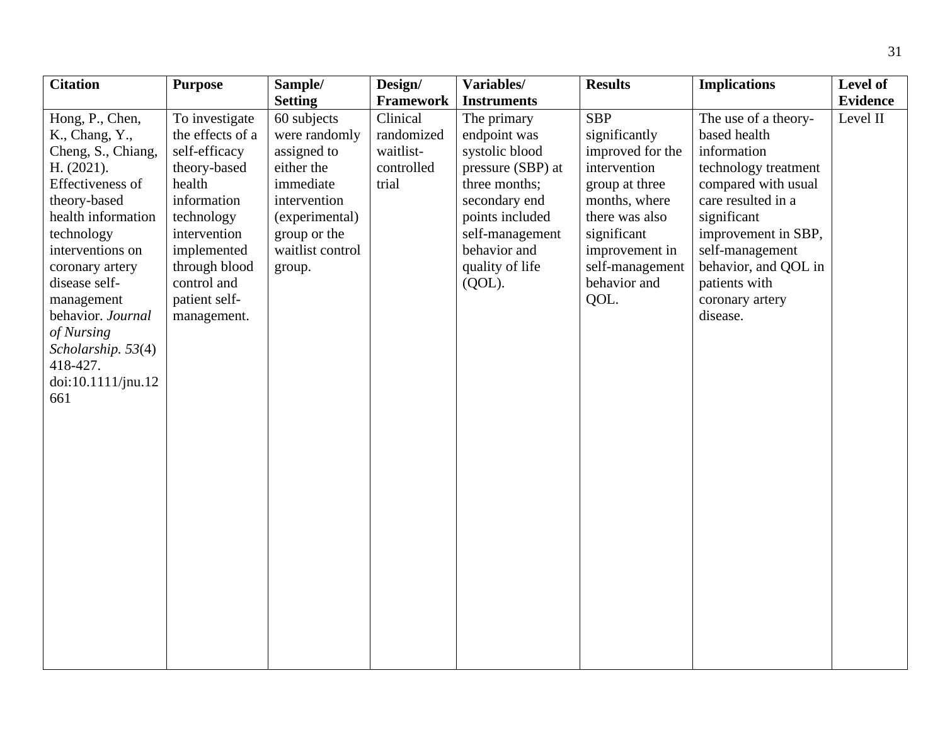| <b>Citation</b>                                                                                                                                                                                                                                                                                                       | <b>Purpose</b>                                                                                                                                                                                            | Sample/                                                                                                                                                                  | Design/                                                                 | Variables/                                                                                                                                                                                                       | <b>Results</b>                                                                                                                                                                                   | <b>Implications</b>                                                                                                                                                                                                                                       | Level of                    |
|-----------------------------------------------------------------------------------------------------------------------------------------------------------------------------------------------------------------------------------------------------------------------------------------------------------------------|-----------------------------------------------------------------------------------------------------------------------------------------------------------------------------------------------------------|--------------------------------------------------------------------------------------------------------------------------------------------------------------------------|-------------------------------------------------------------------------|------------------------------------------------------------------------------------------------------------------------------------------------------------------------------------------------------------------|--------------------------------------------------------------------------------------------------------------------------------------------------------------------------------------------------|-----------------------------------------------------------------------------------------------------------------------------------------------------------------------------------------------------------------------------------------------------------|-----------------------------|
|                                                                                                                                                                                                                                                                                                                       |                                                                                                                                                                                                           |                                                                                                                                                                          |                                                                         |                                                                                                                                                                                                                  |                                                                                                                                                                                                  |                                                                                                                                                                                                                                                           |                             |
| Hong, P., Chen,<br>K., Chang, Y.,<br>Cheng, S., Chiang,<br>H. (2021).<br>Effectiveness of<br>theory-based<br>health information<br>technology<br>interventions on<br>coronary artery<br>disease self-<br>management<br>behavior. Journal<br>of Nursing<br>Scholarship. 53(4)<br>418-427.<br>doi:10.1111/jnu.12<br>661 | To investigate<br>the effects of a<br>self-efficacy<br>theory-based<br>health<br>information<br>technology<br>intervention<br>implemented<br>through blood<br>control and<br>patient self-<br>management. | <b>Setting</b><br>60 subjects<br>were randomly<br>assigned to<br>either the<br>immediate<br>intervention<br>(experimental)<br>group or the<br>waitlist control<br>group. | Framework<br>Clinical<br>randomized<br>waitlist-<br>controlled<br>trial | <b>Instruments</b><br>The primary<br>endpoint was<br>systolic blood<br>pressure (SBP) at<br>three months;<br>secondary end<br>points included<br>self-management<br>behavior and<br>quality of life<br>$(QOL)$ . | <b>SBP</b><br>significantly<br>improved for the<br>intervention<br>group at three<br>months, where<br>there was also<br>significant<br>improvement in<br>self-management<br>behavior and<br>QOL. | The use of a theory-<br>based health<br>information<br>technology treatment<br>compared with usual<br>care resulted in a<br>significant<br>improvement in SBP,<br>self-management<br>behavior, and QOL in<br>patients with<br>coronary artery<br>disease. | <b>Evidence</b><br>Level II |
|                                                                                                                                                                                                                                                                                                                       |                                                                                                                                                                                                           |                                                                                                                                                                          |                                                                         |                                                                                                                                                                                                                  |                                                                                                                                                                                                  |                                                                                                                                                                                                                                                           |                             |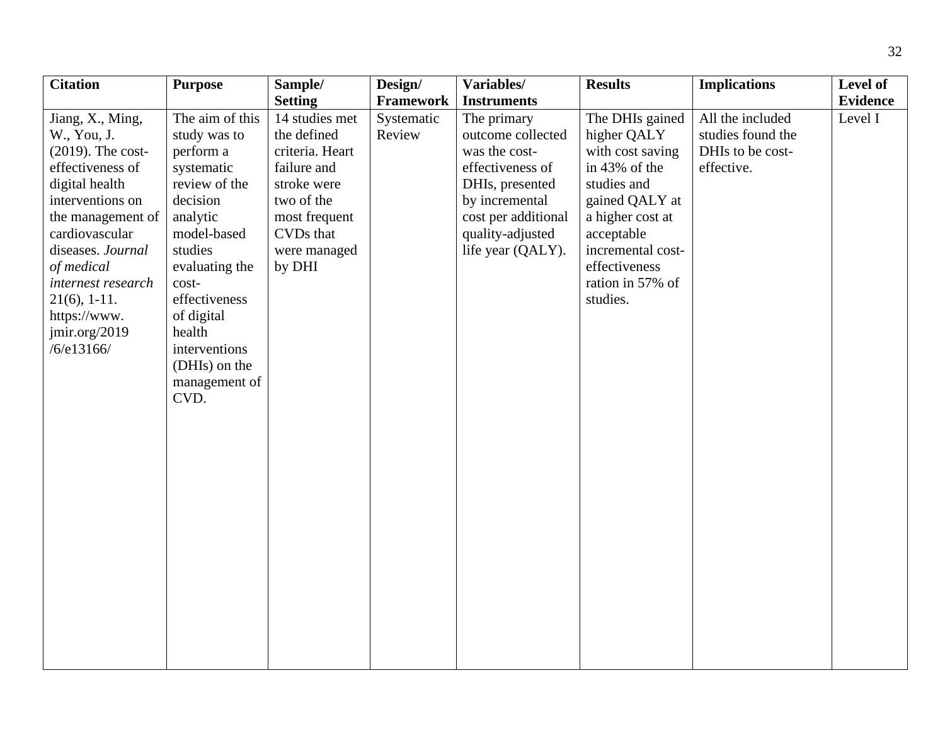| <b>Citation</b>      | <b>Purpose</b>  | Sample/         | Design/    | Variables/          | <b>Results</b>    | <b>Implications</b> | Level of        |
|----------------------|-----------------|-----------------|------------|---------------------|-------------------|---------------------|-----------------|
|                      |                 | <b>Setting</b>  | Framework  | <b>Instruments</b>  |                   |                     | <b>Evidence</b> |
| Jiang, X., Ming,     | The aim of this | 14 studies met  | Systematic | The primary         | The DHIs gained   | All the included    | Level I         |
| W., You, J.          | study was to    | the defined     | Review     | outcome collected   | higher QALY       | studies found the   |                 |
| $(2019)$ . The cost- | perform a       | criteria. Heart |            | was the cost-       | with cost saving  | DHIs to be cost-    |                 |
| effectiveness of     | systematic      | failure and     |            | effectiveness of    | in 43% of the     | effective.          |                 |
| digital health       | review of the   | stroke were     |            | DHIs, presented     | studies and       |                     |                 |
| interventions on     | decision        | two of the      |            | by incremental      | gained QALY at    |                     |                 |
| the management of    | analytic        | most frequent   |            | cost per additional | a higher cost at  |                     |                 |
| cardiovascular       | model-based     | CVDs that       |            | quality-adjusted    | acceptable        |                     |                 |
| diseases. Journal    | studies         | were managed    |            | life year (QALY).   | incremental cost- |                     |                 |
| of medical           | evaluating the  | by DHI          |            |                     | effectiveness     |                     |                 |
| internest research   | cost-           |                 |            |                     | ration in 57% of  |                     |                 |
| $21(6)$ , 1-11.      | effectiveness   |                 |            |                     | studies.          |                     |                 |
| https://www.         | of digital      |                 |            |                     |                   |                     |                 |
| jmir.org/2019        | health          |                 |            |                     |                   |                     |                 |
| /6/e13166/           | interventions   |                 |            |                     |                   |                     |                 |
|                      | (DHIs) on the   |                 |            |                     |                   |                     |                 |
|                      | management of   |                 |            |                     |                   |                     |                 |
|                      | CVD.            |                 |            |                     |                   |                     |                 |
|                      |                 |                 |            |                     |                   |                     |                 |
|                      |                 |                 |            |                     |                   |                     |                 |
|                      |                 |                 |            |                     |                   |                     |                 |
|                      |                 |                 |            |                     |                   |                     |                 |
|                      |                 |                 |            |                     |                   |                     |                 |
|                      |                 |                 |            |                     |                   |                     |                 |
|                      |                 |                 |            |                     |                   |                     |                 |
|                      |                 |                 |            |                     |                   |                     |                 |
|                      |                 |                 |            |                     |                   |                     |                 |
|                      |                 |                 |            |                     |                   |                     |                 |
|                      |                 |                 |            |                     |                   |                     |                 |
|                      |                 |                 |            |                     |                   |                     |                 |
|                      |                 |                 |            |                     |                   |                     |                 |
|                      |                 |                 |            |                     |                   |                     |                 |
|                      |                 |                 |            |                     |                   |                     |                 |
|                      |                 |                 |            |                     |                   |                     |                 |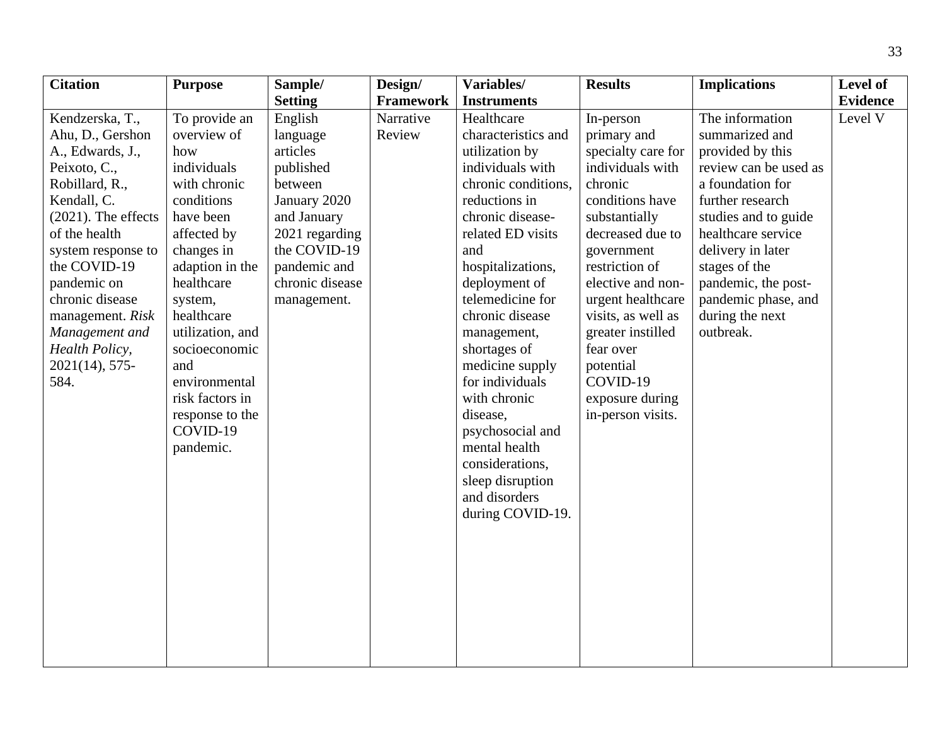| <b>Citation</b>                                                                                                                                                                                                                                                                                                  | <b>Purpose</b>                                                                                                                                                                                                                                                                                                   | Sample/                                                                                                                                                                    | Design/             | Variables/                                                                                                                                                                                                                                                                                                                                                                                                                                                     | <b>Results</b>                                                                                                                                                                                                                                                                                                                           | <b>Implications</b>                                                                                                                                                                                                                                                                      | Level of                   |
|------------------------------------------------------------------------------------------------------------------------------------------------------------------------------------------------------------------------------------------------------------------------------------------------------------------|------------------------------------------------------------------------------------------------------------------------------------------------------------------------------------------------------------------------------------------------------------------------------------------------------------------|----------------------------------------------------------------------------------------------------------------------------------------------------------------------------|---------------------|----------------------------------------------------------------------------------------------------------------------------------------------------------------------------------------------------------------------------------------------------------------------------------------------------------------------------------------------------------------------------------------------------------------------------------------------------------------|------------------------------------------------------------------------------------------------------------------------------------------------------------------------------------------------------------------------------------------------------------------------------------------------------------------------------------------|------------------------------------------------------------------------------------------------------------------------------------------------------------------------------------------------------------------------------------------------------------------------------------------|----------------------------|
|                                                                                                                                                                                                                                                                                                                  |                                                                                                                                                                                                                                                                                                                  | <b>Setting</b>                                                                                                                                                             | <b>Framework</b>    | <b>Instruments</b>                                                                                                                                                                                                                                                                                                                                                                                                                                             |                                                                                                                                                                                                                                                                                                                                          |                                                                                                                                                                                                                                                                                          |                            |
| Kendzerska, T.,<br>Ahu, D., Gershon<br>A., Edwards, J.,<br>Peixoto, C.,<br>Robillard, R.,<br>Kendall, C.<br>$(2021)$ . The effects<br>of the health<br>system response to<br>the COVID-19<br>pandemic on<br>chronic disease<br>management. Risk<br>Management and<br>Health Policy,<br>$2021(14)$ , 575-<br>584. | To provide an<br>overview of<br>how<br>individuals<br>with chronic<br>conditions<br>have been<br>affected by<br>changes in<br>adaption in the<br>healthcare<br>system,<br>healthcare<br>utilization, and<br>socioeconomic<br>and<br>environmental<br>risk factors in<br>response to the<br>COVID-19<br>pandemic. | English<br>language<br>articles<br>published<br>between<br>January 2020<br>and January<br>2021 regarding<br>the COVID-19<br>pandemic and<br>chronic disease<br>management. | Narrative<br>Review | Healthcare<br>characteristics and<br>utilization by<br>individuals with<br>chronic conditions,<br>reductions in<br>chronic disease-<br>related ED visits<br>and<br>hospitalizations,<br>deployment of<br>telemedicine for<br>chronic disease<br>management,<br>shortages of<br>medicine supply<br>for individuals<br>with chronic<br>disease,<br>psychosocial and<br>mental health<br>considerations,<br>sleep disruption<br>and disorders<br>during COVID-19. | In-person<br>primary and<br>specialty care for<br>individuals with<br>chronic<br>conditions have<br>substantially<br>decreased due to<br>government<br>restriction of<br>elective and non-<br>urgent healthcare<br>visits, as well as<br>greater instilled<br>fear over<br>potential<br>COVID-19<br>exposure during<br>in-person visits. | The information<br>summarized and<br>provided by this<br>review can be used as<br>a foundation for<br>further research<br>studies and to guide<br>healthcare service<br>delivery in later<br>stages of the<br>pandemic, the post-<br>pandemic phase, and<br>during the next<br>outbreak. | <b>Evidence</b><br>Level V |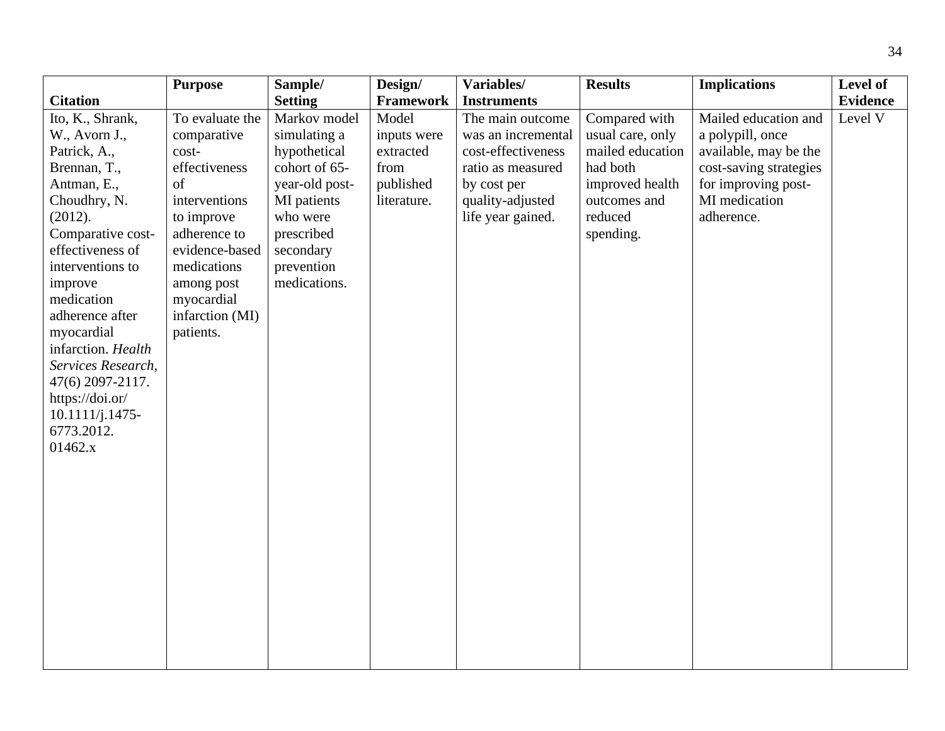| <b>Framework</b><br><b>Evidence</b><br><b>Citation</b><br><b>Setting</b><br><b>Instruments</b><br>Ito, K., Shrank,<br>Markov model<br>Model<br>The main outcome<br>Compared with<br>Mailed education and<br>Level V<br>To evaluate the<br>usual care, only<br>comparative<br>simulating a<br>inputs were<br>was an incremental<br>a polypill, once<br>W., Avorn J.,<br>cost-effectiveness<br>mailed education<br>available, may be the<br>Patrick, A.,<br>cost-<br>hypothetical<br>extracted<br>cohort of 65-<br>from<br>effectiveness<br>ratio as measured<br>had both<br>cost-saving strategies<br>Brennan, T.,<br>year-old post-<br>published<br>improved health<br>for improving post-<br>of<br>by cost per<br>Antman, E.,<br>MI medication<br>interventions<br>MI patients<br>quality-adjusted<br>outcomes and<br>Choudhry, N.<br>literature.<br>who were<br>life year gained.<br>reduced<br>adherence.<br>(2012).<br>to improve<br>adherence to<br>prescribed<br>spending. | <b>Purpose</b>    |
|----------------------------------------------------------------------------------------------------------------------------------------------------------------------------------------------------------------------------------------------------------------------------------------------------------------------------------------------------------------------------------------------------------------------------------------------------------------------------------------------------------------------------------------------------------------------------------------------------------------------------------------------------------------------------------------------------------------------------------------------------------------------------------------------------------------------------------------------------------------------------------------------------------------------------------------------------------------------------------|-------------------|
|                                                                                                                                                                                                                                                                                                                                                                                                                                                                                                                                                                                                                                                                                                                                                                                                                                                                                                                                                                                  |                   |
| effectiveness of<br>evidence-based<br>secondary<br>interventions to<br>medications<br>prevention<br>medications.<br>improve<br>among post<br>medication<br>myocardial<br>infarction (MI)<br>adherence after<br>patients.<br>myocardial<br>infarction. Health<br>Services Research,<br>47(6) 2097-2117.<br>https://doi.or/<br>$10.1111/j.1475-$<br>6773.2012.<br>01462.x                                                                                                                                                                                                                                                                                                                                                                                                                                                                                                                                                                                                          | Comparative cost- |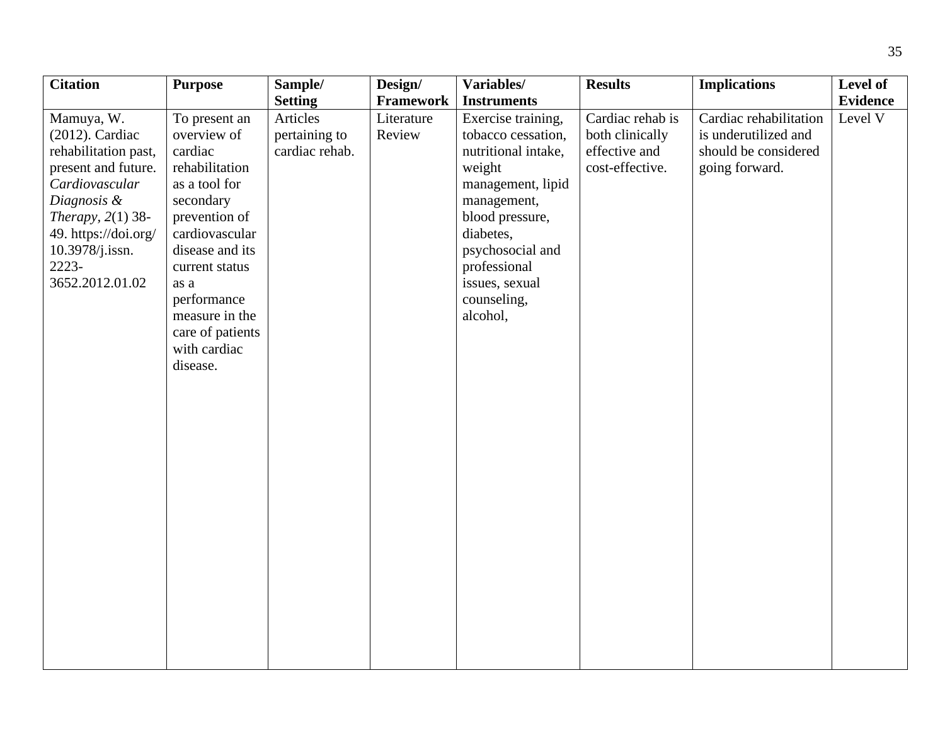| <b>Citation</b>                                                                                                                                                                                                | <b>Purpose</b>                                                                                                                                                                                                                                           | Sample/                                                       | Design/                           | Variables/                                                                                                                                                                                                                                           | <b>Results</b>                                                          | <b>Implications</b>                                                                      | Level of                   |
|----------------------------------------------------------------------------------------------------------------------------------------------------------------------------------------------------------------|----------------------------------------------------------------------------------------------------------------------------------------------------------------------------------------------------------------------------------------------------------|---------------------------------------------------------------|-----------------------------------|------------------------------------------------------------------------------------------------------------------------------------------------------------------------------------------------------------------------------------------------------|-------------------------------------------------------------------------|------------------------------------------------------------------------------------------|----------------------------|
|                                                                                                                                                                                                                |                                                                                                                                                                                                                                                          |                                                               |                                   |                                                                                                                                                                                                                                                      |                                                                         |                                                                                          |                            |
| Mamuya, W.<br>$(2012)$ . Cardiac<br>rehabilitation past,<br>present and future.<br>Cardiovascular<br>Diagnosis &<br>Therapy, $2(1)$ 38-<br>49. https://doi.org/<br>10.3978/j.issn.<br>2223-<br>3652.2012.01.02 | To present an<br>overview of<br>cardiac<br>rehabilitation<br>as a tool for<br>secondary<br>prevention of<br>cardiovascular<br>disease and its<br>current status<br>as a<br>performance<br>measure in the<br>care of patients<br>with cardiac<br>disease. | <b>Setting</b><br>Articles<br>pertaining to<br>cardiac rehab. | Framework<br>Literature<br>Review | <b>Instruments</b><br>Exercise training,<br>tobacco cessation,<br>nutritional intake,<br>weight<br>management, lipid<br>management,<br>blood pressure,<br>diabetes,<br>psychosocial and<br>professional<br>issues, sexual<br>counseling,<br>alcohol, | Cardiac rehab is<br>both clinically<br>effective and<br>cost-effective. | Cardiac rehabilitation<br>is underutilized and<br>should be considered<br>going forward. | <b>Evidence</b><br>Level V |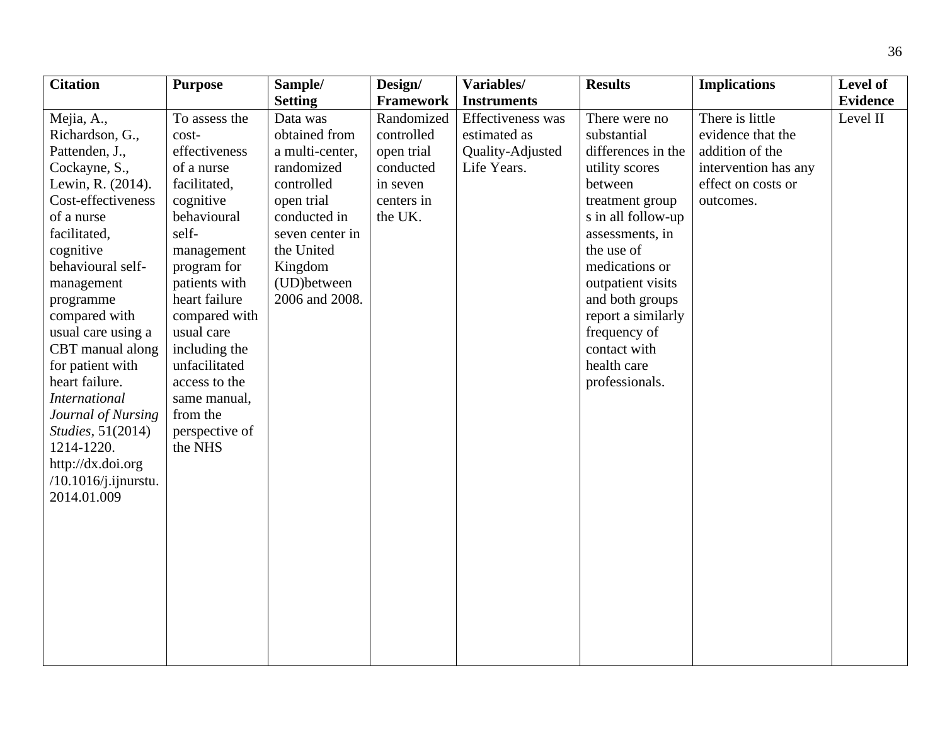| <b>Citation</b>           | <b>Purpose</b> | Sample/         | Design/    | Variables/         | <b>Results</b>     | <b>Implications</b>  | Level of        |
|---------------------------|----------------|-----------------|------------|--------------------|--------------------|----------------------|-----------------|
|                           |                | <b>Setting</b>  | Framework  | <b>Instruments</b> |                    |                      | <b>Evidence</b> |
| Mejia, A.,                | To assess the  | Data was        | Randomized | Effectiveness was  | There were no      | There is little      | Level II        |
| Richardson, G.,           | cost-          | obtained from   | controlled | estimated as       | substantial        | evidence that the    |                 |
| Pattenden, J.,            | effectiveness  | a multi-center, | open trial | Quality-Adjusted   | differences in the | addition of the      |                 |
| Cockayne, S.,             | of a nurse     | randomized      | conducted  | Life Years.        | utility scores     | intervention has any |                 |
| Lewin, R. (2014).         | facilitated,   | controlled      | in seven   |                    | between            | effect on costs or   |                 |
| Cost-effectiveness        | cognitive      | open trial      | centers in |                    | treatment group    | outcomes.            |                 |
| of a nurse                | behavioural    | conducted in    | the UK.    |                    | s in all follow-up |                      |                 |
| facilitated,              | self-          | seven center in |            |                    | assessments, in    |                      |                 |
| cognitive                 | management     | the United      |            |                    | the use of         |                      |                 |
| behavioural self-         | program for    | Kingdom         |            |                    | medications or     |                      |                 |
| management                | patients with  | (UD) between    |            |                    | outpatient visits  |                      |                 |
| programme                 | heart failure  | 2006 and 2008.  |            |                    | and both groups    |                      |                 |
| compared with             | compared with  |                 |            |                    | report a similarly |                      |                 |
| usual care using a        | usual care     |                 |            |                    | frequency of       |                      |                 |
| CBT manual along          | including the  |                 |            |                    | contact with       |                      |                 |
| for patient with          | unfacilitated  |                 |            |                    | health care        |                      |                 |
| heart failure.            | access to the  |                 |            |                    | professionals.     |                      |                 |
| <b>International</b>      | same manual,   |                 |            |                    |                    |                      |                 |
| Journal of Nursing        | from the       |                 |            |                    |                    |                      |                 |
| <i>Studies</i> , 51(2014) | perspective of |                 |            |                    |                    |                      |                 |
| 1214-1220.                | the NHS        |                 |            |                    |                    |                      |                 |
| http://dx.doi.org         |                |                 |            |                    |                    |                      |                 |
| $/10.1016$ j.ijnurstu.    |                |                 |            |                    |                    |                      |                 |
| 2014.01.009               |                |                 |            |                    |                    |                      |                 |
|                           |                |                 |            |                    |                    |                      |                 |
|                           |                |                 |            |                    |                    |                      |                 |
|                           |                |                 |            |                    |                    |                      |                 |
|                           |                |                 |            |                    |                    |                      |                 |
|                           |                |                 |            |                    |                    |                      |                 |
|                           |                |                 |            |                    |                    |                      |                 |
|                           |                |                 |            |                    |                    |                      |                 |
|                           |                |                 |            |                    |                    |                      |                 |
|                           |                |                 |            |                    |                    |                      |                 |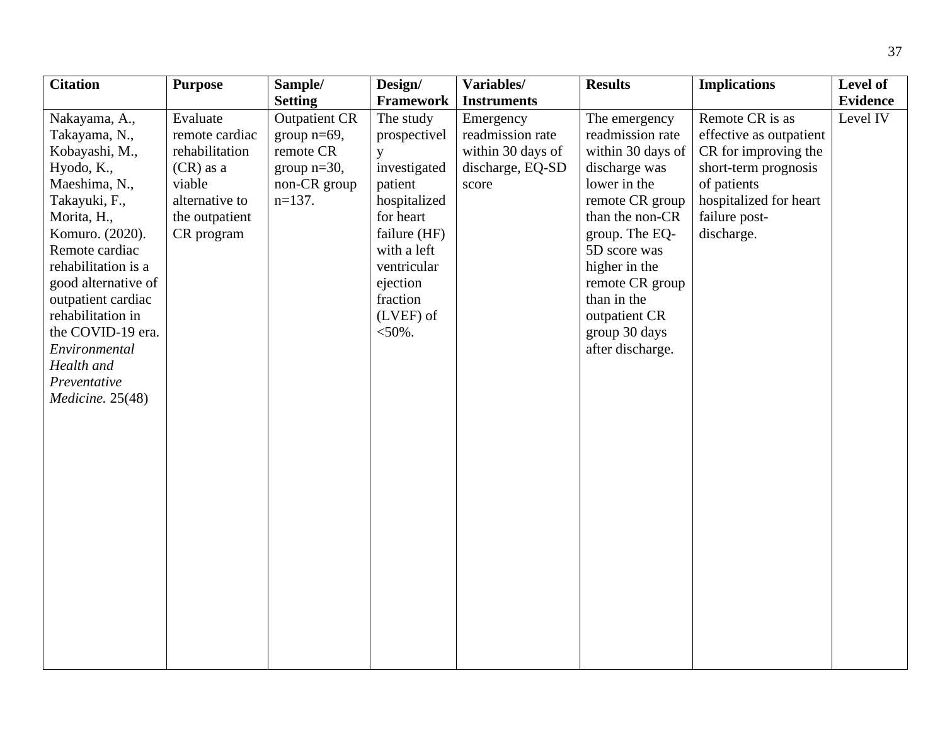| <b>Citation</b>     | <b>Purpose</b> | Sample/              | Design/      | Variables/         | <b>Results</b>    | <b>Implications</b>     | Level of        |
|---------------------|----------------|----------------------|--------------|--------------------|-------------------|-------------------------|-----------------|
|                     |                | <b>Setting</b>       | Framework    | <b>Instruments</b> |                   |                         | <b>Evidence</b> |
| Nakayama, A.,       | Evaluate       | <b>Outpatient CR</b> | The study    | Emergency          | The emergency     | Remote CR is as         | Level IV        |
| Takayama, N.,       | remote cardiac | group $n=69$ ,       | prospectivel | readmission rate   | readmission rate  | effective as outpatient |                 |
| Kobayashi, M.,      | rehabilitation | remote CR            | y            | within 30 days of  | within 30 days of | CR for improving the    |                 |
| Hyodo, K.,          | $(CR)$ as a    | group $n=30$ ,       | investigated | discharge, EQ-SD   | discharge was     | short-term prognosis    |                 |
| Maeshima, N.,       | viable         | non-CR group         | patient      | score              | lower in the      | of patients             |                 |
| Takayuki, F.,       | alternative to | $n=137$ .            | hospitalized |                    | remote CR group   | hospitalized for heart  |                 |
| Morita, H.,         | the outpatient |                      | for heart    |                    | than the non-CR   | failure post-           |                 |
| Komuro. (2020).     | CR program     |                      | failure (HF) |                    | group. The EQ-    | discharge.              |                 |
| Remote cardiac      |                |                      | with a left  |                    | 5D score was      |                         |                 |
| rehabilitation is a |                |                      | ventricular  |                    | higher in the     |                         |                 |
| good alternative of |                |                      | ejection     |                    | remote CR group   |                         |                 |
| outpatient cardiac  |                |                      | fraction     |                    | than in the       |                         |                 |
| rehabilitation in   |                |                      | $(LVEF)$ of  |                    | outpatient CR     |                         |                 |
| the COVID-19 era.   |                |                      | $<$ 50%.     |                    | group 30 days     |                         |                 |
| Environmental       |                |                      |              |                    | after discharge.  |                         |                 |
| Health and          |                |                      |              |                    |                   |                         |                 |
| Preventative        |                |                      |              |                    |                   |                         |                 |
| Medicine. 25(48)    |                |                      |              |                    |                   |                         |                 |
|                     |                |                      |              |                    |                   |                         |                 |
|                     |                |                      |              |                    |                   |                         |                 |
|                     |                |                      |              |                    |                   |                         |                 |
|                     |                |                      |              |                    |                   |                         |                 |
|                     |                |                      |              |                    |                   |                         |                 |
|                     |                |                      |              |                    |                   |                         |                 |
|                     |                |                      |              |                    |                   |                         |                 |
|                     |                |                      |              |                    |                   |                         |                 |
|                     |                |                      |              |                    |                   |                         |                 |
|                     |                |                      |              |                    |                   |                         |                 |
|                     |                |                      |              |                    |                   |                         |                 |
|                     |                |                      |              |                    |                   |                         |                 |
|                     |                |                      |              |                    |                   |                         |                 |
|                     |                |                      |              |                    |                   |                         |                 |
|                     |                |                      |              |                    |                   |                         |                 |
|                     |                |                      |              |                    |                   |                         |                 |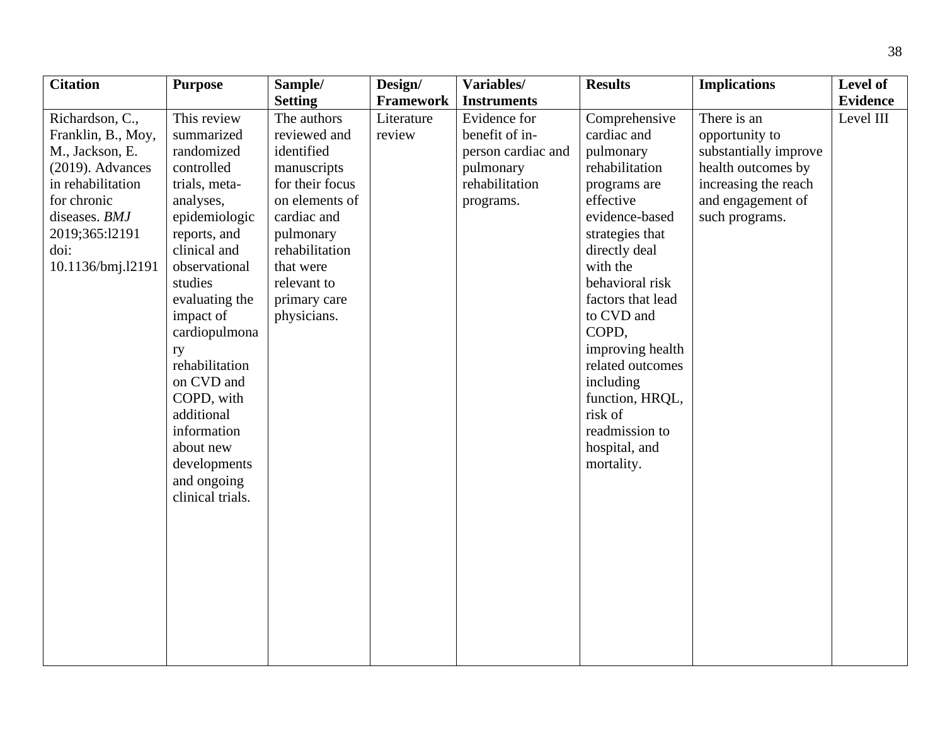| <b>Citation</b>                                                                                                                                                                     | <b>Purpose</b>                                                                                                                                                                                                                                                                                                                                                    | Sample/                                                                                                                                                                                                                  | Design/                                  | Variables/                                                                                                             | <b>Results</b>                                                                                                                                                                                                                                                                                                                                                | <b>Implications</b>                                                                                                                         | Level of                     |
|-------------------------------------------------------------------------------------------------------------------------------------------------------------------------------------|-------------------------------------------------------------------------------------------------------------------------------------------------------------------------------------------------------------------------------------------------------------------------------------------------------------------------------------------------------------------|--------------------------------------------------------------------------------------------------------------------------------------------------------------------------------------------------------------------------|------------------------------------------|------------------------------------------------------------------------------------------------------------------------|---------------------------------------------------------------------------------------------------------------------------------------------------------------------------------------------------------------------------------------------------------------------------------------------------------------------------------------------------------------|---------------------------------------------------------------------------------------------------------------------------------------------|------------------------------|
|                                                                                                                                                                                     |                                                                                                                                                                                                                                                                                                                                                                   |                                                                                                                                                                                                                          |                                          |                                                                                                                        |                                                                                                                                                                                                                                                                                                                                                               |                                                                                                                                             |                              |
| Richardson, C.,<br>Franklin, B., Moy,<br>M., Jackson, E.<br>$(2019)$ . Advances<br>in rehabilitation<br>for chronic<br>diseases. BMJ<br>2019;365:12191<br>doi:<br>10.1136/bmj.l2191 | This review<br>summarized<br>randomized<br>controlled<br>trials, meta-<br>analyses,<br>epidemiologic<br>reports, and<br>clinical and<br>observational<br>studies<br>evaluating the<br>impact of<br>cardiopulmona<br>ry<br>rehabilitation<br>on CVD and<br>COPD, with<br>additional<br>information<br>about new<br>developments<br>and ongoing<br>clinical trials. | <b>Setting</b><br>The authors<br>reviewed and<br>identified<br>manuscripts<br>for their focus<br>on elements of<br>cardiac and<br>pulmonary<br>rehabilitation<br>that were<br>relevant to<br>primary care<br>physicians. | <b>Framework</b><br>Literature<br>review | <b>Instruments</b><br>Evidence for<br>benefit of in-<br>person cardiac and<br>pulmonary<br>rehabilitation<br>programs. | Comprehensive<br>cardiac and<br>pulmonary<br>rehabilitation<br>programs are<br>effective<br>evidence-based<br>strategies that<br>directly deal<br>with the<br>behavioral risk<br>factors that lead<br>to CVD and<br>COPD,<br>improving health<br>related outcomes<br>including<br>function, HRQL,<br>risk of<br>readmission to<br>hospital, and<br>mortality. | There is an<br>opportunity to<br>substantially improve<br>health outcomes by<br>increasing the reach<br>and engagement of<br>such programs. | <b>Evidence</b><br>Level III |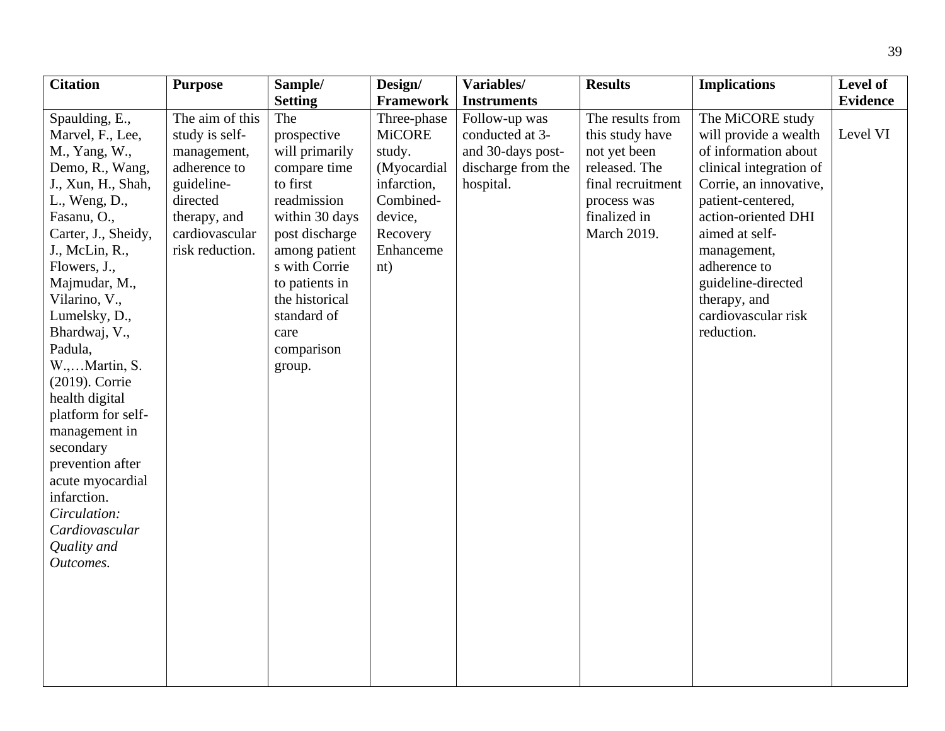| <b>Citation</b>     | <b>Purpose</b>  | Sample/        | Design/       | Variables/         | <b>Results</b>    | <b>Implications</b>     | Level of        |
|---------------------|-----------------|----------------|---------------|--------------------|-------------------|-------------------------|-----------------|
|                     |                 | <b>Setting</b> | Framework     | <b>Instruments</b> |                   |                         | <b>Evidence</b> |
| Spaulding, E.,      | The aim of this | The            | Three-phase   | Follow-up was      | The results from  | The MiCORE study        |                 |
| Marvel, F., Lee,    | study is self-  | prospective    | <b>MiCORE</b> | conducted at 3-    | this study have   | will provide a wealth   | Level VI        |
| M., Yang, W.,       | management,     | will primarily | study.        | and 30-days post-  | not yet been      | of information about    |                 |
| Demo, R., Wang,     | adherence to    | compare time   | (Myocardial   | discharge from the | released. The     | clinical integration of |                 |
| J., Xun, H., Shah,  | guideline-      | to first       | infarction,   | hospital.          | final recruitment | Corrie, an innovative,  |                 |
| L., Weng, D.,       | directed        | readmission    | Combined-     |                    | process was       | patient-centered,       |                 |
| Fasanu, O.,         | therapy, and    | within 30 days | device,       |                    | finalized in      | action-oriented DHI     |                 |
| Carter, J., Sheidy, | cardiovascular  | post discharge | Recovery      |                    | March 2019.       | aimed at self-          |                 |
| J., McLin, R.,      | risk reduction. | among patient  | Enhanceme     |                    |                   | management,             |                 |
| Flowers, J.,        |                 | s with Corrie  | nt)           |                    |                   | adherence to            |                 |
| Majmudar, M.,       |                 | to patients in |               |                    |                   | guideline-directed      |                 |
| Vilarino, V.,       |                 | the historical |               |                    |                   | therapy, and            |                 |
| Lumelsky, D.,       |                 | standard of    |               |                    |                   | cardiovascular risk     |                 |
| Bhardwaj, V.,       |                 | care           |               |                    |                   | reduction.              |                 |
| Padula,             |                 | comparison     |               |                    |                   |                         |                 |
| W.,Martin, S.       |                 | group.         |               |                    |                   |                         |                 |
| (2019). Corrie      |                 |                |               |                    |                   |                         |                 |
| health digital      |                 |                |               |                    |                   |                         |                 |
| platform for self-  |                 |                |               |                    |                   |                         |                 |
| management in       |                 |                |               |                    |                   |                         |                 |
| secondary           |                 |                |               |                    |                   |                         |                 |
| prevention after    |                 |                |               |                    |                   |                         |                 |
| acute myocardial    |                 |                |               |                    |                   |                         |                 |
| infarction.         |                 |                |               |                    |                   |                         |                 |
| Circulation:        |                 |                |               |                    |                   |                         |                 |
| Cardiovascular      |                 |                |               |                    |                   |                         |                 |
| Quality and         |                 |                |               |                    |                   |                         |                 |
| Outcomes.           |                 |                |               |                    |                   |                         |                 |
|                     |                 |                |               |                    |                   |                         |                 |
|                     |                 |                |               |                    |                   |                         |                 |
|                     |                 |                |               |                    |                   |                         |                 |
|                     |                 |                |               |                    |                   |                         |                 |
|                     |                 |                |               |                    |                   |                         |                 |
|                     |                 |                |               |                    |                   |                         |                 |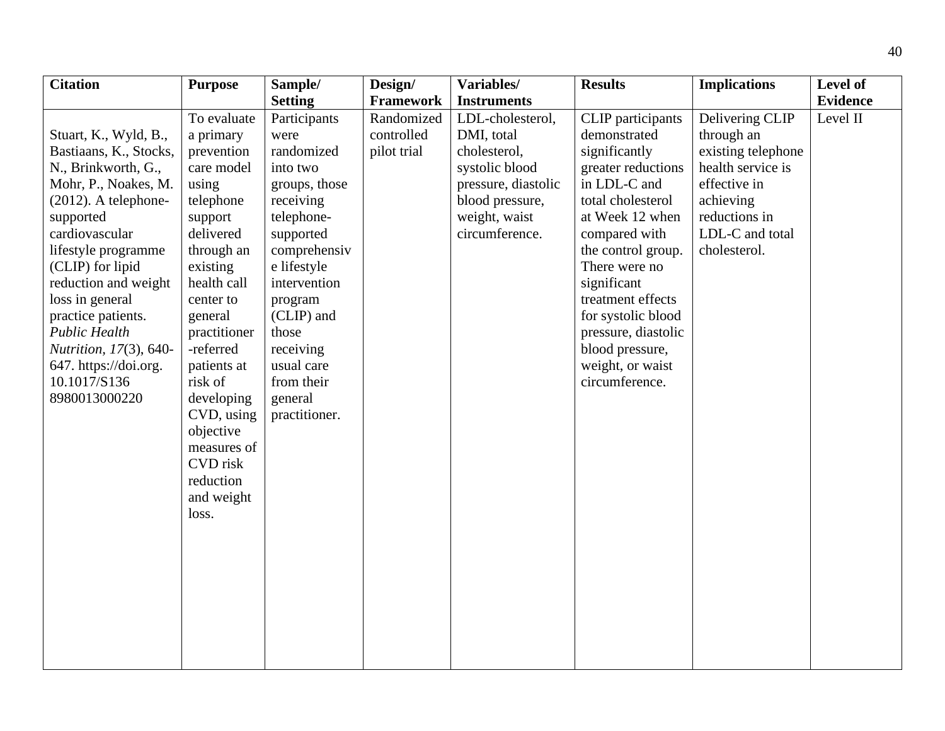| <b>Citation</b>         | <b>Purpose</b>  | Sample/        | Design/          | Variables/          | <b>Results</b>      | <b>Implications</b> | Level of        |
|-------------------------|-----------------|----------------|------------------|---------------------|---------------------|---------------------|-----------------|
|                         |                 | <b>Setting</b> | <b>Framework</b> | <b>Instruments</b>  |                     |                     | <b>Evidence</b> |
|                         | To evaluate     | Participants   | Randomized       | LDL-cholesterol,    | CLIP participants   | Delivering CLIP     | Level II        |
| Stuart, K., Wyld, B.,   | a primary       | were           | controlled       | DMI, total          | demonstrated        | through an          |                 |
| Bastiaans, K., Stocks,  | prevention      | randomized     | pilot trial      | cholesterol,        | significantly       | existing telephone  |                 |
| N., Brinkworth, G.,     | care model      | into two       |                  | systolic blood      | greater reductions  | health service is   |                 |
| Mohr, P., Noakes, M.    | using           | groups, those  |                  | pressure, diastolic | in LDL-C and        | effective in        |                 |
| $(2012)$ . A telephone- | telephone       | receiving      |                  | blood pressure,     | total cholesterol   | achieving           |                 |
| supported               | support         | telephone-     |                  | weight, waist       | at Week 12 when     | reductions in       |                 |
| cardiovascular          | delivered       | supported      |                  | circumference.      | compared with       | LDL-C and total     |                 |
| lifestyle programme     | through an      | comprehensiv   |                  |                     | the control group.  | cholesterol.        |                 |
| (CLIP) for lipid        | existing        | e lifestyle    |                  |                     | There were no       |                     |                 |
| reduction and weight    | health call     | intervention   |                  |                     | significant         |                     |                 |
| loss in general         | center to       | program        |                  |                     | treatment effects   |                     |                 |
| practice patients.      | general         | (CLIP) and     |                  |                     | for systolic blood  |                     |                 |
| <b>Public Health</b>    | practitioner    | those          |                  |                     | pressure, diastolic |                     |                 |
| Nutrition, 17(3), 640-  | -referred       | receiving      |                  |                     | blood pressure,     |                     |                 |
| 647. https://doi.org.   | patients at     | usual care     |                  |                     | weight, or waist    |                     |                 |
| 10.1017/S136            | risk of         | from their     |                  |                     | circumference.      |                     |                 |
| 8980013000220           | developing      | general        |                  |                     |                     |                     |                 |
|                         | CVD, using      | practitioner.  |                  |                     |                     |                     |                 |
|                         | objective       |                |                  |                     |                     |                     |                 |
|                         | measures of     |                |                  |                     |                     |                     |                 |
|                         | <b>CVD</b> risk |                |                  |                     |                     |                     |                 |
|                         | reduction       |                |                  |                     |                     |                     |                 |
|                         | and weight      |                |                  |                     |                     |                     |                 |
|                         | loss.           |                |                  |                     |                     |                     |                 |
|                         |                 |                |                  |                     |                     |                     |                 |
|                         |                 |                |                  |                     |                     |                     |                 |
|                         |                 |                |                  |                     |                     |                     |                 |
|                         |                 |                |                  |                     |                     |                     |                 |
|                         |                 |                |                  |                     |                     |                     |                 |
|                         |                 |                |                  |                     |                     |                     |                 |
|                         |                 |                |                  |                     |                     |                     |                 |
|                         |                 |                |                  |                     |                     |                     |                 |
|                         |                 |                |                  |                     |                     |                     |                 |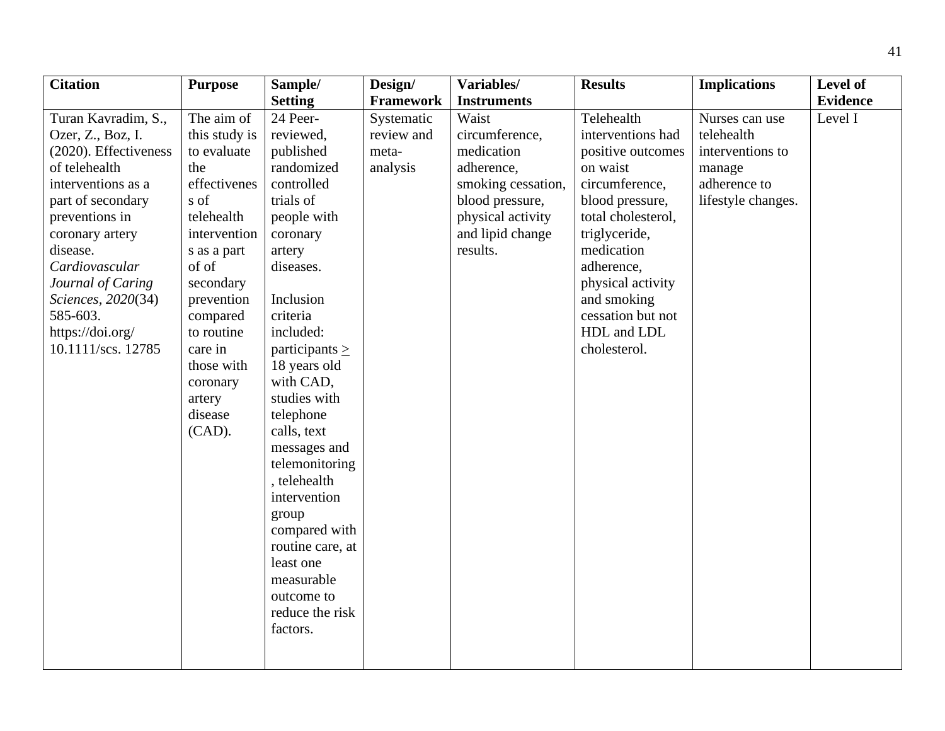| <b>Citation</b>       | <b>Purpose</b> | Sample/             | Design/    | Variables/         | <b>Results</b>     | <b>Implications</b> | Level of        |
|-----------------------|----------------|---------------------|------------|--------------------|--------------------|---------------------|-----------------|
|                       |                | <b>Setting</b>      | Framework  | <b>Instruments</b> |                    |                     | <b>Evidence</b> |
| Turan Kavradim, S.,   | The aim of     | 24 Peer-            | Systematic | Waist              | Telehealth         | Nurses can use      | Level I         |
| Ozer, Z., Boz, I.     | this study is  | reviewed,           | review and | circumference,     | interventions had  | telehealth          |                 |
| (2020). Effectiveness | to evaluate    | published           | meta-      | medication         | positive outcomes  | interventions to    |                 |
| of telehealth         | the            | randomized          | analysis   | adherence,         | on waist           | manage              |                 |
| interventions as a    | effectivenes   | controlled          |            | smoking cessation, | circumference,     | adherence to        |                 |
| part of secondary     | s of           | trials of           |            | blood pressure,    | blood pressure,    | lifestyle changes.  |                 |
| preventions in        | telehealth     | people with         |            | physical activity  | total cholesterol, |                     |                 |
| coronary artery       | intervention   | coronary            |            | and lipid change   | triglyceride,      |                     |                 |
| disease.              | s as a part    | artery              |            | results.           | medication         |                     |                 |
| Cardiovascular        | of of          | diseases.           |            |                    | adherence,         |                     |                 |
| Journal of Caring     | secondary      |                     |            |                    | physical activity  |                     |                 |
| Sciences, 2020(34)    | prevention     | Inclusion           |            |                    | and smoking        |                     |                 |
| 585-603.              | compared       | criteria            |            |                    | cessation but not  |                     |                 |
| https://doi.org/      | to routine     | included:           |            |                    | HDL and LDL        |                     |                 |
| 10.1111/scs. 12785    | care in        | participants $\geq$ |            |                    | cholesterol.       |                     |                 |
|                       | those with     | 18 years old        |            |                    |                    |                     |                 |
|                       | coronary       | with CAD,           |            |                    |                    |                     |                 |
|                       | artery         | studies with        |            |                    |                    |                     |                 |
|                       | disease        | telephone           |            |                    |                    |                     |                 |
|                       | $(CAD)$ .      | calls, text         |            |                    |                    |                     |                 |
|                       |                | messages and        |            |                    |                    |                     |                 |
|                       |                | telemonitoring      |            |                    |                    |                     |                 |
|                       |                | , telehealth        |            |                    |                    |                     |                 |
|                       |                | intervention        |            |                    |                    |                     |                 |
|                       |                | group               |            |                    |                    |                     |                 |
|                       |                | compared with       |            |                    |                    |                     |                 |
|                       |                | routine care, at    |            |                    |                    |                     |                 |
|                       |                | least one           |            |                    |                    |                     |                 |
|                       |                | measurable          |            |                    |                    |                     |                 |
|                       |                | outcome to          |            |                    |                    |                     |                 |
|                       |                | reduce the risk     |            |                    |                    |                     |                 |
|                       |                | factors.            |            |                    |                    |                     |                 |
|                       |                |                     |            |                    |                    |                     |                 |
|                       |                |                     |            |                    |                    |                     |                 |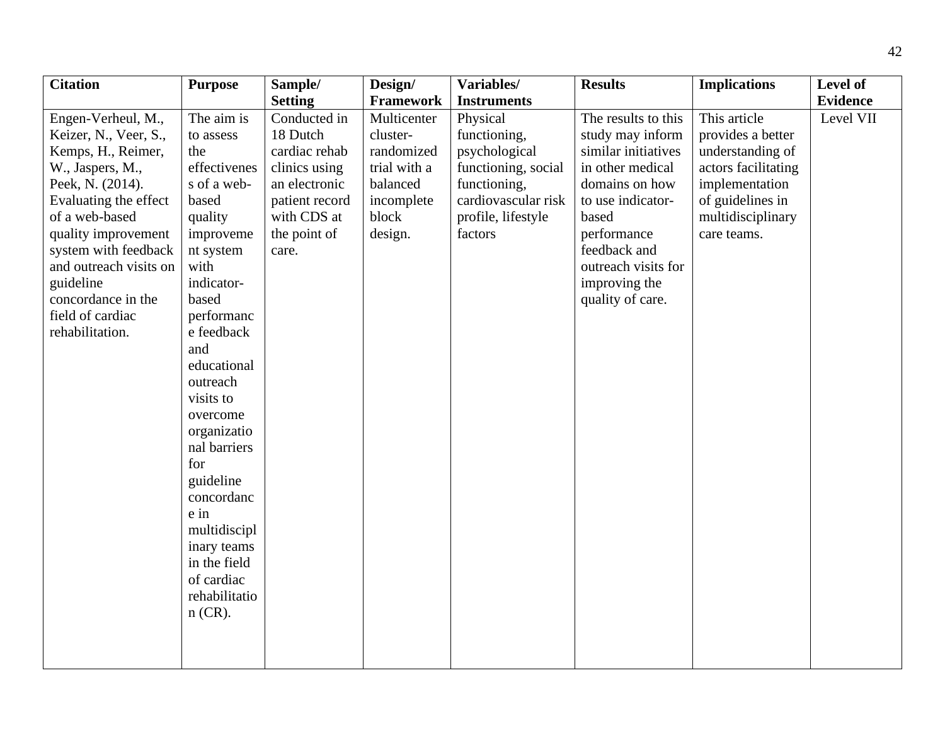| <b>Citation</b>                                                                                                                                                                                                                                                                                         | <b>Purpose</b>                                                                                                                                                                                                                                                                                                                                                                                        | Sample/                                                                                                                               | Design/                                                                                             | Variables/                                                                                                                               | <b>Results</b>                                                                                                                                                                                                                | <b>Implications</b>                                                                                                                                    | Level of                     |
|---------------------------------------------------------------------------------------------------------------------------------------------------------------------------------------------------------------------------------------------------------------------------------------------------------|-------------------------------------------------------------------------------------------------------------------------------------------------------------------------------------------------------------------------------------------------------------------------------------------------------------------------------------------------------------------------------------------------------|---------------------------------------------------------------------------------------------------------------------------------------|-----------------------------------------------------------------------------------------------------|------------------------------------------------------------------------------------------------------------------------------------------|-------------------------------------------------------------------------------------------------------------------------------------------------------------------------------------------------------------------------------|--------------------------------------------------------------------------------------------------------------------------------------------------------|------------------------------|
|                                                                                                                                                                                                                                                                                                         |                                                                                                                                                                                                                                                                                                                                                                                                       | <b>Setting</b>                                                                                                                        | Framework                                                                                           | <b>Instruments</b>                                                                                                                       |                                                                                                                                                                                                                               |                                                                                                                                                        |                              |
| Engen-Verheul, M.,<br>Keizer, N., Veer, S.,<br>Kemps, H., Reimer,<br>W., Jaspers, M.,<br>Peek, N. (2014).<br>Evaluating the effect<br>of a web-based<br>quality improvement<br>system with feedback<br>and outreach visits on<br>guideline<br>concordance in the<br>field of cardiac<br>rehabilitation. | The aim is<br>to assess<br>the<br>effectivenes<br>s of a web-<br>based<br>quality<br>improveme<br>nt system<br>with<br>indicator-<br>based<br>performanc<br>e feedback<br>and<br>educational<br>outreach<br>visits to<br>overcome<br>organizatio<br>nal barriers<br>for<br>guideline<br>concordanc<br>e in<br>multidiscipl<br>inary teams<br>in the field<br>of cardiac<br>rehabilitatio<br>$n$ (CR). | Conducted in<br>18 Dutch<br>cardiac rehab<br>clinics using<br>an electronic<br>patient record<br>with CDS at<br>the point of<br>care. | Multicenter<br>cluster-<br>randomized<br>trial with a<br>balanced<br>incomplete<br>block<br>design. | Physical<br>functioning,<br>psychological<br>functioning, social<br>functioning,<br>cardiovascular risk<br>profile, lifestyle<br>factors | The results to this<br>study may inform<br>similar initiatives<br>in other medical<br>domains on how<br>to use indicator-<br>based<br>performance<br>feedback and<br>outreach visits for<br>improving the<br>quality of care. | This article<br>provides a better<br>understanding of<br>actors facilitating<br>implementation<br>of guidelines in<br>multidisciplinary<br>care teams. | <b>Evidence</b><br>Level VII |
|                                                                                                                                                                                                                                                                                                         |                                                                                                                                                                                                                                                                                                                                                                                                       |                                                                                                                                       |                                                                                                     |                                                                                                                                          |                                                                                                                                                                                                                               |                                                                                                                                                        |                              |
|                                                                                                                                                                                                                                                                                                         |                                                                                                                                                                                                                                                                                                                                                                                                       |                                                                                                                                       |                                                                                                     |                                                                                                                                          |                                                                                                                                                                                                                               |                                                                                                                                                        |                              |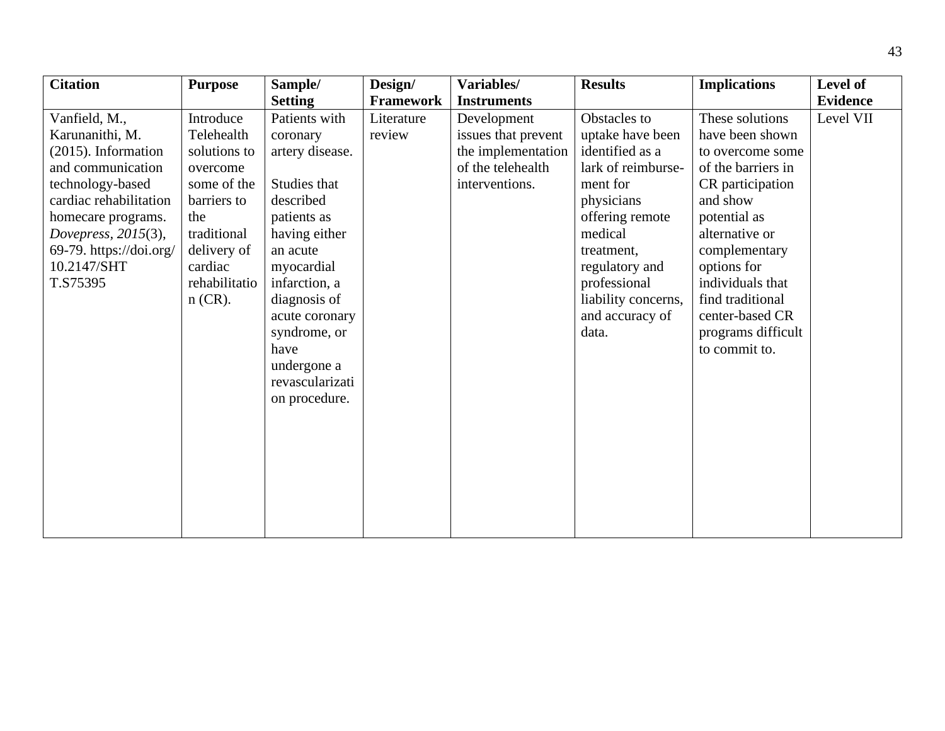| <b>Citation</b>         | <b>Purpose</b> | Sample/         | Design/          | Variables/          | <b>Results</b>      | <b>Implications</b> | Level of        |
|-------------------------|----------------|-----------------|------------------|---------------------|---------------------|---------------------|-----------------|
|                         |                | <b>Setting</b>  | <b>Framework</b> | <b>Instruments</b>  |                     |                     | <b>Evidence</b> |
| Vanfield, M.,           | Introduce      | Patients with   | Literature       | Development         | Obstacles to        | These solutions     | Level VII       |
| Karunanithi, M.         | Telehealth     | coronary        | review           | issues that prevent | uptake have been    | have been shown     |                 |
| (2015). Information     | solutions to   | artery disease. |                  | the implementation  | identified as a     | to overcome some    |                 |
| and communication       | overcome       |                 |                  | of the telehealth   | lark of reimburse-  | of the barriers in  |                 |
| technology-based        | some of the    | Studies that    |                  | interventions.      | ment for            | CR participation    |                 |
| cardiac rehabilitation  | barriers to    | described       |                  |                     | physicians          | and show            |                 |
| homecare programs.      | the            | patients as     |                  |                     | offering remote     | potential as        |                 |
| Dovepress, 2015(3),     | traditional    | having either   |                  |                     | medical             | alternative or      |                 |
| 69-79. https://doi.org/ | delivery of    | an acute        |                  |                     | treatment,          | complementary       |                 |
| 10.2147/SHT             | cardiac        | myocardial      |                  |                     | regulatory and      | options for         |                 |
| T.S75395                | rehabilitatio  | infarction, a   |                  |                     | professional        | individuals that    |                 |
|                         | $n$ (CR).      | diagnosis of    |                  |                     | liability concerns, | find traditional    |                 |
|                         |                | acute coronary  |                  |                     | and accuracy of     | center-based CR     |                 |
|                         |                | syndrome, or    |                  |                     | data.               | programs difficult  |                 |
|                         |                | have            |                  |                     |                     | to commit to.       |                 |
|                         |                | undergone a     |                  |                     |                     |                     |                 |
|                         |                | revascularizati |                  |                     |                     |                     |                 |
|                         |                | on procedure.   |                  |                     |                     |                     |                 |
|                         |                |                 |                  |                     |                     |                     |                 |
|                         |                |                 |                  |                     |                     |                     |                 |
|                         |                |                 |                  |                     |                     |                     |                 |
|                         |                |                 |                  |                     |                     |                     |                 |
|                         |                |                 |                  |                     |                     |                     |                 |
|                         |                |                 |                  |                     |                     |                     |                 |
|                         |                |                 |                  |                     |                     |                     |                 |
|                         |                |                 |                  |                     |                     |                     |                 |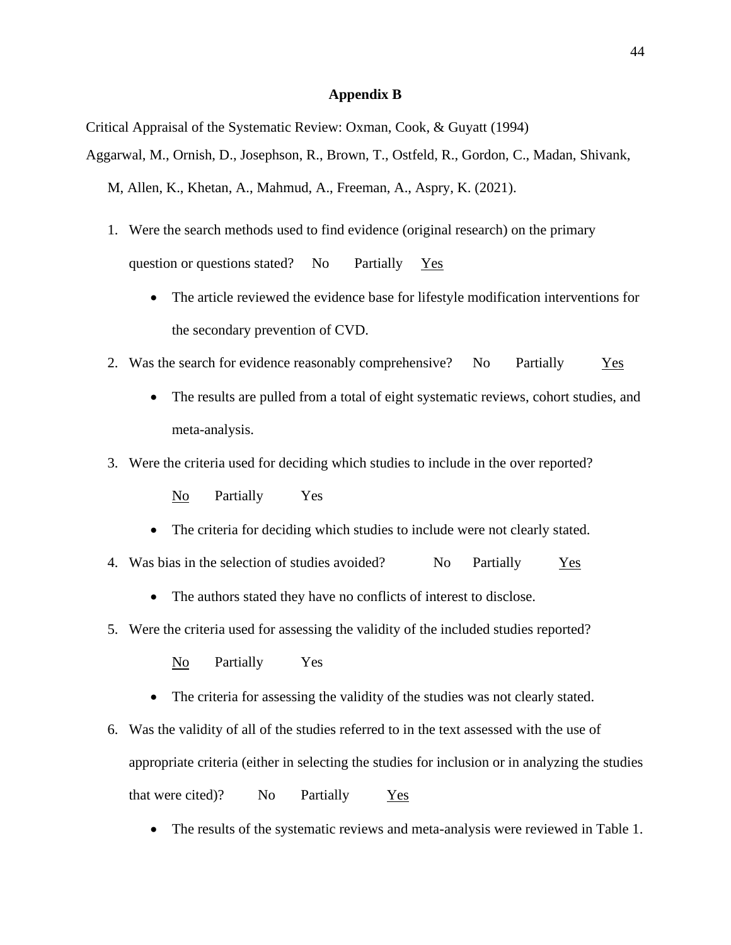#### **Appendix B**

Critical Appraisal of the Systematic Review: Oxman, Cook, & Guyatt (1994)

Aggarwal, M., Ornish, D., Josephson, R., Brown, T., Ostfeld, R., Gordon, C., Madan, Shivank,

M, Allen, K., Khetan, A., Mahmud, A., Freeman, A., Aspry, K. (2021).

- 1. Were the search methods used to find evidence (original research) on the primary question or questions stated? No Partially Yes
	- The article reviewed the evidence base for lifestyle modification interventions for the secondary prevention of CVD.
- 2. Was the search for evidence reasonably comprehensive? No Partially Yes
	- The results are pulled from a total of eight systematic reviews, cohort studies, and meta-analysis.
- 3. Were the criteria used for deciding which studies to include in the over reported?

No Partially Yes

- The criteria for deciding which studies to include were not clearly stated.
- 4. Was bias in the selection of studies avoided? No Partially Yes
	- The authors stated they have no conflicts of interest to disclose.
- 5. Were the criteria used for assessing the validity of the included studies reported?

No Partially Yes

- The criteria for assessing the validity of the studies was not clearly stated.
- 6. Was the validity of all of the studies referred to in the text assessed with the use of appropriate criteria (either in selecting the studies for inclusion or in analyzing the studies that were cited)? No Partially Yes
	- The results of the systematic reviews and meta-analysis were reviewed in Table 1.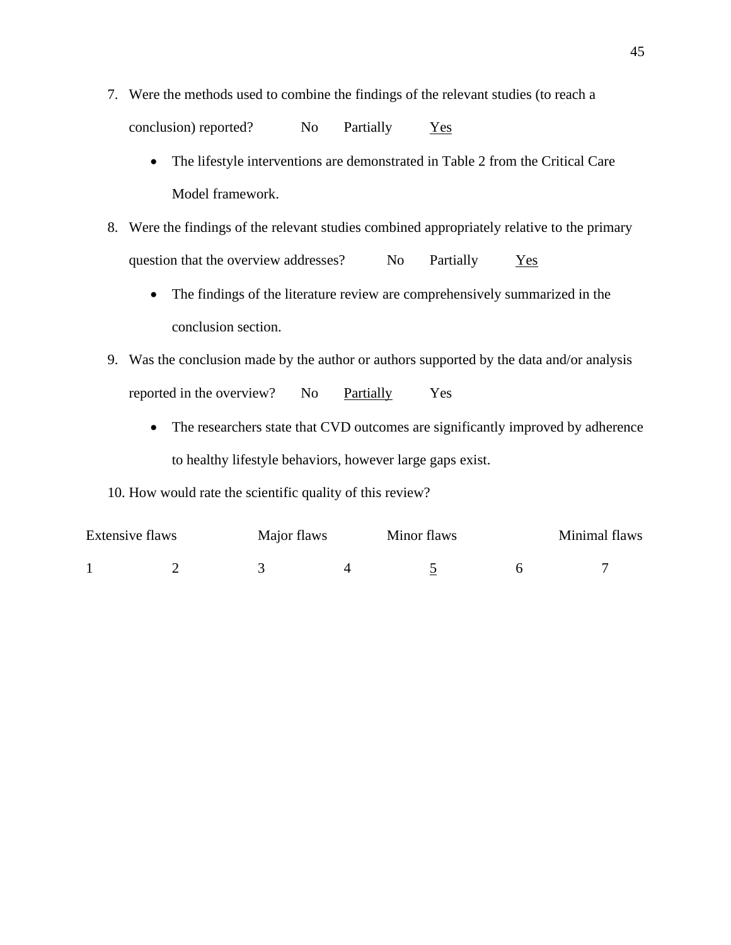- 7. Were the methods used to combine the findings of the relevant studies (to reach a conclusion) reported? No Partially Yes
	- The lifestyle interventions are demonstrated in Table 2 from the Critical Care Model framework.
- 8. Were the findings of the relevant studies combined appropriately relative to the primary question that the overview addresses? No Partially Yes
	- The findings of the literature review are comprehensively summarized in the conclusion section.
- 9. Was the conclusion made by the author or authors supported by the data and/or analysis reported in the overview? No Partially Yes
	- The researchers state that CVD outcomes are significantly improved by adherence to healthy lifestyle behaviors, however large gaps exist.

#### 10. How would rate the scientific quality of this review?

| Extensive flaws |  | Major flaws | Minor flaws | Minimal flaws |
|-----------------|--|-------------|-------------|---------------|
|                 |  |             |             |               |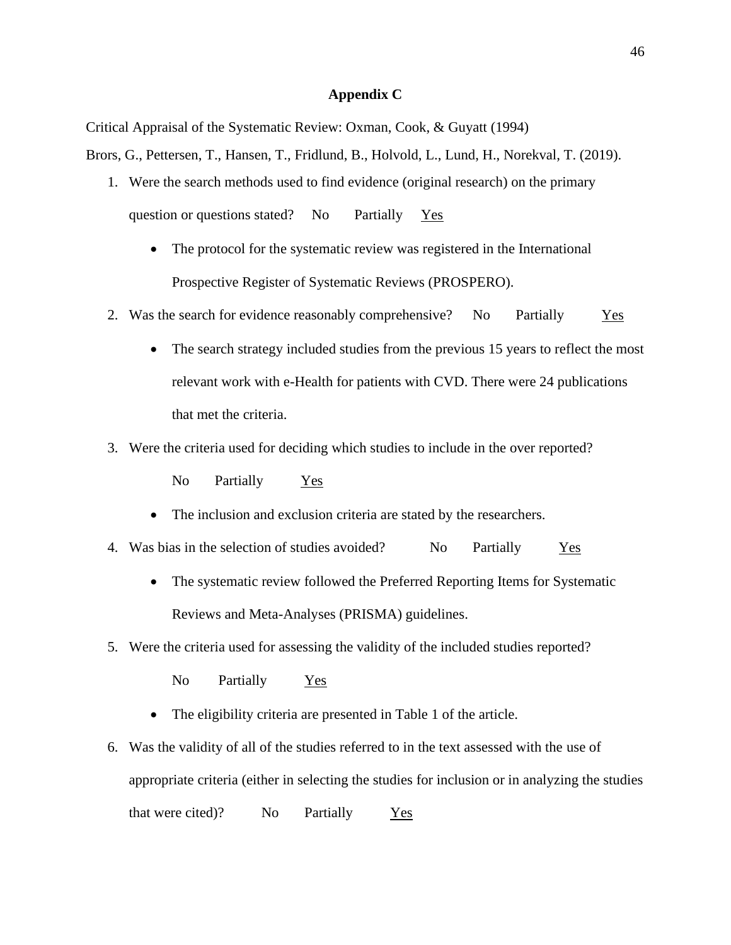#### **Appendix C**

Critical Appraisal of the Systematic Review: Oxman, Cook, & Guyatt (1994)

Brors, G., Pettersen, T., Hansen, T., Fridlund, B., Holvold, L., Lund, H., Norekval, T. (2019).

- 1. Were the search methods used to find evidence (original research) on the primary question or questions stated? No Partially Yes
	- The protocol for the systematic review was registered in the International Prospective Register of Systematic Reviews (PROSPERO).
- 2. Was the search for evidence reasonably comprehensive? No Partially Yes
	- The search strategy included studies from the previous 15 years to reflect the most relevant work with e-Health for patients with CVD. There were 24 publications that met the criteria.
- 3. Were the criteria used for deciding which studies to include in the over reported?

No Partially Yes

- The inclusion and exclusion criteria are stated by the researchers.
- 4. Was bias in the selection of studies avoided? No Partially Yes
	- The systematic review followed the Preferred Reporting Items for Systematic Reviews and Meta-Analyses (PRISMA) guidelines.
- 5. Were the criteria used for assessing the validity of the included studies reported?

No Partially Yes

- The eligibility criteria are presented in Table 1 of the article.
- 6. Was the validity of all of the studies referred to in the text assessed with the use of appropriate criteria (either in selecting the studies for inclusion or in analyzing the studies that were cited)? No Partially  $Y_{\text{es}}$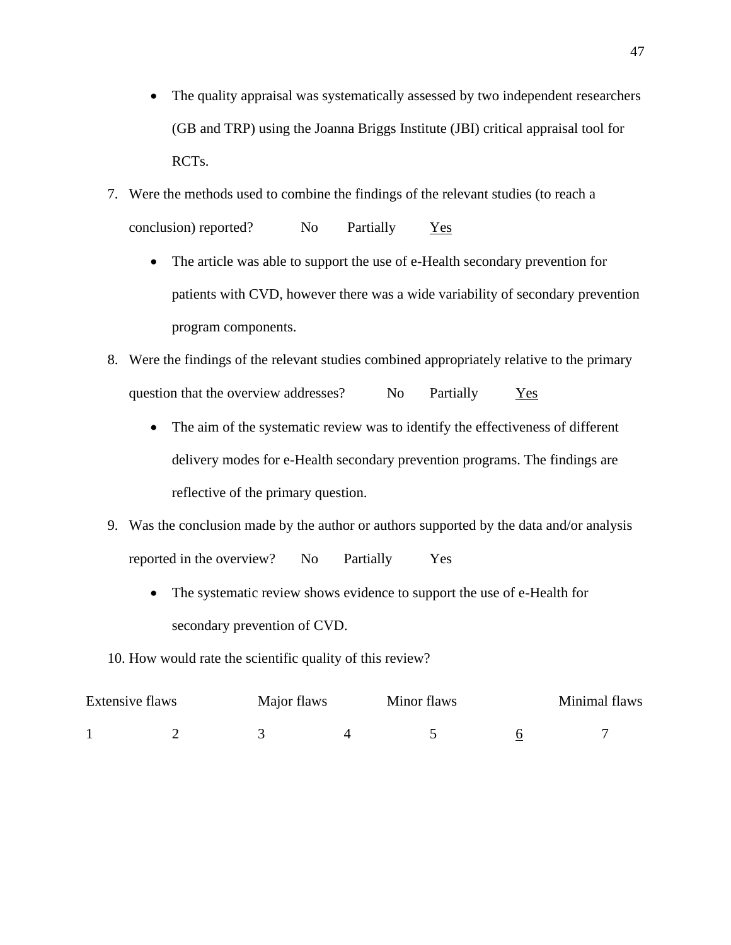- The quality appraisal was systematically assessed by two independent researchers (GB and TRP) using the Joanna Briggs Institute (JBI) critical appraisal tool for RCTs.
- 7. Were the methods used to combine the findings of the relevant studies (to reach a conclusion) reported? No Partially Yes
	- The article was able to support the use of e-Health secondary prevention for patients with CVD, however there was a wide variability of secondary prevention program components.
- 8. Were the findings of the relevant studies combined appropriately relative to the primary question that the overview addresses? No Partially Yes
	- The aim of the systematic review was to identify the effectiveness of different delivery modes for e-Health secondary prevention programs. The findings are reflective of the primary question.
- 9. Was the conclusion made by the author or authors supported by the data and/or analysis reported in the overview? No Partially Yes
	- The systematic review shows evidence to support the use of e-Health for secondary prevention of CVD.
- 10. How would rate the scientific quality of this review?

| Extensive flaws |  | Major flaws |  | Minimal flaws |  |
|-----------------|--|-------------|--|---------------|--|
|                 |  |             |  |               |  |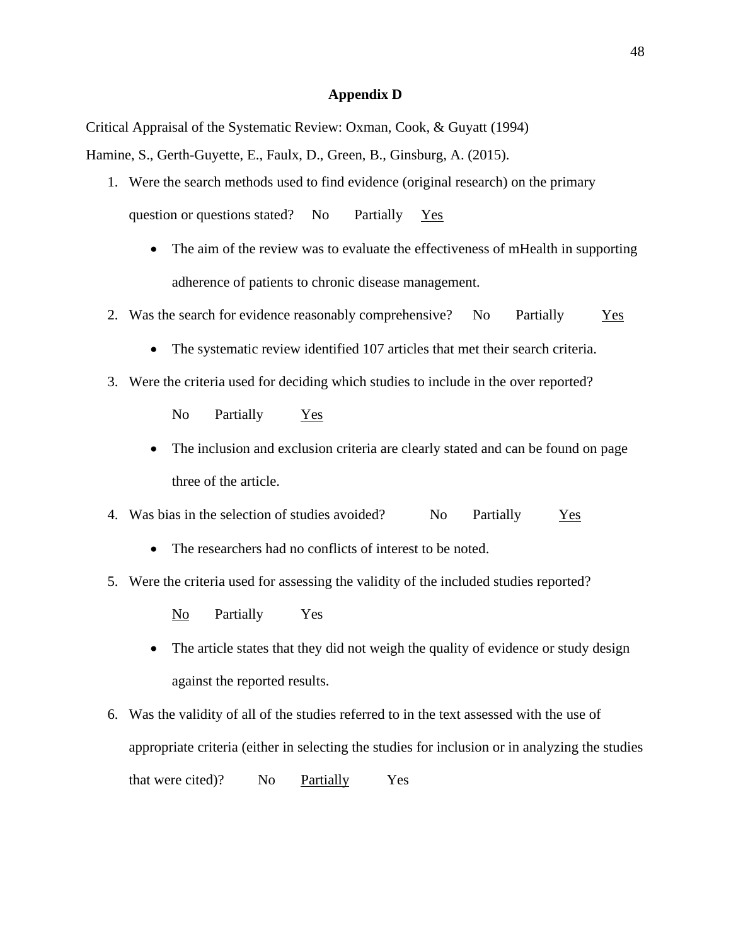#### **Appendix D**

Critical Appraisal of the Systematic Review: Oxman, Cook, & Guyatt (1994)

Hamine, S., Gerth-Guyette, E., Faulx, D., Green, B., Ginsburg, A. (2015).

- 1. Were the search methods used to find evidence (original research) on the primary question or questions stated? No Partially Yes
	- The aim of the review was to evaluate the effectiveness of mHealth in supporting adherence of patients to chronic disease management.
- 2. Was the search for evidence reasonably comprehensive? No Partially Yes
	- The systematic review identified 107 articles that met their search criteria.
- 3. Were the criteria used for deciding which studies to include in the over reported?

No Partially Yes

- The inclusion and exclusion criteria are clearly stated and can be found on page three of the article.
- 4. Was bias in the selection of studies avoided? No Partially Yes
	- The researchers had no conflicts of interest to be noted.
- 5. Were the criteria used for assessing the validity of the included studies reported?

No Partially Yes

- The article states that they did not weigh the quality of evidence or study design against the reported results.
- 6. Was the validity of all of the studies referred to in the text assessed with the use of appropriate criteria (either in selecting the studies for inclusion or in analyzing the studies that were cited)? No Partially Yes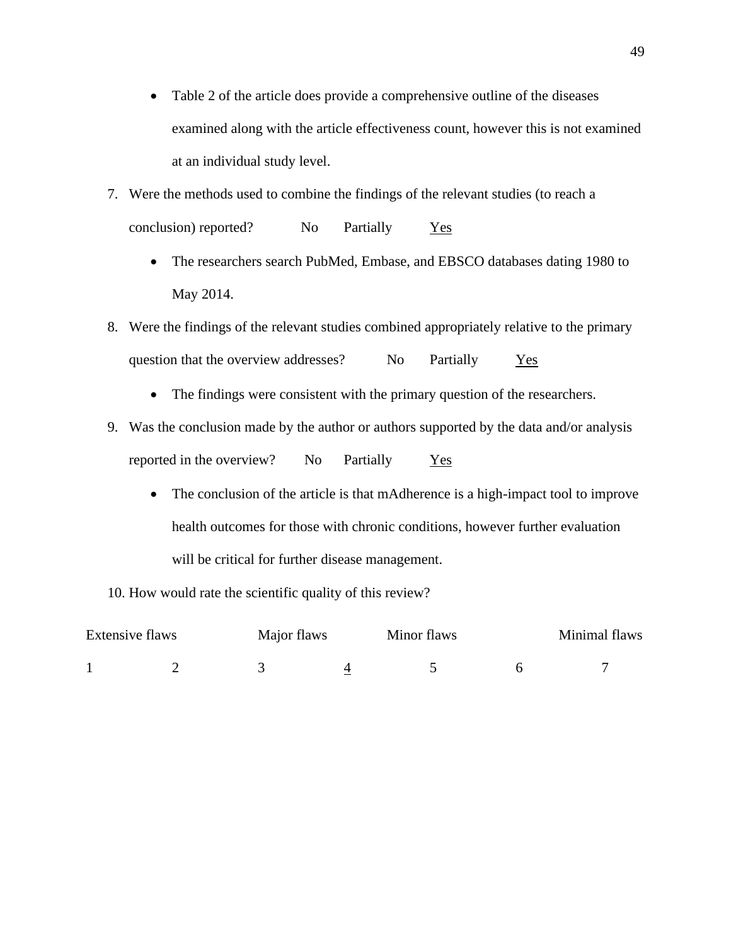- Table 2 of the article does provide a comprehensive outline of the diseases examined along with the article effectiveness count, however this is not examined at an individual study level.
- 7. Were the methods used to combine the findings of the relevant studies (to reach a conclusion) reported? No Partially Yes
	- The researchers search PubMed, Embase, and EBSCO databases dating 1980 to May 2014.
- 8. Were the findings of the relevant studies combined appropriately relative to the primary question that the overview addresses? No Partially Yes
	- The findings were consistent with the primary question of the researchers.
- 9. Was the conclusion made by the author or authors supported by the data and/or analysis reported in the overview? No Partially Yes
	- The conclusion of the article is that mAdherence is a high-impact tool to improve health outcomes for those with chronic conditions, however further evaluation will be critical for further disease management.

10. How would rate the scientific quality of this review?

| Extensive flaws |  | Major flaws |  | Minimal flaws |  |
|-----------------|--|-------------|--|---------------|--|
|                 |  |             |  |               |  |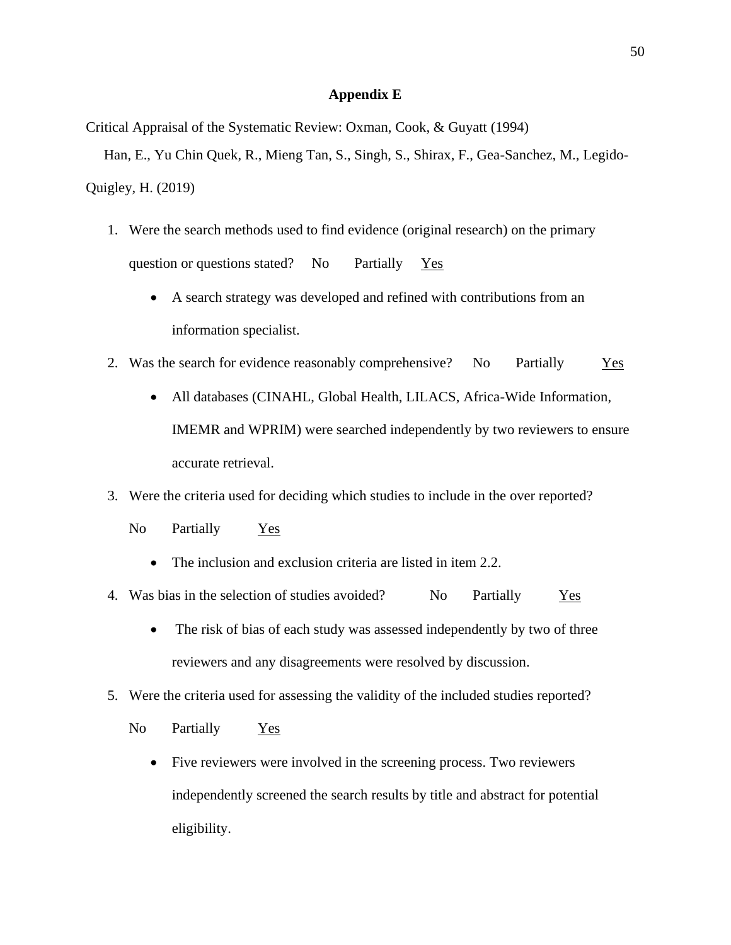#### **Appendix E**

Critical Appraisal of the Systematic Review: Oxman, Cook, & Guyatt (1994)

 Han, E., Yu Chin Quek, R., Mieng Tan, S., Singh, S., Shirax, F., Gea-Sanchez, M., Legido-Quigley, H. (2019)

- 1. Were the search methods used to find evidence (original research) on the primary question or questions stated? No Partially Yes
	- A search strategy was developed and refined with contributions from an information specialist.
- 2. Was the search for evidence reasonably comprehensive? No Partially Yes
	- All databases (CINAHL, Global Health, LILACS, Africa-Wide Information, IMEMR and WPRIM) were searched independently by two reviewers to ensure accurate retrieval.
- 3. Were the criteria used for deciding which studies to include in the over reported?
	- No Partially Yes
		- The inclusion and exclusion criteria are listed in item 2.2.
- 4. Was bias in the selection of studies avoided? No Partially Yes
	- The risk of bias of each study was assessed independently by two of three reviewers and any disagreements were resolved by discussion.
- 5. Were the criteria used for assessing the validity of the included studies reported?
	- No Partially Yes
		- Five reviewers were involved in the screening process. Two reviewers independently screened the search results by title and abstract for potential eligibility.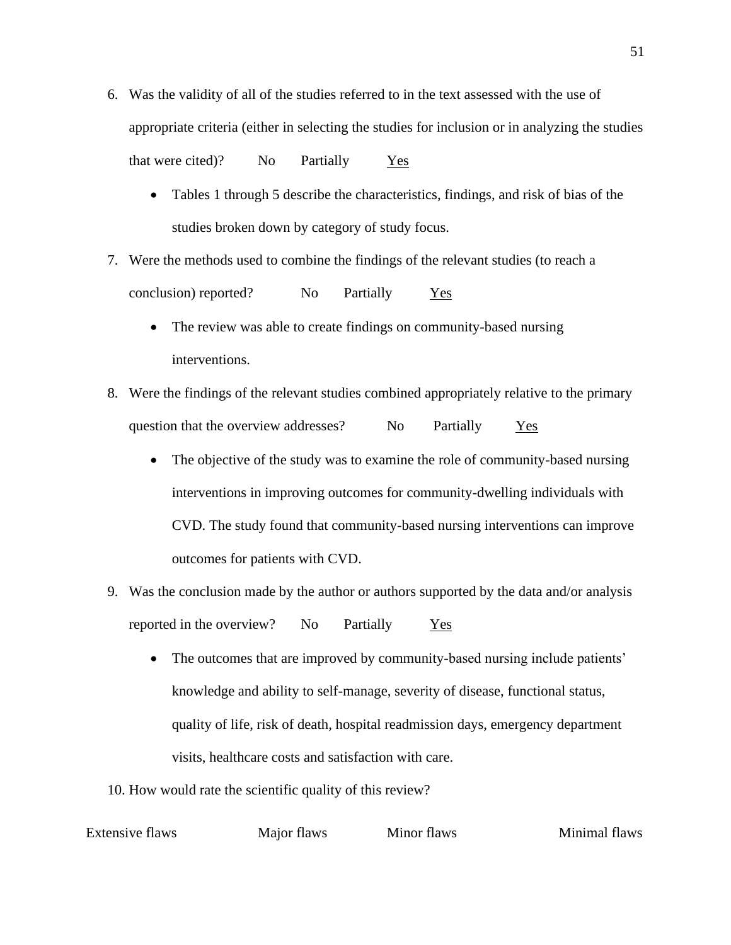- 6. Was the validity of all of the studies referred to in the text assessed with the use of appropriate criteria (either in selecting the studies for inclusion or in analyzing the studies that were cited)? No Partially Yes
	- Tables 1 through 5 describe the characteristics, findings, and risk of bias of the studies broken down by category of study focus.
- 7. Were the methods used to combine the findings of the relevant studies (to reach a conclusion) reported? No Partially Yes
	- The review was able to create findings on community-based nursing interventions.
- 8. Were the findings of the relevant studies combined appropriately relative to the primary question that the overview addresses? No Partially Yes
	- The objective of the study was to examine the role of community-based nursing interventions in improving outcomes for community-dwelling individuals with CVD. The study found that community-based nursing interventions can improve outcomes for patients with CVD.
- 9. Was the conclusion made by the author or authors supported by the data and/or analysis reported in the overview? No Partially Yes
	- The outcomes that are improved by community-based nursing include patients' knowledge and ability to self-manage, severity of disease, functional status, quality of life, risk of death, hospital readmission days, emergency department visits, healthcare costs and satisfaction with care.
- 10. How would rate the scientific quality of this review?

Extensive flaws Major flaws Minor flaws Minor flaws Minimal flaws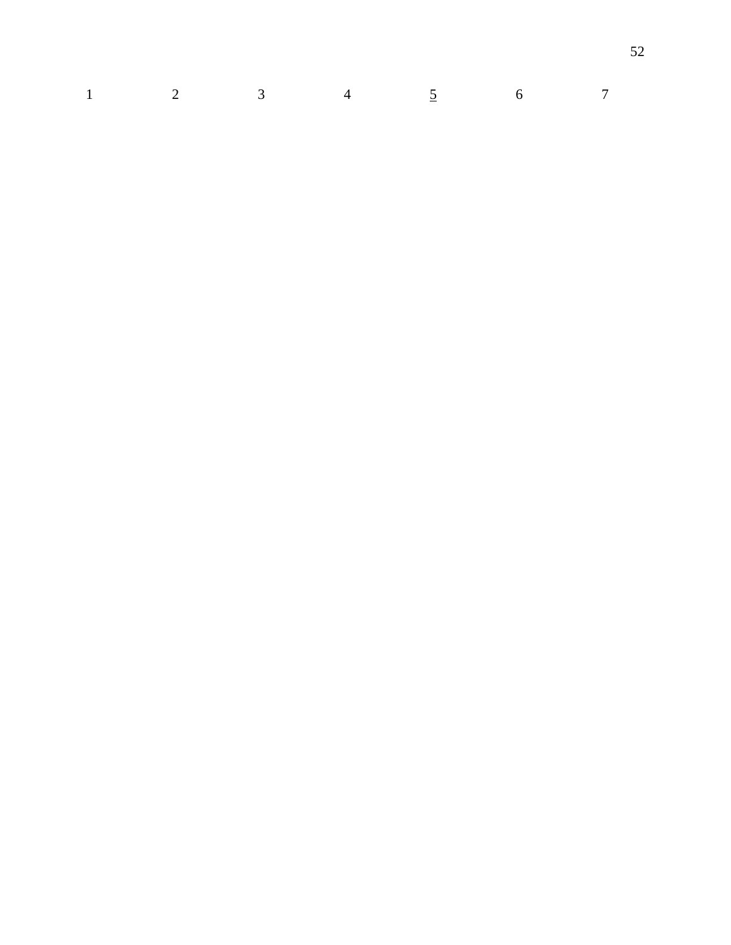|  |  | $1 \qquad \qquad 2 \qquad \qquad 3 \qquad \qquad 4 \qquad \qquad 5 \qquad \qquad 6 \qquad \qquad 7$ |  |
|--|--|-----------------------------------------------------------------------------------------------------|--|
|  |  |                                                                                                     |  |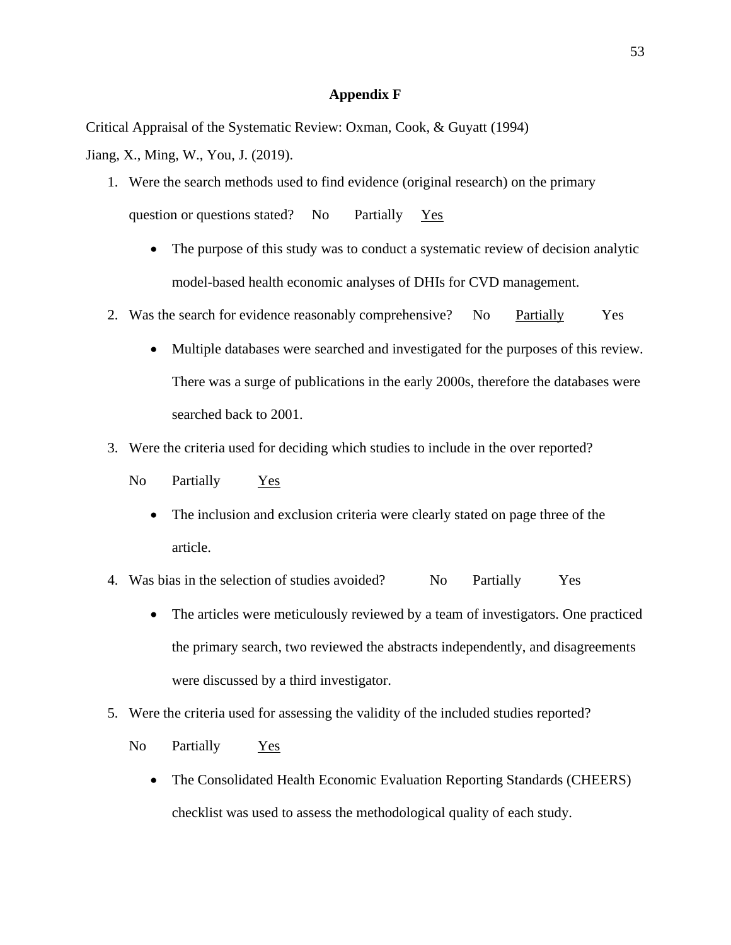#### **Appendix F**

Critical Appraisal of the Systematic Review: Oxman, Cook, & Guyatt (1994)

Jiang, X., Ming, W., You, J. (2019).

- 1. Were the search methods used to find evidence (original research) on the primary question or questions stated? No Partially Yes
	- The purpose of this study was to conduct a systematic review of decision analytic model-based health economic analyses of DHIs for CVD management.
- 2. Was the search for evidence reasonably comprehensive? No Partially Yes
	- Multiple databases were searched and investigated for the purposes of this review. There was a surge of publications in the early 2000s, therefore the databases were searched back to 2001.
- 3. Were the criteria used for deciding which studies to include in the over reported?
	- No Partially Yes
		- The inclusion and exclusion criteria were clearly stated on page three of the article.
- 4. Was bias in the selection of studies avoided? No Partially Yes
	- The articles were meticulously reviewed by a team of investigators. One practiced the primary search, two reviewed the abstracts independently, and disagreements were discussed by a third investigator.
- 5. Were the criteria used for assessing the validity of the included studies reported?
	- No Partially Yes
		- The Consolidated Health Economic Evaluation Reporting Standards (CHEERS) checklist was used to assess the methodological quality of each study.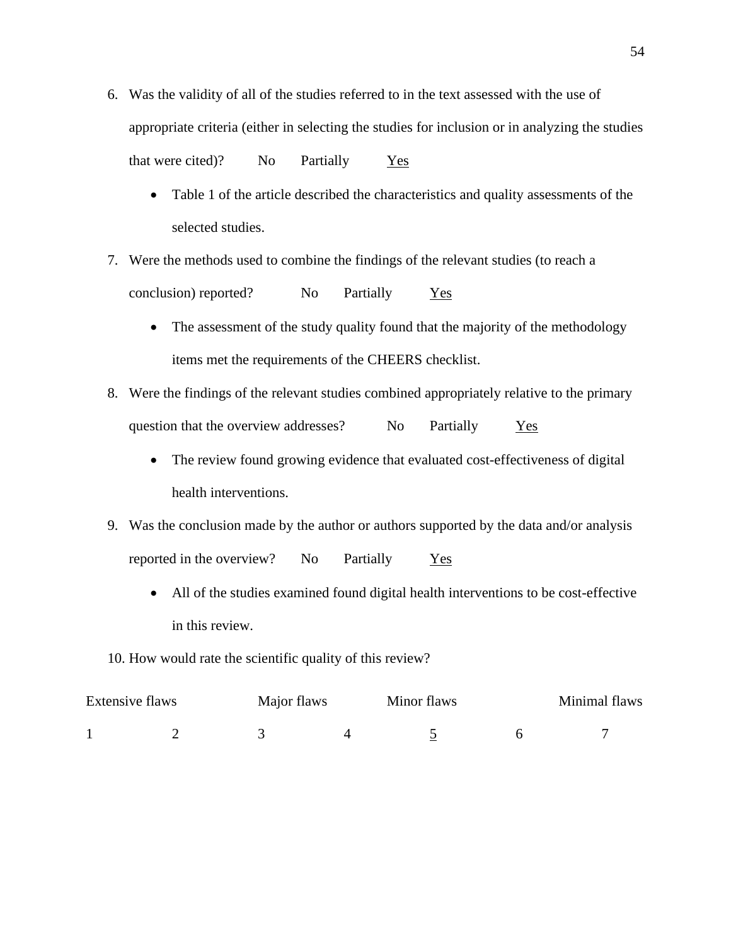- 6. Was the validity of all of the studies referred to in the text assessed with the use of appropriate criteria (either in selecting the studies for inclusion or in analyzing the studies that were cited)? No Partially Yes
	- Table 1 of the article described the characteristics and quality assessments of the selected studies.
- 7. Were the methods used to combine the findings of the relevant studies (to reach a conclusion) reported? No Partially Yes
	- The assessment of the study quality found that the majority of the methodology items met the requirements of the CHEERS checklist.
- 8. Were the findings of the relevant studies combined appropriately relative to the primary question that the overview addresses? No Partially Yes
	- The review found growing evidence that evaluated cost-effectiveness of digital health interventions.
- 9. Was the conclusion made by the author or authors supported by the data and/or analysis reported in the overview? No Partially Yes
	- All of the studies examined found digital health interventions to be cost-effective in this review.
- 10. How would rate the scientific quality of this review?

| Extensive flaws |  | Major flaws | Minor flaws |  | Minimal flaws |  |
|-----------------|--|-------------|-------------|--|---------------|--|
|                 |  |             |             |  |               |  |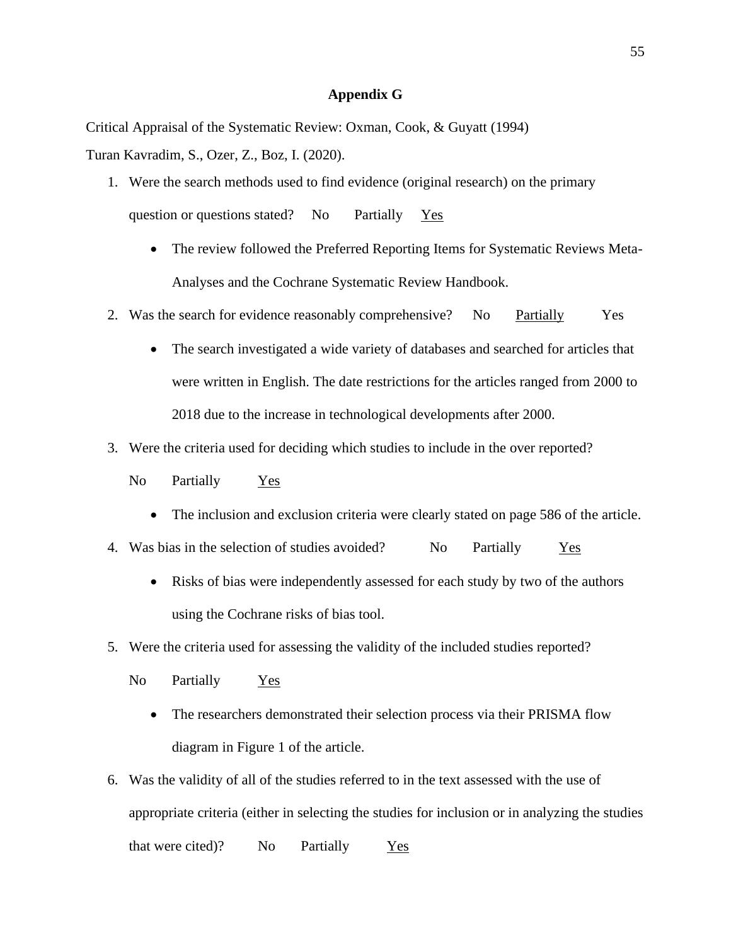#### **Appendix G**

Critical Appraisal of the Systematic Review: Oxman, Cook, & Guyatt (1994)

Turan Kavradim, S., Ozer, Z., Boz, I. (2020).

- 1. Were the search methods used to find evidence (original research) on the primary question or questions stated? No Partially Yes
	- The review followed the Preferred Reporting Items for Systematic Reviews Meta-Analyses and the Cochrane Systematic Review Handbook.
- 2. Was the search for evidence reasonably comprehensive? No Partially Yes
	- The search investigated a wide variety of databases and searched for articles that were written in English. The date restrictions for the articles ranged from 2000 to 2018 due to the increase in technological developments after 2000.
- 3. Were the criteria used for deciding which studies to include in the over reported?
	- No Partially Yes
		- The inclusion and exclusion criteria were clearly stated on page 586 of the article.
- 4. Was bias in the selection of studies avoided? No Partially Yes
	- Risks of bias were independently assessed for each study by two of the authors using the Cochrane risks of bias tool.
- 5. Were the criteria used for assessing the validity of the included studies reported?
	- No Partially Yes
		- The researchers demonstrated their selection process via their PRISMA flow diagram in Figure 1 of the article.
- 6. Was the validity of all of the studies referred to in the text assessed with the use of appropriate criteria (either in selecting the studies for inclusion or in analyzing the studies that were cited)? No Partially Yes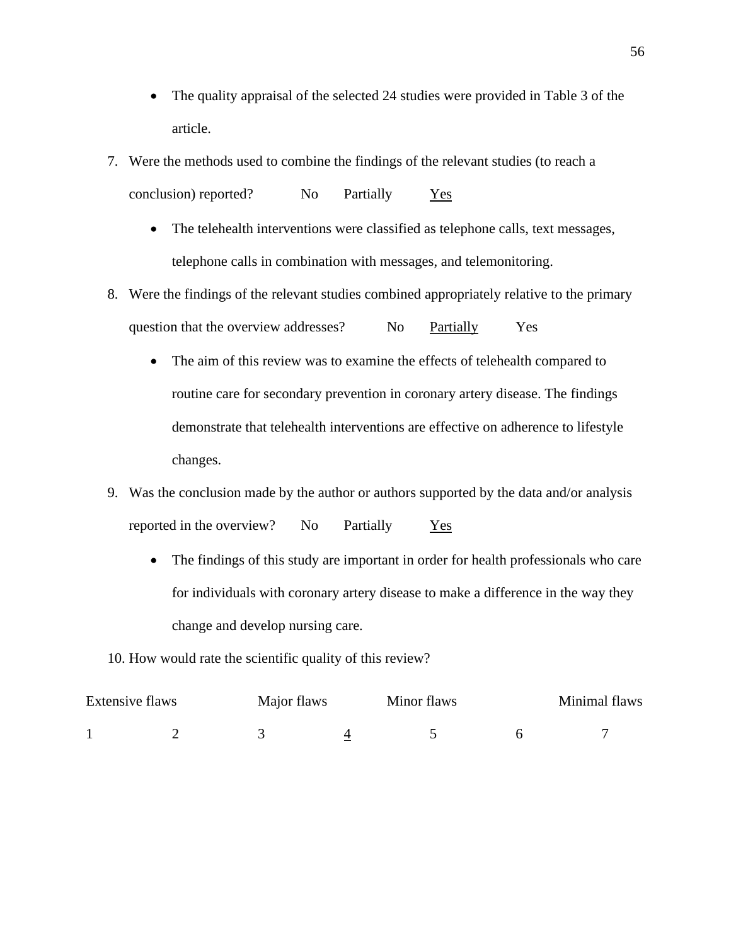- The quality appraisal of the selected 24 studies were provided in Table 3 of the article.
- 7. Were the methods used to combine the findings of the relevant studies (to reach a conclusion) reported? No Partially Yes
	- The telehealth interventions were classified as telephone calls, text messages, telephone calls in combination with messages, and telemonitoring.
- 8. Were the findings of the relevant studies combined appropriately relative to the primary question that the overview addresses? No Partially Yes
	- The aim of this review was to examine the effects of telehealth compared to routine care for secondary prevention in coronary artery disease. The findings demonstrate that telehealth interventions are effective on adherence to lifestyle changes.
- 9. Was the conclusion made by the author or authors supported by the data and/or analysis reported in the overview? No Partially Yes
	- The findings of this study are important in order for health professionals who care for individuals with coronary artery disease to make a difference in the way they change and develop nursing care.
- 10. How would rate the scientific quality of this review?

| Extensive flaws |  | Major flaws |  |  | Minimal flaws |  |
|-----------------|--|-------------|--|--|---------------|--|
|                 |  |             |  |  |               |  |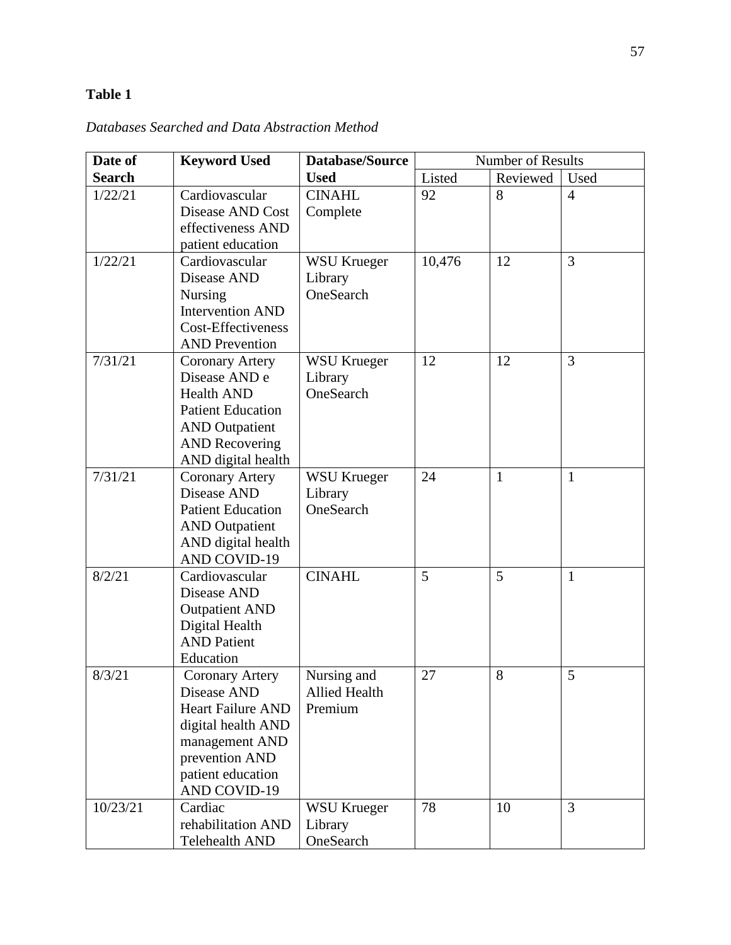# **Table 1**

| Date of       | <b>Keyword Used</b>                     | <b>Database/Source</b> | <b>Number of Results</b> |              |                |
|---------------|-----------------------------------------|------------------------|--------------------------|--------------|----------------|
| <b>Search</b> |                                         | <b>Used</b>            | Listed                   | Reviewed     | Used           |
| 1/22/21       | Cardiovascular                          | <b>CINAHL</b>          | 92                       | 8            | $\overline{4}$ |
|               | Disease AND Cost                        | Complete               |                          |              |                |
|               | effectiveness AND                       |                        |                          |              |                |
|               | patient education                       |                        |                          |              |                |
| 1/22/21       | Cardiovascular                          | <b>WSU Krueger</b>     | 10,476                   | 12           | 3              |
|               | Disease AND                             | Library                |                          |              |                |
|               | Nursing                                 | OneSearch              |                          |              |                |
|               | <b>Intervention AND</b>                 |                        |                          |              |                |
|               | Cost-Effectiveness                      |                        |                          |              |                |
|               | <b>AND Prevention</b>                   |                        |                          |              |                |
| 7/31/21       | Coronary Artery                         | <b>WSU Krueger</b>     | 12                       | 12           | 3              |
|               | Disease AND e                           | Library                |                          |              |                |
|               | <b>Health AND</b>                       | OneSearch              |                          |              |                |
|               | <b>Patient Education</b>                |                        |                          |              |                |
|               | <b>AND</b> Outpatient                   |                        |                          |              |                |
|               | <b>AND Recovering</b>                   |                        |                          |              |                |
|               | AND digital health                      |                        |                          |              |                |
| 7/31/21       | <b>Coronary Artery</b>                  | <b>WSU Krueger</b>     | 24                       | $\mathbf{1}$ | $\mathbf{1}$   |
|               | Disease AND                             | Library                |                          |              |                |
|               | <b>Patient Education</b>                | OneSearch              |                          |              |                |
|               | <b>AND</b> Outpatient                   |                        |                          |              |                |
|               | AND digital health                      |                        |                          |              |                |
|               | <b>AND COVID-19</b>                     |                        |                          |              |                |
| 8/2/21        | Cardiovascular<br>Disease AND           | <b>CINAHL</b>          | 5                        | 5            | $\mathbf{1}$   |
|               |                                         |                        |                          |              |                |
|               | <b>Outpatient AND</b><br>Digital Health |                        |                          |              |                |
|               | <b>AND Patient</b>                      |                        |                          |              |                |
|               | Education                               |                        |                          |              |                |
| 8/3/21        | Coronary Artery                         | Nursing and            | 27                       | 8            | 5              |
|               | Disease AND                             | <b>Allied Health</b>   |                          |              |                |
|               | <b>Heart Failure AND</b>                | Premium                |                          |              |                |
|               | digital health AND                      |                        |                          |              |                |
|               | management AND                          |                        |                          |              |                |
|               | prevention AND                          |                        |                          |              |                |
|               | patient education                       |                        |                          |              |                |
|               | AND COVID-19                            |                        |                          |              |                |
| 10/23/21      | Cardiac                                 | <b>WSU Krueger</b>     | 78                       | 10           | 3              |
|               | rehabilitation AND                      | Library                |                          |              |                |
|               | Telehealth AND                          | OneSearch              |                          |              |                |

*Databases Searched and Data Abstraction Method*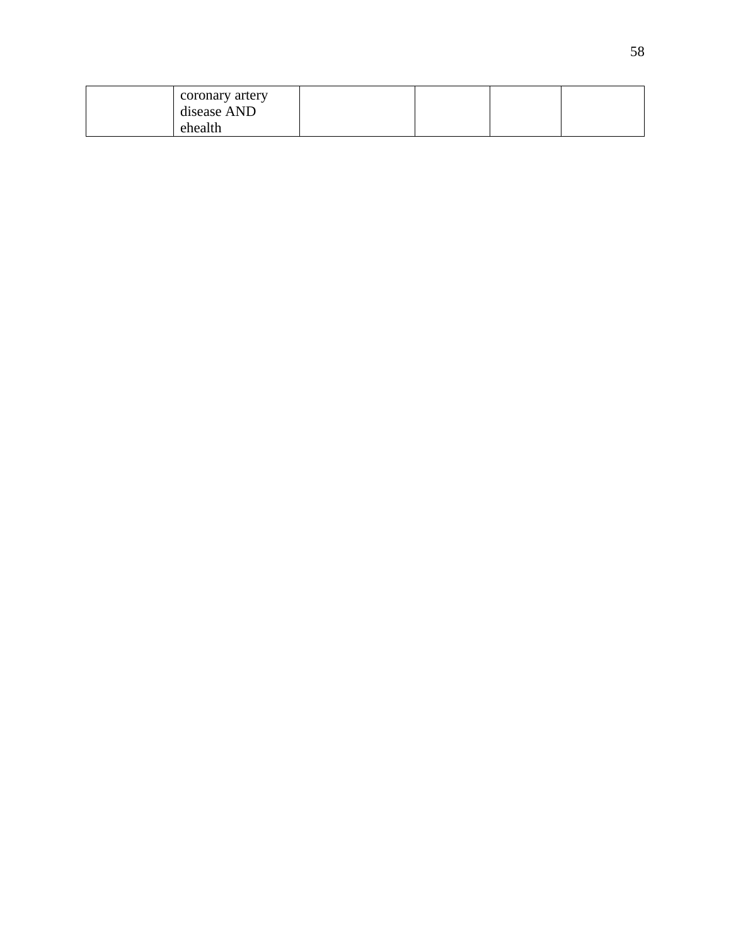| coronary artery |  |  |
|-----------------|--|--|
| disease AND     |  |  |
| ehealth         |  |  |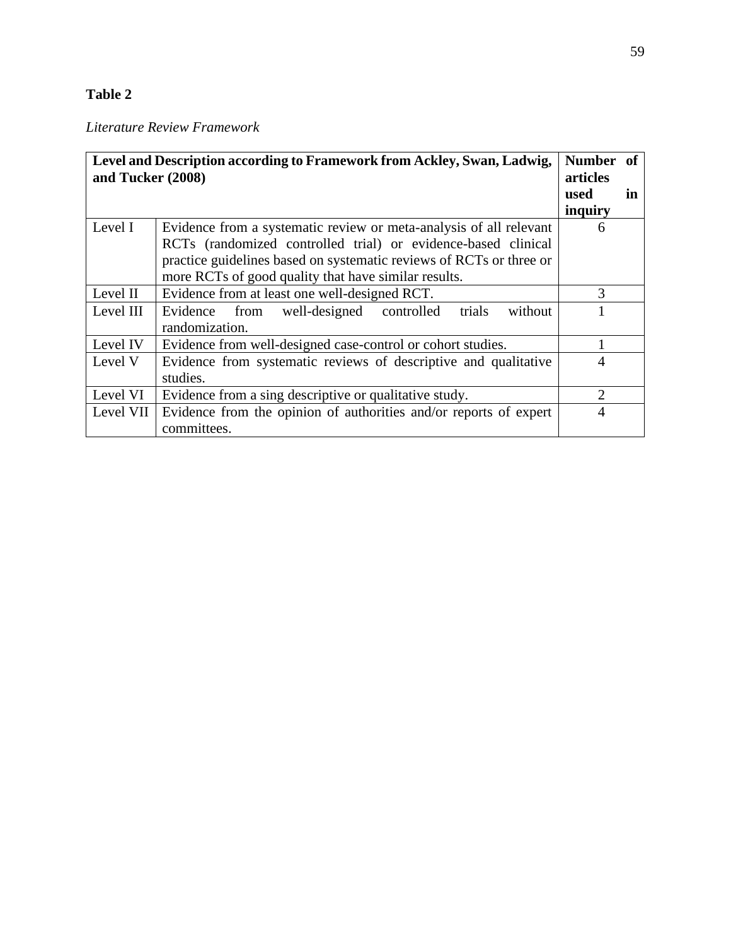# **Table 2**

# *Literature Review Framework*

| Level and Description according to Framework from Ackley, Swan, Ladwig,<br>and Tucker (2008) | Number of<br>articles                                                                                                                                                                                                                                              |                             |    |
|----------------------------------------------------------------------------------------------|--------------------------------------------------------------------------------------------------------------------------------------------------------------------------------------------------------------------------------------------------------------------|-----------------------------|----|
|                                                                                              |                                                                                                                                                                                                                                                                    | used<br>inquiry             | in |
| Level I                                                                                      | Evidence from a systematic review or meta-analysis of all relevant<br>RCTs (randomized controlled trial) or evidence-based clinical<br>practice guidelines based on systematic reviews of RCTs or three or<br>more RCTs of good quality that have similar results. | 6                           |    |
| Level II                                                                                     | Evidence from at least one well-designed RCT.                                                                                                                                                                                                                      | 3                           |    |
| Level III                                                                                    | Evidence from well-designed controlled<br>trials<br>without<br>randomization.                                                                                                                                                                                      |                             |    |
| Level IV                                                                                     | Evidence from well-designed case-control or cohort studies.                                                                                                                                                                                                        |                             |    |
| Level V                                                                                      | Evidence from systematic reviews of descriptive and qualitative<br>studies.                                                                                                                                                                                        | 4                           |    |
| Level VI                                                                                     | Evidence from a sing descriptive or qualitative study.                                                                                                                                                                                                             | $\mathcal{D}_{\mathcal{L}}$ |    |
| Level VII                                                                                    | Evidence from the opinion of authorities and/or reports of expert<br>committees.                                                                                                                                                                                   | 4                           |    |